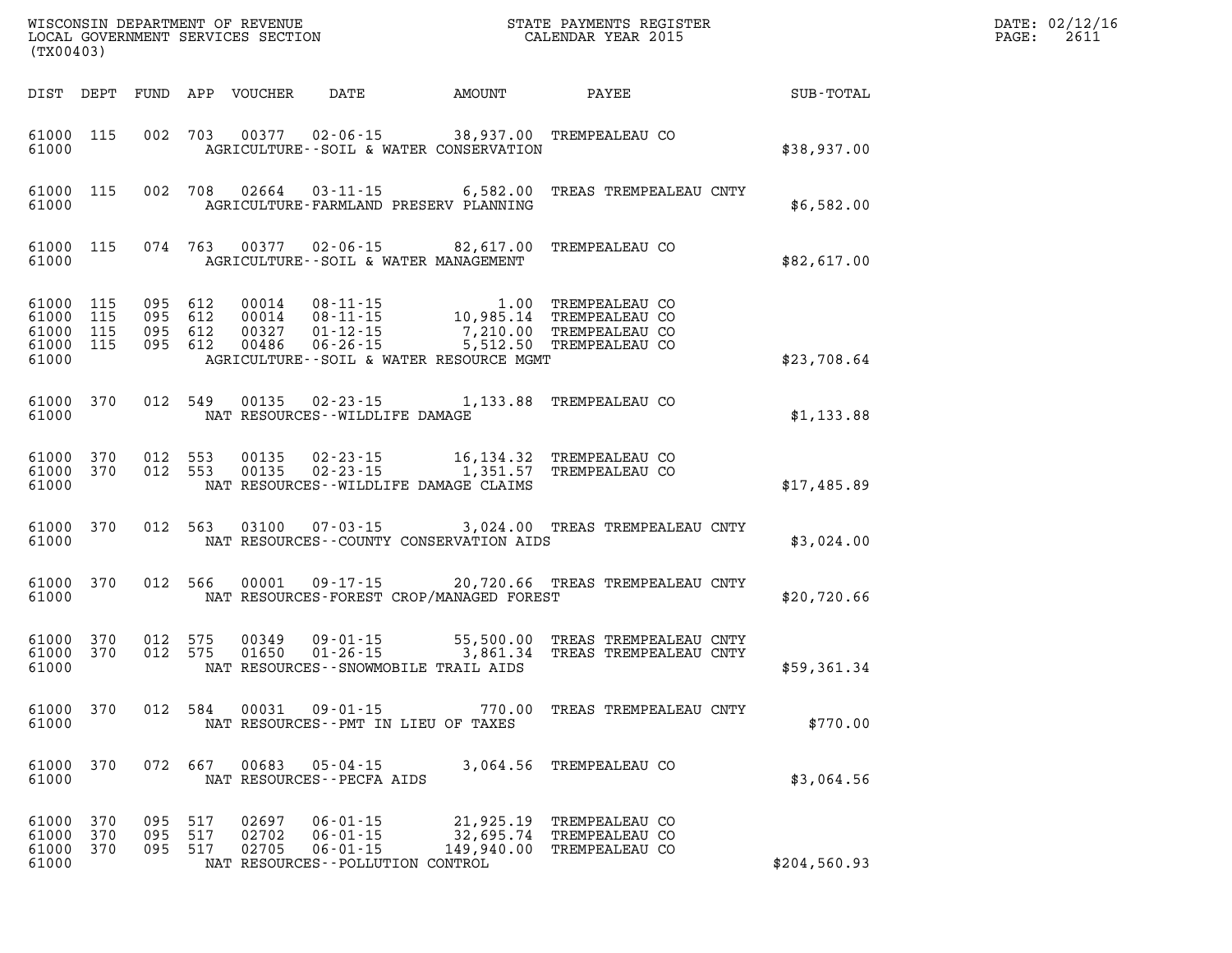|                                                           | WISCONSIN DEPARTMENT OF REVENUE<br>LOCAL GOVERNMENT SERVICES SECTION<br>(TX00403) |         |                           |                         |                                                                                           |                                      | STATE PAYMENTS REGISTER<br>CALENDAR YEAR 2015                                                                                                                                                     |              | DATE: 02/12/16<br>$\mathtt{PAGE}$ :<br>2611 |
|-----------------------------------------------------------|-----------------------------------------------------------------------------------|---------|---------------------------|-------------------------|-------------------------------------------------------------------------------------------|--------------------------------------|---------------------------------------------------------------------------------------------------------------------------------------------------------------------------------------------------|--------------|---------------------------------------------|
| DIST DEPT                                                 |                                                                                   |         |                           | FUND APP VOUCHER        | DATE AMOUNT                                                                               |                                      | PAYEE SUB-TOTAL                                                                                                                                                                                   |              |                                             |
| 61000 115<br>61000                                        |                                                                                   |         |                           |                         | AGRICULTURE--SOIL & WATER CONSERVATION                                                    |                                      | 002 703 00377 02-06-15 38,937.00 TREMPEALEAU CO                                                                                                                                                   | \$38,937.00  |                                             |
| 61000 115<br>61000                                        |                                                                                   |         |                           |                         | 002 708 02664 03-11-15 6,582.00<br>AGRICULTURE-FARMLAND PRESERV PLANNING                  |                                      | TREAS TREMPEALEAU CNTY                                                                                                                                                                            | \$6,582.00   |                                             |
| 61000 115<br>61000                                        |                                                                                   |         |                           |                         | AGRICULTURE--SOIL & WATER MANAGEMENT                                                      |                                      | 074 763 00377 02-06-15 82,617.00 TREMPEALEAU CO                                                                                                                                                   | \$82,617.00  |                                             |
| 61000 115<br>61000 115<br>61000 115<br>61000 115<br>61000 |                                                                                   |         |                           |                         | AGRICULTURE--SOIL & WATER RESOURCE MGMT                                                   |                                      | 095 612 00014 08-11-15 1.00 TREMPEALEAU CO<br>095 612 00014 08-11-15 10,985.14 TREMPEALEAU CO<br>095 612 00327 01-12-15 7,210.00 TREMPEALEAU CO<br>095 612 00486 06-26-15 5,512.50 TREMPEALEAU CO | \$23,708.64  |                                             |
| 61000 370<br>61000                                        |                                                                                   |         |                           |                         | NAT RESOURCES - WILDLIFE DAMAGE                                                           |                                      | 012 549 00135 02-23-15 1,133.88 TREMPEALEAU CO                                                                                                                                                    | \$1,133.88   |                                             |
| 61000 370<br>61000                                        | 61000 370                                                                         |         | 012 553<br>012 553        | 00135<br>00135          | $02 - 23 - 15$ 1, 351.57<br>NAT RESOURCES - - WILDLIFE DAMAGE CLAIMS                      |                                      | 02-23-15    16,134.32    TREMPEALEAU CO<br>TREMPEALEAU CO                                                                                                                                         | \$17,485.89  |                                             |
| 61000<br>61000                                            | 370                                                                               |         | 012 563                   |                         | NAT RESOURCES - COUNTY CONSERVATION AIDS                                                  |                                      | 03100  07-03-15  3,024.00 TREAS TREMPEALEAU CNTY                                                                                                                                                  | \$3,024.00   |                                             |
| 61000 370<br>61000                                        |                                                                                   |         | 012 566                   |                         | NAT RESOURCES-FOREST CROP/MANAGED FOREST                                                  |                                      | 00001  09-17-15  20,720.66  TREAS TREMPEALEAU CNTY                                                                                                                                                | \$20,720.66  |                                             |
| 61000 370<br>61000 370<br>61000                           |                                                                                   | 012 575 | 012 575                   | 00349<br>01650          | NAT RESOURCES - - SNOWMOBILE TRAIL AIDS                                                   |                                      | 09-01-15 55,500.00 TREAS TREMPEALEAU CNTY<br>01-26-15 3,861.34 TREAS TREMPEALEAU CNTY                                                                                                             | \$59,361.34  |                                             |
| 61000                                                     |                                                                                   |         |                           |                         | NAT RESOURCES -- PMT IN LIEU OF TAXES                                                     |                                      | 61000 370 012 584 00031 09-01-15 770.00 TREAS TREMPEALEAU CNTY                                                                                                                                    | \$770.00     |                                             |
| 61000<br>61000                                            | 370                                                                               |         | 072 667                   |                         | $00683$ $05 - 04 - 15$<br>NAT RESOURCES - - PECFA AIDS                                    |                                      | 3,064.56 TREMPEALEAU CO                                                                                                                                                                           | \$3,064.56   |                                             |
| 61000<br>61000<br>61000 370<br>61000                      | 370<br>370                                                                        | 095     | 095 517<br>517<br>095 517 | 02697<br>02702<br>02705 | $06 - 01 - 15$<br>$06 - 01 - 15$<br>$06 - 01 - 15$<br>NAT RESOURCES - - POLLUTION CONTROL | 21,925.19<br>32,695.74<br>149,940.00 | TREMPEALEAU CO<br>TREMPEALEAU CO<br>TREMPEALEAU CO                                                                                                                                                | \$204,560.93 |                                             |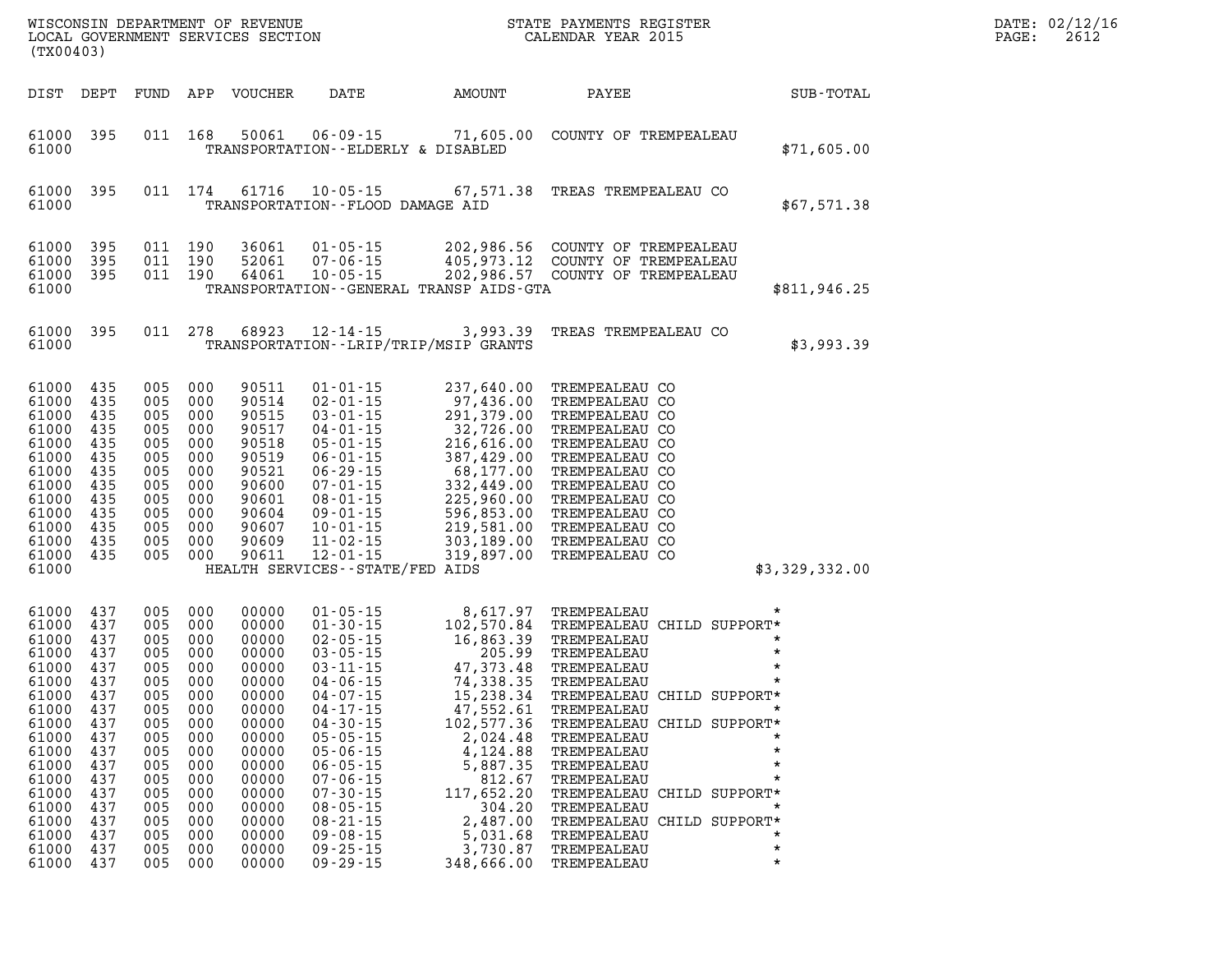| WISCONSIN DEPARTMENT OF REVENUE<br>LOCAL GOVERNMENT SERVICES SECTION<br>(TX00403)                                                                                                                                                                                                                   |                                                                           |                                                                                                                                                                   |                                                                                                                                                                         |                                                                                                                                                                                                                                                                                                                                              | DN S'                                                                                                                                                                                                                                                                                                             | STATE PAYMENTS REGISTER<br>CALENDAR YEAR 2015                                                                                                                                                                                                                                                                                                     |                                                                 | DATE: 02/12/1<br>PAGE:<br>2612 |
|-----------------------------------------------------------------------------------------------------------------------------------------------------------------------------------------------------------------------------------------------------------------------------------------------------|---------------------------------------------------------------------------|-------------------------------------------------------------------------------------------------------------------------------------------------------------------|-------------------------------------------------------------------------------------------------------------------------------------------------------------------------|----------------------------------------------------------------------------------------------------------------------------------------------------------------------------------------------------------------------------------------------------------------------------------------------------------------------------------------------|-------------------------------------------------------------------------------------------------------------------------------------------------------------------------------------------------------------------------------------------------------------------------------------------------------------------|---------------------------------------------------------------------------------------------------------------------------------------------------------------------------------------------------------------------------------------------------------------------------------------------------------------------------------------------------|-----------------------------------------------------------------|--------------------------------|
| DIST DEPT                                                                                                                                                                                                                                                                                           |                                                                           |                                                                                                                                                                   | FUND APP VOUCHER                                                                                                                                                        | DATE                                                                                                                                                                                                                                                                                                                                         | AMOUNT                                                                                                                                                                                                                                                                                                            | PAYEE                                                                                                                                                                                                                                                                                                                                             | SUB-TOTAL                                                       |                                |
| 61000 395<br>61000                                                                                                                                                                                                                                                                                  |                                                                           |                                                                                                                                                                   |                                                                                                                                                                         | 011 168 50061 06-09-15<br>TRANSPORTATION--ELDERLY & DISABLED                                                                                                                                                                                                                                                                                 |                                                                                                                                                                                                                                                                                                                   | 71,605.00 COUNTY OF TREMPEALEAU                                                                                                                                                                                                                                                                                                                   | \$71,605.00                                                     |                                |
| 61000<br>395<br>61000                                                                                                                                                                                                                                                                               |                                                                           |                                                                                                                                                                   | 011 174 61716 10-05-15                                                                                                                                                  | TRANSPORTATION--FLOOD DAMAGE AID                                                                                                                                                                                                                                                                                                             |                                                                                                                                                                                                                                                                                                                   | 67,571.38 TREAS TREMPEALEAU CO                                                                                                                                                                                                                                                                                                                    | \$67,571.38                                                     |                                |
| 61000<br>395<br>61000<br>395<br>61000 395<br>61000                                                                                                                                                                                                                                                  |                                                                           | 011 190<br>011 190<br>011 190                                                                                                                                     | 36061<br>52061<br>64061                                                                                                                                                 | $01 - 05 - 15$<br>$07 - 06 - 15$<br>$10 - 05 - 15$                                                                                                                                                                                                                                                                                           | TRANSPORTATION - - GENERAL TRANSP AIDS - GTA                                                                                                                                                                                                                                                                      | 202,986.56 COUNTY OF TREMPEALEAU<br>405,973.12 COUNTY OF TREMPEALEAU<br>202,986.57 COUNTY OF TREMPEALEAU                                                                                                                                                                                                                                          | \$811,946.25                                                    |                                |
| 61000 395<br>61000                                                                                                                                                                                                                                                                                  |                                                                           | 011 278                                                                                                                                                           | 68923                                                                                                                                                                   | 12-14-15                                                                                                                                                                                                                                                                                                                                     | TRANSPORTATION - - LRIP/TRIP/MSIP GRANTS                                                                                                                                                                                                                                                                          | 3,993.39 TREAS TREMPEALEAU CO                                                                                                                                                                                                                                                                                                                     | \$3,993.39                                                      |                                |
| 61000 435<br>61000<br>435<br>61000<br>435<br>61000<br>435<br>61000<br>435<br>61000<br>435<br>61000<br>435<br>61000<br>435<br>61000<br>435<br>61000<br>435<br>61000<br>435<br>61000<br>435<br>61000 435<br>61000                                                                                     |                                                                           | 005 000<br>005 000<br>005 000<br>005 000<br>005 000<br>005 000<br>005 000<br>005 000<br>005 000<br>005 000<br>005 000<br>005 000<br>005 000                       | 90511<br>90514<br>90515<br>90517<br>90518<br>90519<br>90521<br>90600<br>90601<br>90604<br>90607<br>90609<br>90611                                                       | $01 - 01 - 15$<br>$02 - 01 - 15$<br>$03 - 01 - 15$<br>$04 - 01 - 15$<br>$05 - 01 - 15$<br>$06 - 01 - 15$<br>06-29-15<br>$07 - 01 - 15$<br>08-01-15<br>$09 - 01 - 15$<br>$10 - 01 - 15$<br>$11 - 02 - 15$<br>$12 - 01 - 15$<br>HEALTH SERVICES - - STATE/FED AIDS                                                                             |                                                                                                                                                                                                                                                                                                                   | 237,640.00 TREMPEALEAU CO<br>237,640.00 TREMPEALEAU CO<br>97,436.00 TREMPEALEAU CO<br>291,379.00 TREMPEALEAU CO<br>32,726.00 TREMPEALEAU CO<br>216,610.00 TREMPEALEAU CO<br>216,6100 TREMPEALEAU CO<br>337,429.00 TREMPEALEAU CO<br>68,177.00 TREMPEALEAU CO<br>332,449.00                                                                        | \$3,329,332.00                                                  |                                |
| 61000 437<br>61000<br>437<br>61000<br>437<br>61000<br>437<br>61000<br>437<br>61000<br>437<br>61000 437<br>61000 437<br>61000<br>437<br>437<br>61000<br>61000<br>437<br>61000<br>437<br>61000<br>437<br>61000<br>437<br>61000<br>437<br>61000<br>437<br>61000<br>437<br>61000<br>437<br>61000<br>437 | 005<br>005<br>005<br>005<br>005<br>005<br>005<br>005<br>005<br>005<br>005 | 005 000<br>005 000<br>005 000<br>005 000<br>005 000<br>005 000<br>005 000<br>005 000<br>000<br>000<br>000<br>000<br>000<br>000<br>000<br>000<br>000<br>000<br>000 | 00000<br>00000<br>00000<br>00000<br>00000<br>00000<br>00000<br>00000<br>00000<br>00000<br>00000<br>00000<br>00000<br>00000<br>00000<br>00000<br>00000<br>00000<br>00000 | $01 - 05 - 15$<br>$01 - 30 - 15$<br>$02 - 05 - 15$<br>$03 - 05 - 15$<br>$03 - 11 - 15$<br>$04 - 06 - 15$<br>04-07-15<br>$04 - 17 - 15$<br>$04 - 30 - 15$<br>$05 - 05 - 15$<br>$05 - 06 - 15$<br>$06 - 05 - 15$<br>$07 - 06 - 15$<br>$07 - 30 - 15$<br>$08 - 05 - 15$<br>$08 - 21 - 15$<br>$09 - 08 - 15$<br>$09 - 25 - 15$<br>$09 - 29 - 15$ | 0,611.570.84 TREMPEALEAU<br>102,570.84 TREMPEALEAU<br>16,863.39 TREMPEALEAU<br>205.99 TREMPEALEAU<br>47,373.48 TREMPEALEAU<br>74,338.35 TREMPEALEAU<br>15,238.34 TREMPEALEAU<br>47,552.61<br>2,024.48<br>4,124.88<br>5,887.35<br>812.67<br>117,652.20<br>304.20<br>2,487.00<br>5,031.68<br>3,730.87<br>348,666.00 | 8,617.97 TREMPEALEAU<br>102,570.84 TREMPEALEAU CHILD SUPPORT*<br>15,238.34 TREMPEALEAU CHILD SUPPORT*<br>TREMPEALEAU<br>102,577.36 TREMPEALEAU CHILD SUPPORT*<br>TREMPEALEAU<br>TREMPEALEAU<br>TREMPEALEAU<br>TREMPEALEAU<br>TREMPEALEAU CHILD SUPPORT*<br>TREMPEALEAU<br>TREMPEALEAU CHILD SUPPORT*<br>TREMPEALEAU<br>TREMPEALEAU<br>TREMPEALEAU | $\star$<br>$\star$<br>$^\star$<br>$\star$<br>$\star$<br>$\star$ |                                |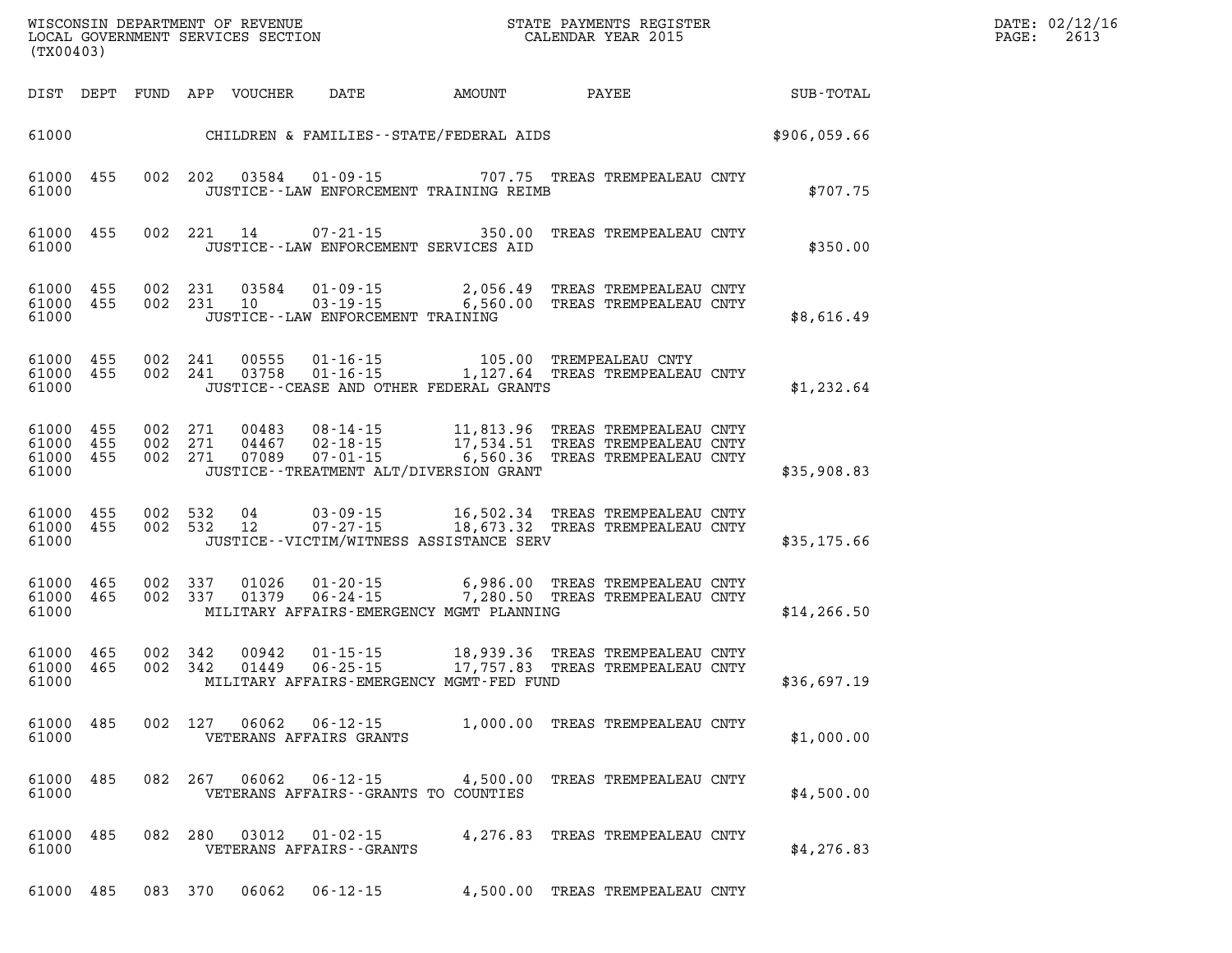| DATE: | 02/12/16 |
|-------|----------|
| PAGE: | 2613     |

| (TX00403)                       |                        |         | LOCAL GOVERNMENT SERVICES SECTION |                                                          |                                                                                                                                                                                                                                                       | CALENDAR YEAR 2015               |              | PAGE: | 2613 |
|---------------------------------|------------------------|---------|-----------------------------------|----------------------------------------------------------|-------------------------------------------------------------------------------------------------------------------------------------------------------------------------------------------------------------------------------------------------------|----------------------------------|--------------|-------|------|
|                                 |                        |         |                                   |                                                          | DIST DEPT FUND APP VOUCHER DATE AMOUNT PAYEE SUB-TOTAL                                                                                                                                                                                                |                                  |              |       |      |
|                                 |                        |         |                                   |                                                          | 61000 CHILDREN & FAMILIES - STATE/FEDERAL AIDS                                                                                                                                                                                                        |                                  | \$906,059.66 |       |      |
| 61000                           | 61000 455              |         | 002 202 03584                     |                                                          | 01-09-15 707.75 TREAS TREMPEALEAU CNTY<br>JUSTICE -- LAW ENFORCEMENT TRAINING REIMB                                                                                                                                                                   |                                  | \$707.75     |       |      |
| 61000                           | 61000 455              |         | 002 221 14                        | JUSTICE -- LAW ENFORCEMENT SERVICES AID                  | 07-21-15 350.00 TREAS TREMPEALEAU CNTY                                                                                                                                                                                                                |                                  | \$350.00     |       |      |
| 61000 455<br>61000              | 61000 455              |         |                                   | JUSTICE -- LAW ENFORCEMENT TRAINING                      | $\begin{array}{cccc} 002 & 231 & 03584 & 01\cdot 09\cdot 15 & 2,056.49 & \text{TREAS TREMPEALEAU CNTY} \\ 002 & 231 & 10 & 03\cdot 19\cdot 15 & 6,560.00 & \text{TREAS TREMPEALEAU CNTY} \end{array}$                                                 |                                  | \$8,616.49   |       |      |
| 61000                           | 61000 455<br>61000 455 |         |                                   |                                                          | $\begin{array}{cccc} 002 & 241 & 00555 & 01\text{-}16\text{-}15 & 105.00 & \text{TREMPEALEAU CNTY} \\ 002 & 241 & 03758 & 01\text{-}16\text{-}15 & 1,127.64 & \text{TREAS TREMPEALEAU CNTY} \end{array}$<br>JUSTICE -- CEASE AND OTHER FEDERAL GRANTS |                                  | \$1,232.64   |       |      |
| 61000 455<br>61000 455<br>61000 | 61000 455              |         |                                   |                                                          | 002  271  00483  08-14-15   11,813.96  TREAS TREMPEALEAU CNTY<br>002  271  04467  02-18-15   17,534.51  TREAS TREMPEALEAU CNTY<br>002  271  07089  07-01-15   6,560.36  TREAS TREMPEALEAU CNTY<br>JUSTICE -- TREATMENT ALT/DIVERSION GRANT            |                                  | \$35,908.83  |       |      |
| 61000 455<br>61000              | 61000 455              |         | 002 532 04<br>002 532 12          |                                                          | 03-09-15 16,502.34 TREAS TREMPEALEAU CNTY<br>07-27-15 18,673.32 TREAS TREMPEALEAU CNTY<br>JUSTICE - - VICTIM/WITNESS ASSISTANCE SERV                                                                                                                  |                                  | \$35,175.66  |       |      |
| 61000                           | 61000 465<br>61000 465 |         |                                   |                                                          | 002 337 01026 01-20-15 6,986.00 TREAS TREMPEALEAU CNTY 002 337 01379 06-24-15 7,280.50 TREAS TREMPEALEAU CNTY<br>MILITARY AFFAIRS-EMERGENCY MGMT PLANNING                                                                                             |                                  | \$14, 266.50 |       |      |
| 61000 465<br>61000              | 61000 465              | 002 342 | 00942<br>002 342 01449            |                                                          | 01-15-15 18,939.36 TREAS TREMPEALEAU CNTY<br>06-25-15 17,757.83 TREAS TREMPEALEAU CNTY<br>MILITARY AFFAIRS-EMERGENCY MGMT-FED FUND                                                                                                                    |                                  | \$36,697.19  |       |      |
| 61000                           | 61000 485              | 002 127 | 06062                             | $06 - 12 - 15$<br>VETERANS AFFAIRS GRANTS                | 1,000.00 TREAS TREMPEALEAU CNTY                                                                                                                                                                                                                       |                                  | \$1,000.00   |       |      |
| 61000 485<br>61000              |                        | 082 267 | 06062                             | $06 - 12 - 15$<br>VETERANS AFFAIRS -- GRANTS TO COUNTIES |                                                                                                                                                                                                                                                       | 4,500.00 TREAS TREMPEALEAU CNTY  | \$4,500.00   |       |      |
| 61000<br>61000                  | 485                    | 082 280 | 03012                             | $01 - 02 - 15$<br>VETERANS AFFAIRS - - GRANTS            |                                                                                                                                                                                                                                                       | 4, 276.83 TREAS TREMPEALEAU CNTY | \$4,276.83   |       |      |
| 61000 485                       |                        | 083 370 | 06062                             | $06 - 12 - 15$                                           |                                                                                                                                                                                                                                                       | 4,500.00 TREAS TREMPEALEAU CNTY  |              |       |      |

WISCONSIN DEPARTMENT OF REVENUE **STATE PAYMENTS REGISTER**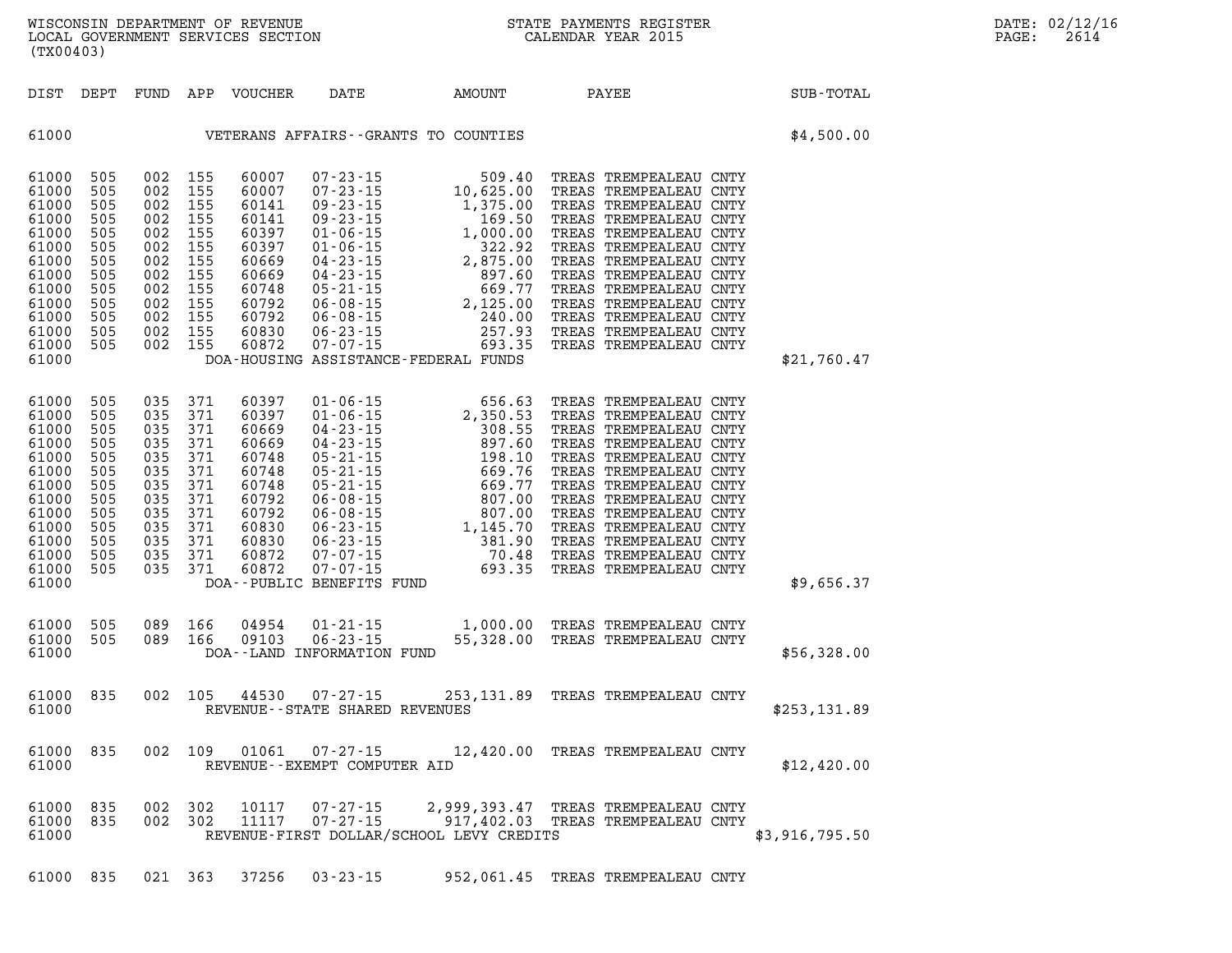|  | <b>DAT</b> |
|--|------------|
|  | PAG        |

**WISCONSIN DEPARTMENT OF REVENUE STATE PAYMENTS REGISTER DATE: 02/12/16 LOCAL GOVERNMENT SERVICES SECTION CALENDAR YEAR 2015 PAGE: 2614 (TX00403) DIST DEPT FUND APP VOUCHER DATE AMOUNT PAYEE SUB-TOTAL 61000 VETERANS AFFAIRS--GRANTS TO COUNTIES \$4,500.00 61000 505 002 155 60007 07-23-15 509.40 TREAS TREMPEALEAU CNTY 61000 505 002 155 60007 07-23-15 10,625.00 TREAS TREMPEALEAU CNTY 61000 505 002 155 60141 09-23-15 1,375.00 TREAS TREMPEALEAU CNTY 61000 505 002 155 60141 09-23-15 169.50 TREAS TREMPEALEAU CNTY 61000 505 002 155 60397 01-06-15 1,000.00 TREAS TREMPEALEAU CNTY 61000 505 002 155 60397 01-06-15 322.92 TREAS TREMPEALEAU CNTY 61000 505 002 155 60669 04-23-15 2,875.00 TREAS TREMPEALEAU CNTY 61000 505 002 155 60669 04-23-15 897.60 TREAS TREMPEALEAU CNTY 61000 505 002 155 60748 05-21-15 669.77 TREAS TREMPEALEAU CNTY 61000 505 002 155 60792 06-08-15 2,125.00 TREAS TREMPEALEAU CNTY 61000 505 002 155 60792 06-08-15 240.00 TREAS TREMPEALEAU CNTY 61000 505 002 155 60830 06-23-15 257.93 TREAS TREMPEALEAU CNTY 61000 505 002 155 60872 07-07-15 693.35 TREAS TREMPEALEAU CNTY 61000 DOA-HOUSING ASSISTANCE-FEDERAL FUNDS \$21,760.47 61000 505 035 371 60397 01-06-15 656.63 TREAS TREMPEALEAU CNTY 61000 505 035 371 60397 01-06-15 2,350.53 TREAS TREMPEALEAU CNTY 61000 505 035 371 60669 04-23-15 308.55 TREAS TREMPEALEAU CNTY 61000 505 035 371 60669 04-23-15 897.60 TREAS TREMPEALEAU CNTY 61000 505 035 371 60748 05-21-15 198.10 TREAS TREMPEALEAU CNTY 61000 505 035 371 60748 05-21-15 669.76 TREAS TREMPEALEAU CNTY 61000 505 035 371 60748 05-21-15 669.77 TREAS TREMPEALEAU CNTY 61000 505 035 371 60792 06-08-15 807.00 TREAS TREMPEALEAU CNTY 61000 505 035 371 60792 06-08-15 807.00 TREAS TREMPEALEAU CNTY 61000 505 035 371 60830 06-23-15 1,145.70 TREAS TREMPEALEAU CNTY 61000 505 035 371 60830 06-23-15 381.90 TREAS TREMPEALEAU CNTY 61000 505 035 371 60872 07-07-15 70.48 TREAS TREMPEALEAU CNTY** 

**61000 505 089 166 04954 01-21-15 1,000.00 TREAS TREMPEALEAU CNTY 61000 505 089 166 09103 06-23-15 55,328.00 TREAS TREMPEALEAU CNTY 61000 DOA--LAND INFORMATION FUND \$56,328.00 61000 835 002 105 44530 07-27-15 253,131.89 TREAS TREMPEALEAU CNTY 61000 REVENUE--STATE SHARED REVENUES \$253,131.89** 

**61000 505 035 371 60872 07-07-15 693.35 TREAS TREMPEALEAU CNTY** 

**61000 835 002 109 01061 07-27-15 12,420.00 TREAS TREMPEALEAU CNTY 61000 REVENUE--EXEMPT COMPUTER AID \$12,420.00** 

**61000 DOA--PUBLIC BENEFITS FUND \$9,656.37** 

**61000 835 002 302 10117 07-27-15 2,999,393.47 TREAS TREMPEALEAU CNTY 61000 835 002 302 11117 07-27-15 917,402.03 TREAS TREMPEALEAU CNTY 61000 REVENUE-FIRST DOLLAR/SCHOOL LEVY CREDITS \$3,916,795.50** 

**61000 835 021 363 37256 03-23-15 952,061.45 TREAS TREMPEALEAU CNTY**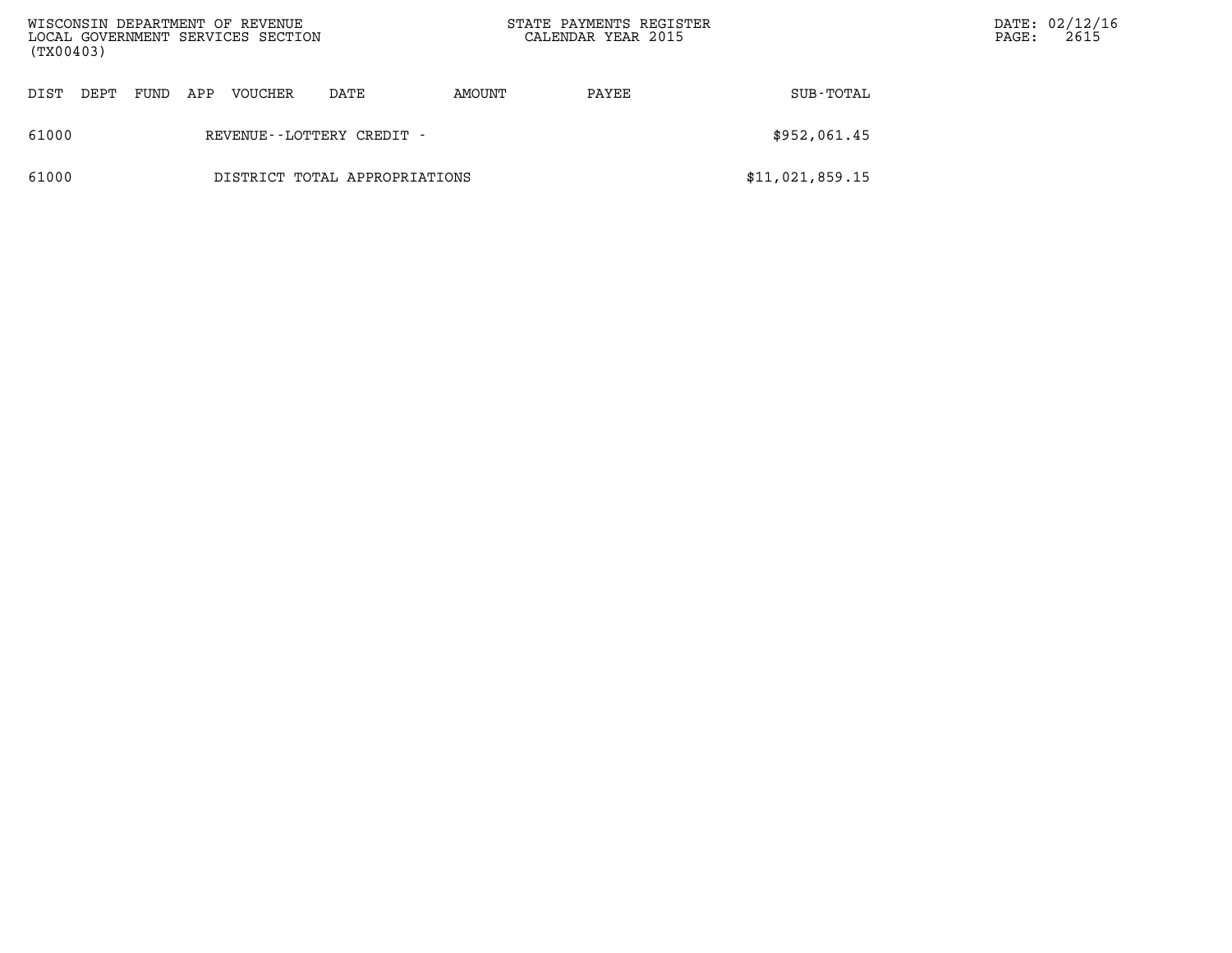| WISCONSIN DEPARTMENT OF REVENUE<br>LOCAL GOVERNMENT SERVICES SECTION<br>(TX00403) |                               |     |                |      |        | STATE PAYMENTS REGISTER<br>CALENDAR YEAR 2015 |                 | PAGE: | DATE: 02/12/16<br>2615 |
|-----------------------------------------------------------------------------------|-------------------------------|-----|----------------|------|--------|-----------------------------------------------|-----------------|-------|------------------------|
| DIST<br>DEPT                                                                      | FUND                          | APP | <b>VOUCHER</b> | DATE | AMOUNT | PAYEE                                         | SUB-TOTAL       |       |                        |
| 61000                                                                             | REVENUE--LOTTERY CREDIT -     |     |                |      |        |                                               | \$952,061.45    |       |                        |
| 61000                                                                             | DISTRICT TOTAL APPROPRIATIONS |     |                |      |        |                                               | \$11,021,859.15 |       |                        |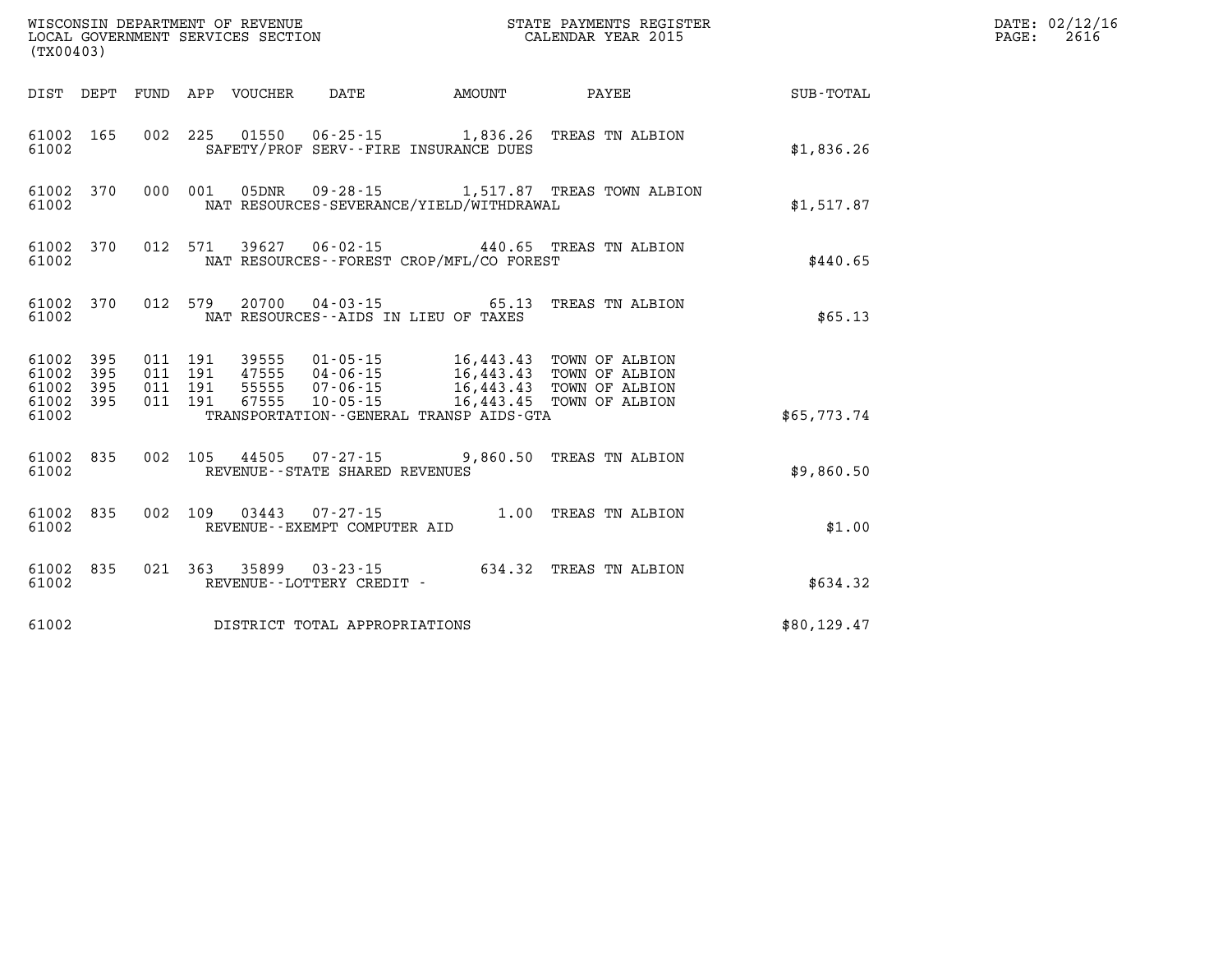| (TX00403)                       | WISCONSIN DEPARTMENT OF REVENUE<br>LOCAL GOVERNMENT SERVICES SECTION<br>CALENDAR YEAR 2015                                                            |                                         |              | DATE: 02/12/16<br>$\mathtt{PAGE:}$<br>2616 |
|---------------------------------|-------------------------------------------------------------------------------------------------------------------------------------------------------|-----------------------------------------|--------------|--------------------------------------------|
|                                 |                                                                                                                                                       |                                         |              |                                            |
| 61002 165<br>61002              | 002 225 01550 06-25-15 1,836.26 TREAS TN ALBION<br>SAFETY/PROF SERV--FIRE INSURANCE DUES                                                              |                                         | \$1,836.26   |                                            |
| 61002 370<br>61002              | 000 001 05DNR 09-28-15 1,517.87 TREAS TOWN ALBION<br>NAT RESOURCES-SEVERANCE/YIELD/WITHDRAWAL                                                         |                                         | \$1,517.87   |                                            |
| 61002 370<br>61002              | 012 571 39627 06-02-15 440.65 TREAS TN ALBION<br>NAT RESOURCES - - FOREST CROP/MFL/CO FOREST                                                          |                                         | \$440.65     |                                            |
| 61002 370<br>61002              | 012 579<br>NAT RESOURCES--AIDS IN LIEU OF TAXES                                                                                                       | 20700  04-03-15  65.13  TREAS TN ALBION | \$65.13      |                                            |
| 395<br>61002<br>61002<br>395    | 011 191 39555 01-05-15 16,443.43 TOWN OF ALBION<br>011 191 47555 04-06-15 16,443.43 TOWN OF ALBION<br>011 191 55555 07-06-15 16,443.43 TOWN OF ALBION |                                         |              |                                            |
| 61002 395<br>61002 395<br>61002 | 011 191 67555 10-05-15 16,443.45 TOWN OF ALBION<br>TRANSPORTATION--GENERAL TRANSP AIDS-GTA                                                            |                                         | \$65,773.74  |                                            |
| 61002 835<br>61002              | 002 105 44505 07-27-15 9,860.50 TREAS TN ALBION<br>REVENUE - - STATE SHARED REVENUES                                                                  |                                         | \$9,860.50   |                                            |
| 61002 835<br>61002              | 002 109 03443 07-27-15 1.00 TREAS TN ALBION<br>REVENUE--EXEMPT COMPUTER AID                                                                           |                                         | \$1.00       |                                            |
| 61002 835<br>61002              | 021 363 35899 03-23-15 634.32 TREAS TN ALBION<br>REVENUE - - LOTTERY CREDIT -                                                                         |                                         | \$634.32     |                                            |
| 61002                           | DISTRICT TOTAL APPROPRIATIONS                                                                                                                         |                                         | \$80, 129.47 |                                            |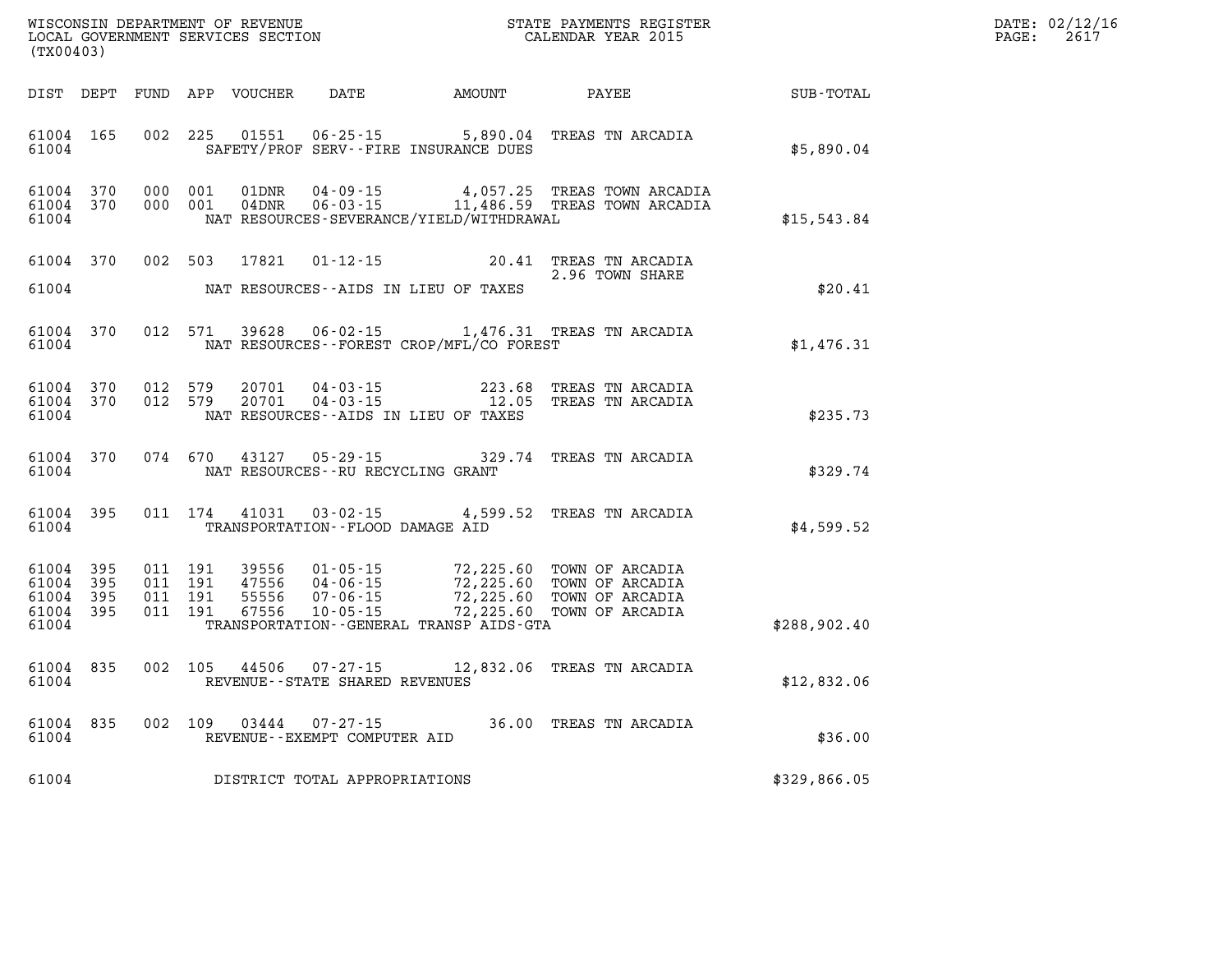| DATE: | 02/12/16 |
|-------|----------|
| PAGE: | 2617     |

| (TX00403)                                                 | WISCONSIN DEPARTMENT OF REVENUE<br>LOCAL GOVERNMENT SERVICES SECTION THE STATE PAYMENTS REGIST                                                                                                                                   | STATE PAYMENTS REGISTER   | $\mathbb{R}^n$ | DATE: 02/12/1<br>PAGE:<br>2617 |
|-----------------------------------------------------------|----------------------------------------------------------------------------------------------------------------------------------------------------------------------------------------------------------------------------------|---------------------------|----------------|--------------------------------|
|                                                           | DIST DEPT FUND APP VOUCHER DATE AMOUNT PAYEE TOTAL                                                                                                                                                                               |                           |                |                                |
| 61004 165<br>61004                                        | 01551   06-25-15   5,890.04   TREAS TN ARCADIA<br>002 225<br>SAFETY/PROF SERV--FIRE INSURANCE DUES                                                                                                                               |                           | \$5,890.04     |                                |
| 61004 370<br>61004 370<br>61004                           | 000 001 01DNR 04-09-15 4,057.25 TREAS TOWN ARCADIA<br>000 001 04DNR 06-03-15 11,486.59 TREAS TOWN ARCADIA<br>NAT RESOURCES-SEVERANCE/YIELD/WITHDRAWAL                                                                            |                           | \$15,543.84    |                                |
|                                                           | 61004 370 002 503 17821 01-12-15 20.41 TREAS TN ARCADIA<br>2.96 TOWN SHARE                                                                                                                                                       | 2.96 TOWN SHARE           |                |                                |
| 61004                                                     | NAT RESOURCES--AIDS IN LIEU OF TAXES                                                                                                                                                                                             |                           | \$20.41        |                                |
| 61004 370<br>61004                                        | 012 571 39628 06-02-15 1,476.31 TREAS TN ARCADIA<br>NAT RESOURCES--FOREST CROP/MFL/CO FOREST                                                                                                                                     |                           | \$1,476.31     |                                |
| 61004 370<br>61004 370<br>61004                           | 20701  04-03-15  223.68  TREAS TN ARCADIA<br>20701  04-03-15   12.05  TREAS TN ARCADIA<br>012 579<br>012 579<br>NAT RESOURCES--AIDS IN LIEU OF TAXES                                                                             |                           | \$235.73       |                                |
| 61004 370<br>61004                                        | 074 670 43127 05-29-15 329.74 TREAS TN ARCADIA<br>NAT RESOURCES--RU RECYCLING GRANT                                                                                                                                              |                           | \$329.74       |                                |
| 61004 395<br>61004                                        | 011 174 41031 03-02-15 4,599.52 TREAS TN ARCADIA<br>TRANSPORTATION--FLOOD DAMAGE AID                                                                                                                                             |                           | \$4,599.52     |                                |
| 61004 395<br>61004 395<br>61004 395<br>61004 395<br>61004 | 011 191 39556 01-05-15 72,225.60 TOWN OF ARCADIA<br>011 191 47556 04-06-15 72,225.60 TOWN OF ARCADIA<br>011 191 55556 07-06-15 72,225.60 TOWN OF ARCADIA<br>67556 10-05-15<br>011 191<br>TRANSPORTATION--GENERAL TRANSP AIDS-GTA | 72,225.60 TOWN OF ARCADIA | \$288,902.40   |                                |
| 61004 835<br>61004                                        | 002 105 44506 07-27-15 12,832.06 TREAS TN ARCADIA<br>REVENUE--STATE SHARED REVENUES                                                                                                                                              |                           | \$12,832.06    |                                |
| 61004                                                     | 61004 835 002 109 03444 07-27-15 36.00 TREAS TN ARCADIA<br>REVENUE--EXEMPT COMPUTER AID                                                                                                                                          |                           | \$36.00        |                                |
|                                                           | 61004 DISTRICT TOTAL APPROPRIATIONS                                                                                                                                                                                              |                           | \$329,866.05   |                                |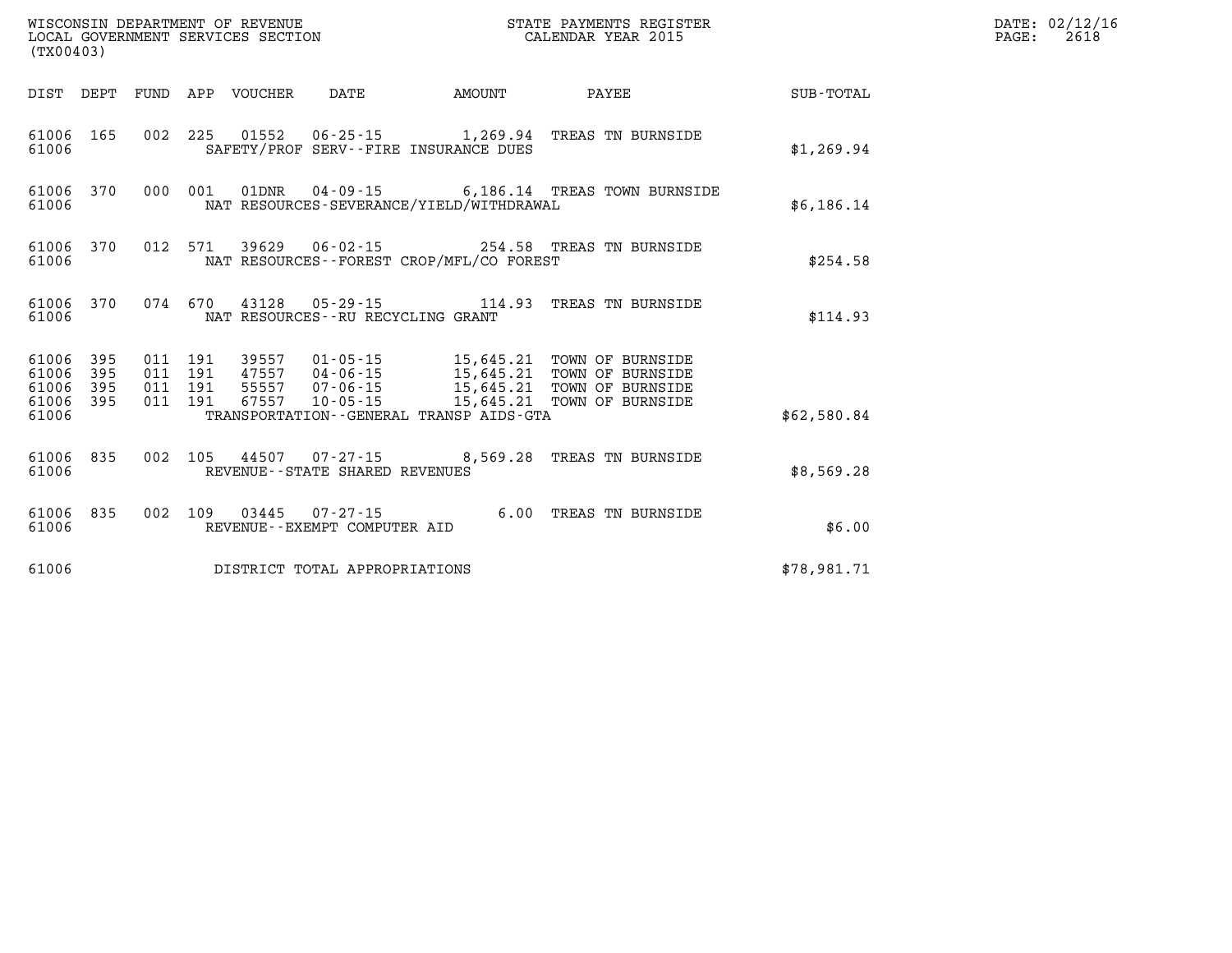|                                 | $\tt WISCONSIM DEPARTMENT OF REVENUE$ $\tt WISCONSIMENT$ SERVICES SECTION $\tt CALENDAR$ YEAR 2015<br>(TX00403) |  |  |                                 |                                     |                                             |                                                                                                                                                                                                                  |             | DATE: 02/12/16<br>PAGE:<br>2618 |
|---------------------------------|-----------------------------------------------------------------------------------------------------------------|--|--|---------------------------------|-------------------------------------|---------------------------------------------|------------------------------------------------------------------------------------------------------------------------------------------------------------------------------------------------------------------|-------------|---------------------------------|
|                                 |                                                                                                                 |  |  | DIST DEPT FUND APP VOUCHER DATE |                                     | <b>AMOUNT</b>                               | <b>PAYEE</b>                                                                                                                                                                                                     | SUB-TOTAL   |                                 |
| 61006 165<br>61006              |                                                                                                                 |  |  |                                 |                                     | SAFETY/PROF SERV--FIRE INSURANCE DUES       | 002 225 01552 06-25-15 1,269.94 TREAS TN BURNSIDE                                                                                                                                                                | \$1,269.94  |                                 |
| 61006                           |                                                                                                                 |  |  |                                 |                                     | NAT RESOURCES-SEVERANCE/YIELD/WITHDRAWAL    | 61006 370 000 001 01DNR 04-09-15 6,186.14 TREAS TOWN BURNSIDE                                                                                                                                                    | \$6,186.14  |                                 |
| 61006                           |                                                                                                                 |  |  |                                 |                                     | NAT RESOURCES - - FOREST CROP/MFL/CO FOREST | 61006 370 012 571 39629 06-02-15 254.58 TREAS TN BURNSIDE                                                                                                                                                        | \$254.58    |                                 |
| 61006                           |                                                                                                                 |  |  |                                 | NAT RESOURCES -- RU RECYCLING GRANT |                                             | 61006 370 074 670 43128 05-29-15 114.93 TREAS TN BURNSIDE                                                                                                                                                        | \$114.93    |                                 |
| 61006 395<br>61006<br>61006 395 | 395<br>61006 395                                                                                                |  |  |                                 |                                     |                                             | 011 191 39557 01-05-15 15,645.21 TOWN OF BURNSIDE<br>011 191 47557 04-06-15 15,645.21 TOWN OF BURNSIDE<br>011 191 55557 07-06-15 15,645.21 TOWN OF BURNSIDE<br>011 191 67557 10-05-15 15,645.21 TOWN OF BURNSIDE |             |                                 |
| 61006                           |                                                                                                                 |  |  |                                 |                                     | TRANSPORTATION--GENERAL TRANSP AIDS-GTA     |                                                                                                                                                                                                                  | \$62,580.84 |                                 |
| 61006                           |                                                                                                                 |  |  |                                 | REVENUE--STATE SHARED REVENUES      |                                             | 61006 835 002 105 44507 07-27-15 8,569.28 TREAS TN BURNSIDE                                                                                                                                                      | \$8,569.28  |                                 |
| 61006 835<br>61006              |                                                                                                                 |  |  |                                 | REVENUE--EXEMPT COMPUTER AID        |                                             | 002 109 03445 07-27-15 6.00 TREAS TN BURNSIDE                                                                                                                                                                    | \$6.00      |                                 |
| 61006                           |                                                                                                                 |  |  |                                 | DISTRICT TOTAL APPROPRIATIONS       |                                             |                                                                                                                                                                                                                  | \$78,981.71 |                                 |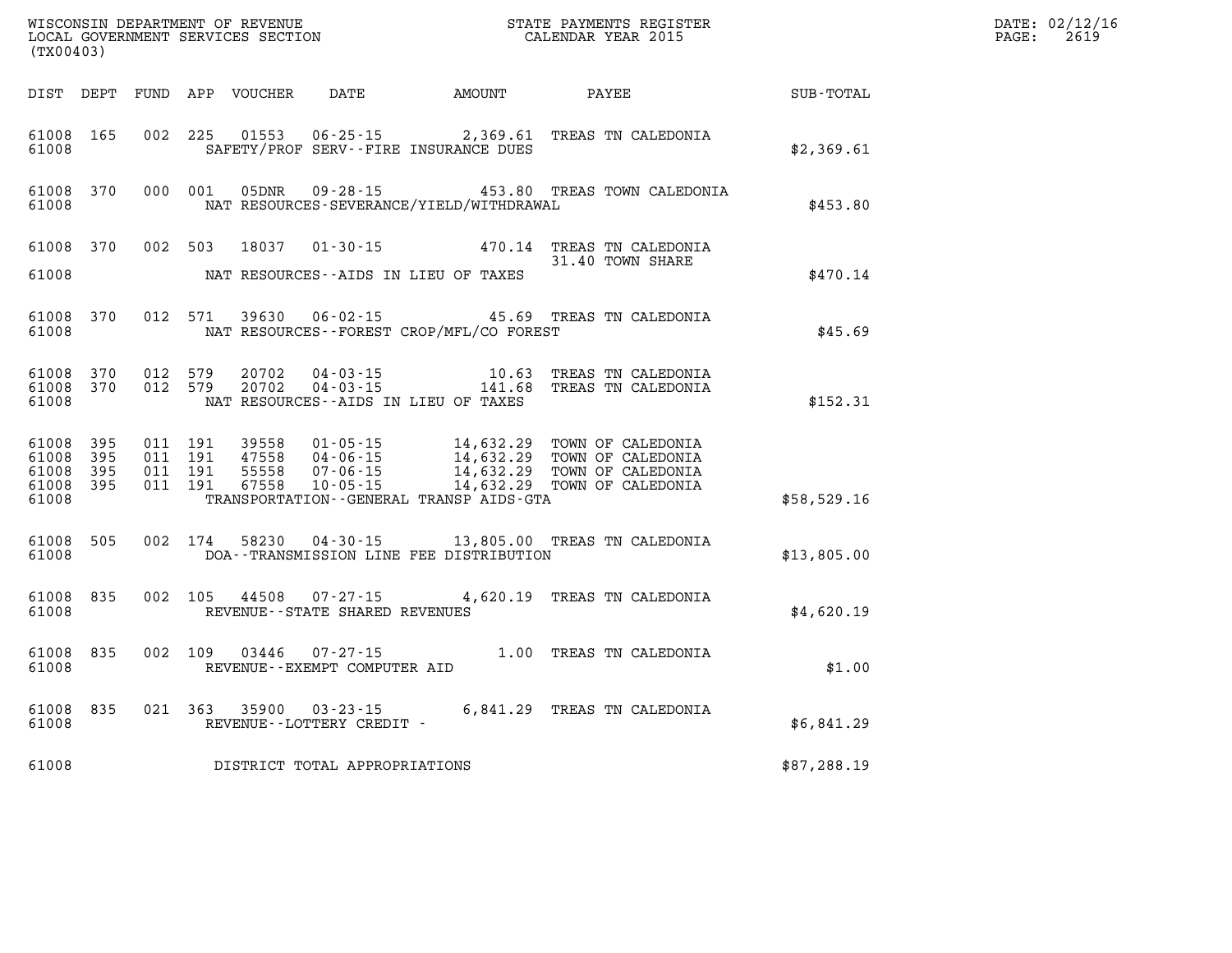| (TX00403)                                     |                        |                                          | WISCONSIN DEPARTMENT OF REVENUE<br>LOCAL GOVERNMENT SERVICES SECTION |                                                          |                                              | STATE PAYMENTS REGISTER<br>CALENDAR YEAR 2015                                                                            |              | DATE: 02/12/16<br>$\mathtt{PAGE}$ :<br>2619 |
|-----------------------------------------------|------------------------|------------------------------------------|----------------------------------------------------------------------|----------------------------------------------------------|----------------------------------------------|--------------------------------------------------------------------------------------------------------------------------|--------------|---------------------------------------------|
|                                               |                        |                                          | DIST DEPT FUND APP VOUCHER                                           | DATE                                                     | AMOUNT                                       | PAYEE                                                                                                                    | SUB-TOTAL    |                                             |
| 61008 165<br>61008                            |                        | 002 225                                  | 01553                                                                |                                                          | SAFETY/PROF SERV--FIRE INSURANCE DUES        | 06-25-15 2,369.61 TREAS TN CALEDONIA                                                                                     | \$2,369.61   |                                             |
| 61008                                         | 61008 370              | 000 001                                  | 05DNR                                                                |                                                          | NAT RESOURCES-SEVERANCE/YIELD/WITHDRAWAL     | 09-28-15 453.80 TREAS TOWN CALEDONIA                                                                                     | \$453.80     |                                             |
| 61008 370<br>61008                            |                        | 002 503                                  | 18037                                                                |                                                          | NAT RESOURCES--AIDS IN LIEU OF TAXES         | 01-30-15 470.14 TREAS TN CALEDONIA<br>31.40 TOWN SHARE                                                                   | \$470.14     |                                             |
| 61008 370<br>61008                            |                        | 012 571                                  | 39630                                                                | $06 - 02 - 15$                                           | NAT RESOURCES--FOREST CROP/MFL/CO FOREST     | 45.69 TREAS TN CALEDONIA                                                                                                 | \$45.69      |                                             |
| 61008                                         | 61008 370<br>61008 370 | 012 579<br>012 579                       | 20702<br>20702                                                       |                                                          | NAT RESOURCES--AIDS IN LIEU OF TAXES         |                                                                                                                          | \$152.31     |                                             |
| 61008 395<br>61008<br>61008<br>61008<br>61008 | 395<br>- 395<br>395    | 011 191<br>011 191<br>011 191<br>011 191 | 39558<br>47558<br>55558<br>67558                                     | $01 - 05 - 15$<br>04-06-15<br>07-06-15<br>$10 - 05 - 15$ | TRANSPORTATION - - GENERAL TRANSP AIDS - GTA | 14,632.29 TOWN OF CALEDONIA<br>14,632.29 TOWN OF CALEDONIA<br>14,632.29 TOWN OF CALEDONIA<br>14,632.29 TOWN OF CALEDONIA | \$58,529.16  |                                             |
| 61008 505<br>61008                            |                        | 002 174                                  | 58230                                                                |                                                          | DOA--TRANSMISSION LINE FEE DISTRIBUTION      | 04-30-15 13,805.00 TREAS TN CALEDONIA                                                                                    | \$13,805.00  |                                             |
| 61008 835<br>61008                            |                        | 002 105                                  | 44508                                                                | REVENUE - - STATE SHARED REVENUES                        |                                              | 07-27-15   4,620.19   TREAS TN CALEDONIA                                                                                 | \$4,620.19   |                                             |
| 61008 835<br>61008                            |                        | 002 109                                  | 03446                                                                | 07-27-15<br>REVENUE--EXEMPT COMPUTER AID                 |                                              | 1.00 TREAS TN CALEDONIA                                                                                                  | \$1.00       |                                             |
| 61008 835<br>61008                            |                        |                                          |                                                                      | 021 363 35900 03-23-15<br>REVENUE--LOTTERY CREDIT -      |                                              | 6,841.29 TREAS TN CALEDONIA                                                                                              | \$6,841.29   |                                             |
| 61008                                         |                        |                                          |                                                                      | DISTRICT TOTAL APPROPRIATIONS                            |                                              |                                                                                                                          | \$87, 288.19 |                                             |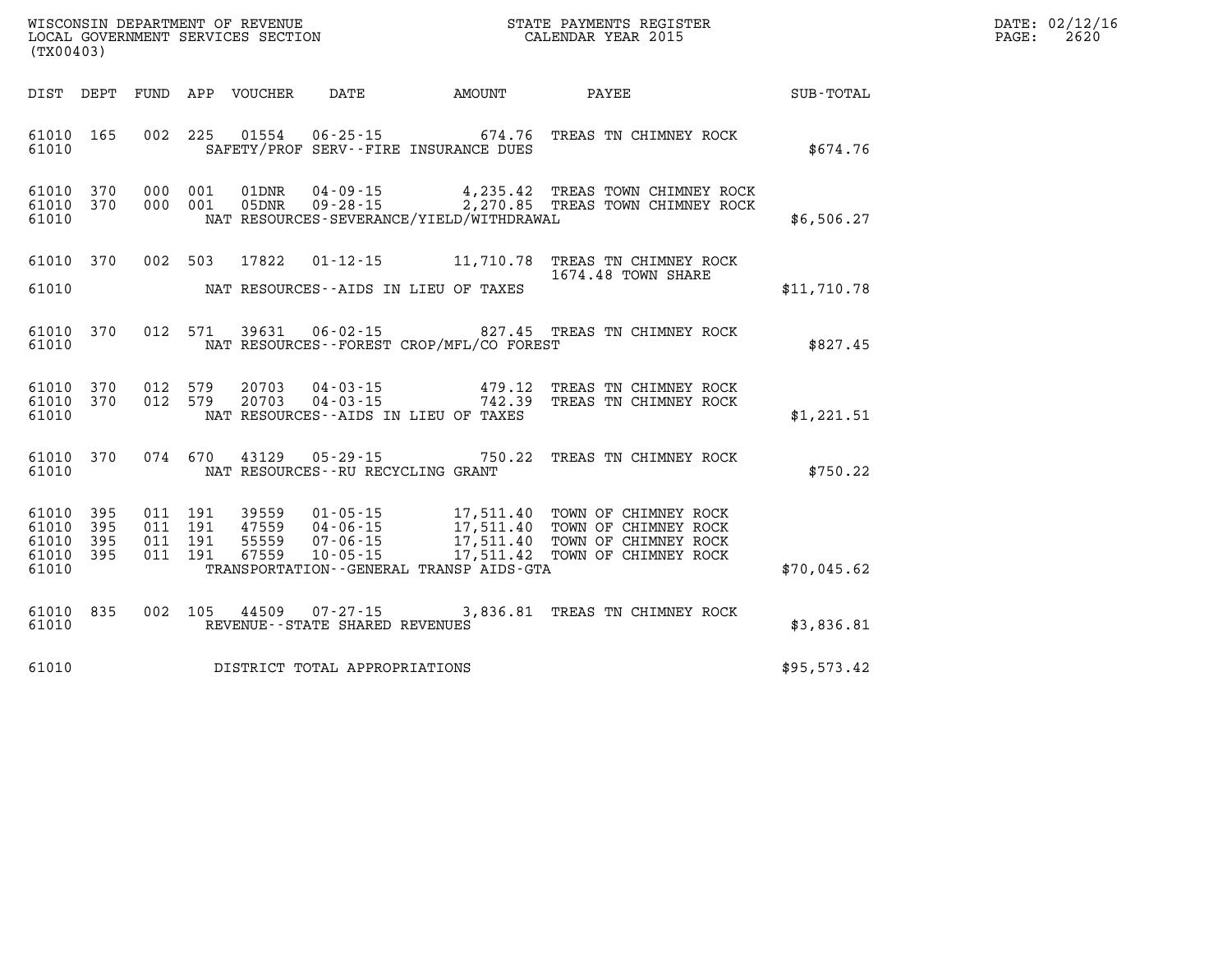| DATE: | 02/12/16 |
|-------|----------|
| PAGE: | 2620     |

| (TX00403)                                 |                          |                          |                          | WISCONSIN DEPARTMENT OF REVENUE<br>LOCAL GOVERNMENT SERVICES SECTION |                                                                      | STATE PAYMENTS REGISTER<br>CALENDAR YEAR 2015                                                    |                                                                                              |             |
|-------------------------------------------|--------------------------|--------------------------|--------------------------|----------------------------------------------------------------------|----------------------------------------------------------------------|--------------------------------------------------------------------------------------------------|----------------------------------------------------------------------------------------------|-------------|
| DIST                                      | DEPT                     | FUND                     | APP                      | VOUCHER DATE                                                         |                                                                      | <b>AMOUNT</b>                                                                                    | SUB-TOTAL<br>PAYEE                                                                           |             |
| 61010<br>61010                            | 165                      | 002                      | 225                      | 01554                                                                | $06 - 25 - 15$                                                       | 674.76<br>SAFETY/PROF SERV--FIRE INSURANCE DUES                                                  | TREAS TN CHIMNEY ROCK                                                                        | \$674.76    |
| 61010<br>61010<br>61010                   | 370<br>370               | 000<br>000               | 001<br>001               | 01DNR<br>05DNR                                                       | $04 - 09 - 15$<br>$09 - 28 - 15$                                     | NAT RESOURCES-SEVERANCE/YIELD/WITHDRAWAL                                                         | 4,235.42 TREAS TOWN CHIMNEY ROCK<br>2,270.85 TREAS TOWN CHIMNEY ROCK                         | \$6,506.27  |
| 61010<br>61010                            | 370                      | 002                      | 503                      | 17822                                                                | $01 - 12 - 15$                                                       | 11,710.78<br>NAT RESOURCES--AIDS IN LIEU OF TAXES                                                | TREAS TN CHIMNEY ROCK<br>1674.48 TOWN SHARE                                                  | \$11,710.78 |
| 61010<br>61010                            | 370                      | 012                      | 571                      | 39631                                                                | $06 - 02 - 15$                                                       | NAT RESOURCES - - FOREST CROP/MFL/CO FOREST                                                      | 827.45 TREAS TN CHIMNEY ROCK                                                                 | \$827.45    |
| 61010<br>61010<br>61010                   | 370<br>370               | 012<br>012               | 579<br>579               | 20703<br>20703                                                       | $04 - 03 - 15$<br>$04 - 03 - 15$                                     | 479.12<br>742.39<br>NAT RESOURCES -- AIDS IN LIEU OF TAXES                                       | TREAS TN CHIMNEY ROCK<br>TREAS TN CHIMNEY ROCK                                               | \$1,221.51  |
| 61010<br>61010                            | 370                      | 074                      | 670                      | 43129                                                                | $05 - 29 - 15$<br>NAT RESOURCES - - RU RECYCLING GRANT               | 750.22                                                                                           | TREAS TN CHIMNEY ROCK                                                                        | \$750.22    |
| 61010<br>61010<br>61010<br>61010<br>61010 | 395<br>395<br>395<br>395 | 011<br>011<br>011<br>011 | 191<br>191<br>191<br>191 | 39559<br>47559<br>55559<br>67559                                     | $01 - 05 - 15$<br>$04 - 06 - 15$<br>$07 - 06 - 15$<br>$10 - 05 - 15$ | 17,511.40<br>17,511.40<br>17,511.40<br>17,511.42<br>TRANSPORTATION - - GENERAL TRANSP AIDS - GTA | TOWN OF CHIMNEY ROCK<br>TOWN OF CHIMNEY ROCK<br>TOWN OF CHIMNEY ROCK<br>TOWN OF CHIMNEY ROCK | \$70,045.62 |
| 61010<br>61010                            | 835                      | 002                      | 105                      | 44509                                                                | 07-27-15<br>REVENUE - - STATE SHARED REVENUES                        | 3,836.81                                                                                         | TREAS TN CHIMNEY ROCK                                                                        | \$3,836.81  |
| 61010                                     |                          |                          |                          |                                                                      | DISTRICT TOTAL APPROPRIATIONS                                        |                                                                                                  |                                                                                              | \$95,573.42 |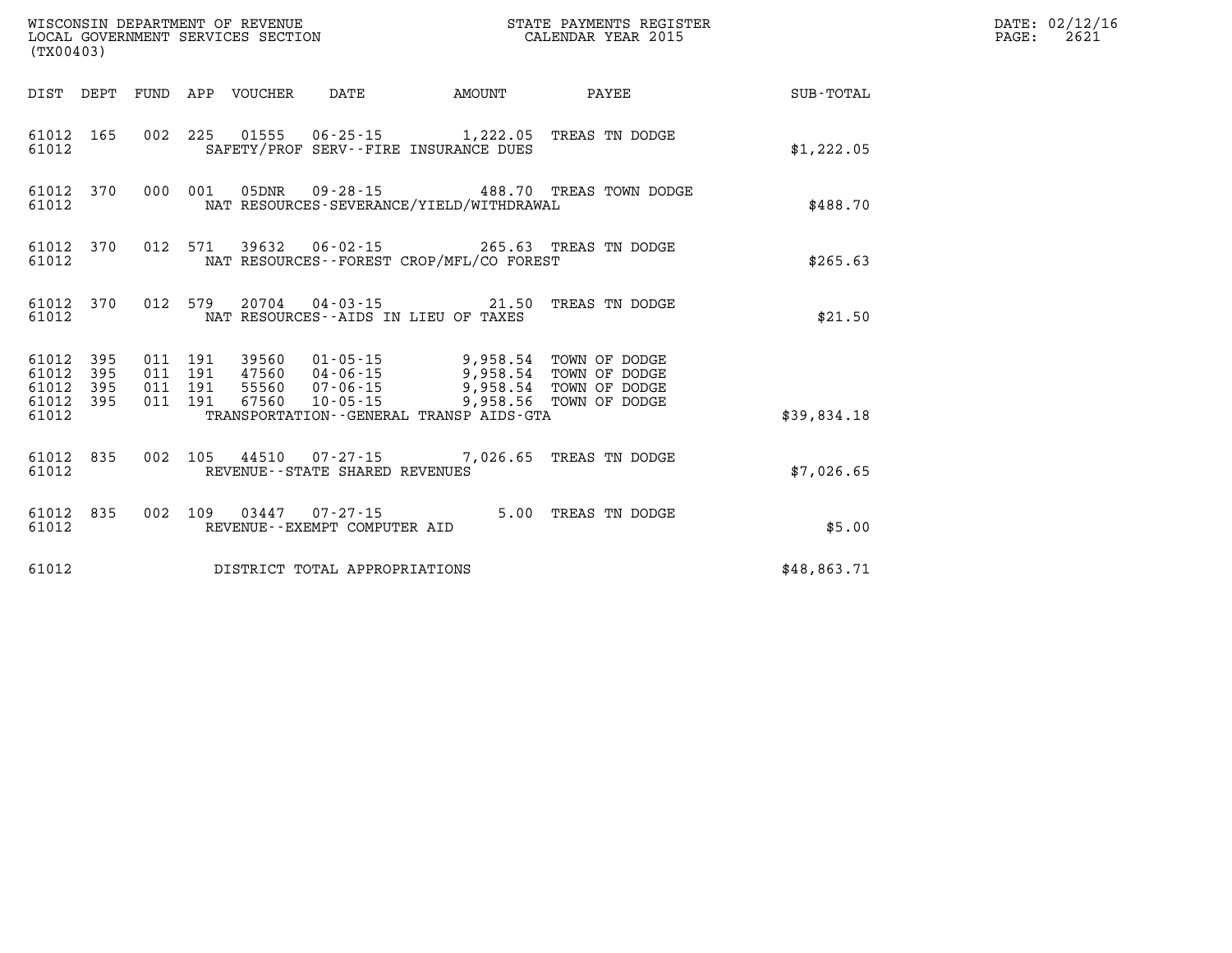| (TX00403)                                              |                               |                            | WISCONSIN DEPARTMENT OF REVENUE<br>LOCAL GOVERNMENT SERVICES SECTION                                                                      |        | STATE PAYMENTS REGISTER<br>CALENDAR YEAR 2015 |             | DATE: 02/12/16<br>$\mathtt{PAGE:}$<br>2621 |
|--------------------------------------------------------|-------------------------------|----------------------------|-------------------------------------------------------------------------------------------------------------------------------------------|--------|-----------------------------------------------|-------------|--------------------------------------------|
|                                                        |                               | DIST DEPT FUND APP VOUCHER | DATE                                                                                                                                      | AMOUNT | PAYEE                                         | SUB-TOTAL   |                                            |
| 61012 165<br>61012                                     |                               |                            | 002 225 01555 06-25-15 1,222.05 TREAS TN DODGE<br>SAFETY/PROF SERV--FIRE INSURANCE DUES                                                   |        |                                               | \$1,222.05  |                                            |
| 61012 370<br>61012                                     | 000 001                       | 05DNR                      | NAT RESOURCES-SEVERANCE/YIELD/WITHDRAWAL                                                                                                  |        | 09-28-15 488.70 TREAS TOWN DODGE              | \$488.70    |                                            |
| 61012 370<br>61012                                     |                               |                            | 012 571 39632 06-02-15 265.63 TREAS TN DODGE<br>NAT RESOURCES--FOREST CROP/MFL/CO FOREST                                                  |        |                                               | \$265.63    |                                            |
| 61012 370<br>61012                                     |                               |                            | 012 579 20704 04-03-15 21.50 TREAS TN DODGE<br>NAT RESOURCES--AIDS IN LIEU OF TAXES                                                       |        |                                               | \$21.50     |                                            |
| 61012 395<br>61012<br>395<br>61012<br>395<br>61012 395 | 011 191<br>011 191<br>011 191 | 011 191<br>67560           | 39560 01-05-15 9,958.54 TOWN OF DODGE<br>47560 04-06-15 9,958.54 TOWN OF DODGE<br>55560 07-06-15 9,958.54 TOWN OF DODGE<br>$10 - 05 - 15$ |        | 9,958.56 TOWN OF DODGE                        |             |                                            |
| 61012                                                  |                               |                            | TRANSPORTATION--GENERAL TRANSP AIDS-GTA                                                                                                   |        |                                               | \$39,834.18 |                                            |
| 61012 835<br>61012                                     |                               |                            | 002 105 44510 07-27-15 7,026.65 TREAS TN DODGE<br>REVENUE - - STATE SHARED REVENUES                                                       |        |                                               | \$7,026.65  |                                            |
| 61012 835<br>61012                                     |                               |                            | 002 109 03447 07-27-15 5.00 TREAS TN DODGE<br>REVENUE--EXEMPT COMPUTER AID                                                                |        |                                               | \$5.00      |                                            |
| 61012                                                  |                               |                            | DISTRICT TOTAL APPROPRIATIONS                                                                                                             |        |                                               | \$48,863.71 |                                            |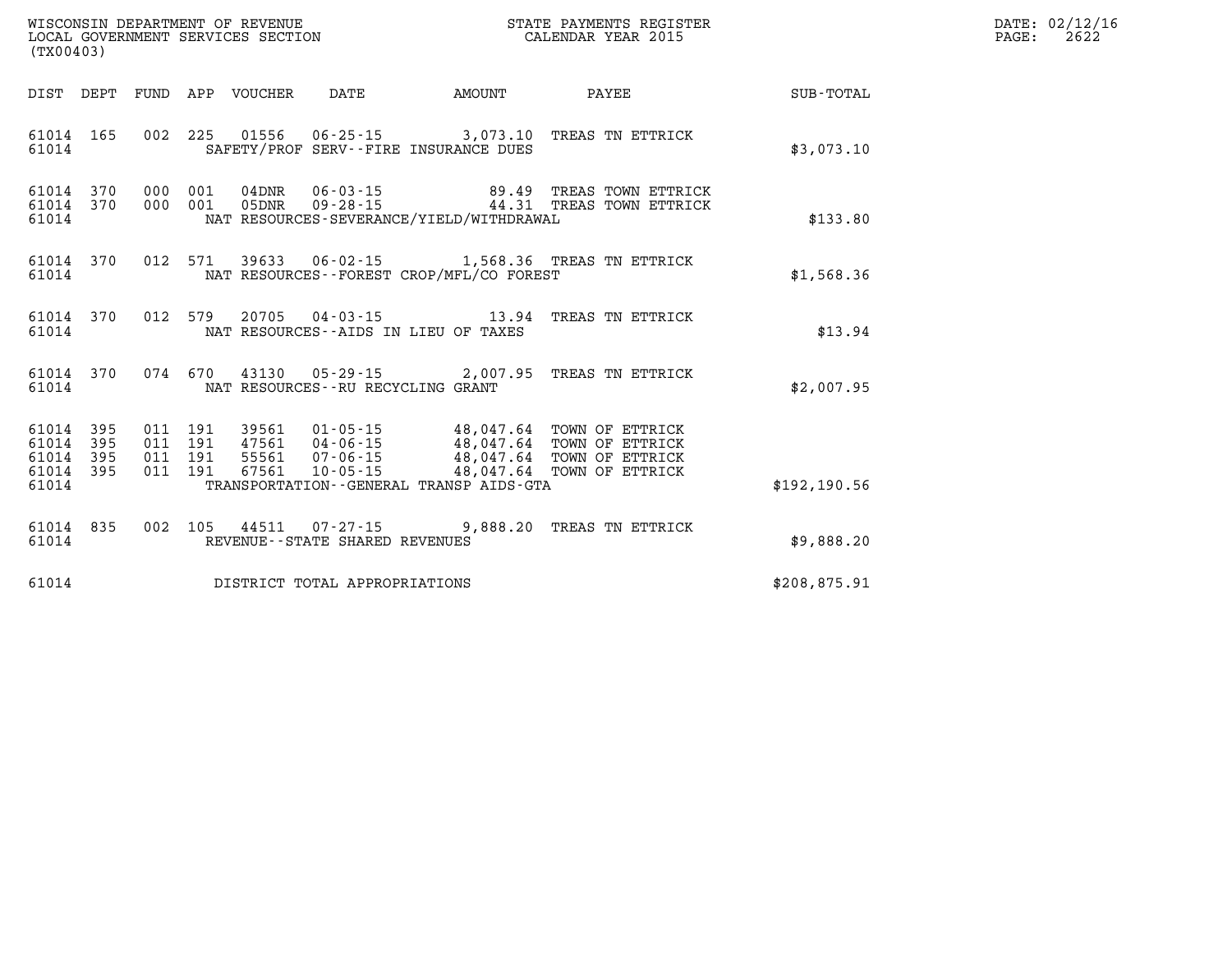| PAGE: | DATE: 02/12/16<br>2622 |
|-------|------------------------|
|-------|------------------------|

|                                           | WISCONSIN DEPARTMENT OF REVENUE<br>STATE PAYMENTS REGISTER<br>LOCAL GOVERNMENT SERVICES SECTION<br>CALENDAR YEAR 2015<br>(TX00403) |                          |                          |                         |                                                     |                                                                      |                                                                                                                                                                              |               |
|-------------------------------------------|------------------------------------------------------------------------------------------------------------------------------------|--------------------------|--------------------------|-------------------------|-----------------------------------------------------|----------------------------------------------------------------------|------------------------------------------------------------------------------------------------------------------------------------------------------------------------------|---------------|
| DIST                                      | DEPT                                                                                                                               | FUND                     | APP                      | VOUCHER                 | DATE                                                | AMOUNT                                                               | PAYEE                                                                                                                                                                        | SUB-TOTAL     |
| 61014 165<br>61014                        |                                                                                                                                    | 002                      | 225                      |                         |                                                     | $01556$ $06-25-15$ 3,073.10<br>SAFETY/PROF SERV--FIRE INSURANCE DUES | TREAS TN ETTRICK                                                                                                                                                             | \$3,073.10    |
| 61014<br>61014<br>61014                   | 370<br>370                                                                                                                         | 000<br>000               | 001<br>001               |                         |                                                     | NAT RESOURCES-SEVERANCE/YIELD/WITHDRAWAL                             | 04DNR  06-03-15  89.49 TREAS TOWN ETTRICK<br>05DNR  09-28-15  44.31 TREAS TOWN ETTRICK                                                                                       | \$133.80      |
| 61014 370<br>61014                        |                                                                                                                                    | 012                      | 571                      | 39633                   |                                                     | NAT RESOURCES - - FOREST CROP/MFL/CO FOREST                          | 06-02-15 1,568.36 TREAS TN ETTRICK                                                                                                                                           | \$1,568.36    |
| 61014<br>61014                            | 370                                                                                                                                | 012                      | 579                      |                         |                                                     | NAT RESOURCES -- AIDS IN LIEU OF TAXES                               | 20705  04-03-15  13.94  TREAS TN ETTRICK                                                                                                                                     | \$13.94       |
| 61014<br>61014                            | 370                                                                                                                                |                          | 074 670                  |                         | NAT RESOURCES - - RU RECYCLING GRANT                | 43130 05-29-15 2,007.95                                              | TREAS TN ETTRICK                                                                                                                                                             | \$2,007.95    |
| 61014<br>61014<br>61014<br>61014<br>61014 | 395<br>395<br>395<br>395                                                                                                           | 011<br>011<br>011<br>011 | 191<br>191<br>191<br>191 | 47561<br>55561<br>67561 | 04 - 06 - 15<br>07 - 06 - 15<br>$10 - 05 - 15$      | 48,047.64<br>48,047.64<br>TRANSPORTATION--GENERAL TRANSP AIDS-GTA    | 39561  01-05-15  48,047.64 TOWN OF ETTRICK<br>47561  04-06-15  48,047.64 TOWN OF ETTRICK<br>55561  07-06-15  48.047.64 TOWN OF ETTRICK<br>TOWN OF ETTRICK<br>TOWN OF ETTRICK | \$192, 190.56 |
| 61014<br>61014                            | 835                                                                                                                                | 002                      | 105                      | 44511                   | $07 - 27 - 15$<br>REVENUE - - STATE SHARED REVENUES | 9,888.20                                                             | TREAS TN ETTRICK                                                                                                                                                             | \$9,888.20    |
| 61014                                     |                                                                                                                                    |                          |                          |                         | DISTRICT TOTAL APPROPRIATIONS                       |                                                                      |                                                                                                                                                                              | \$208,875.91  |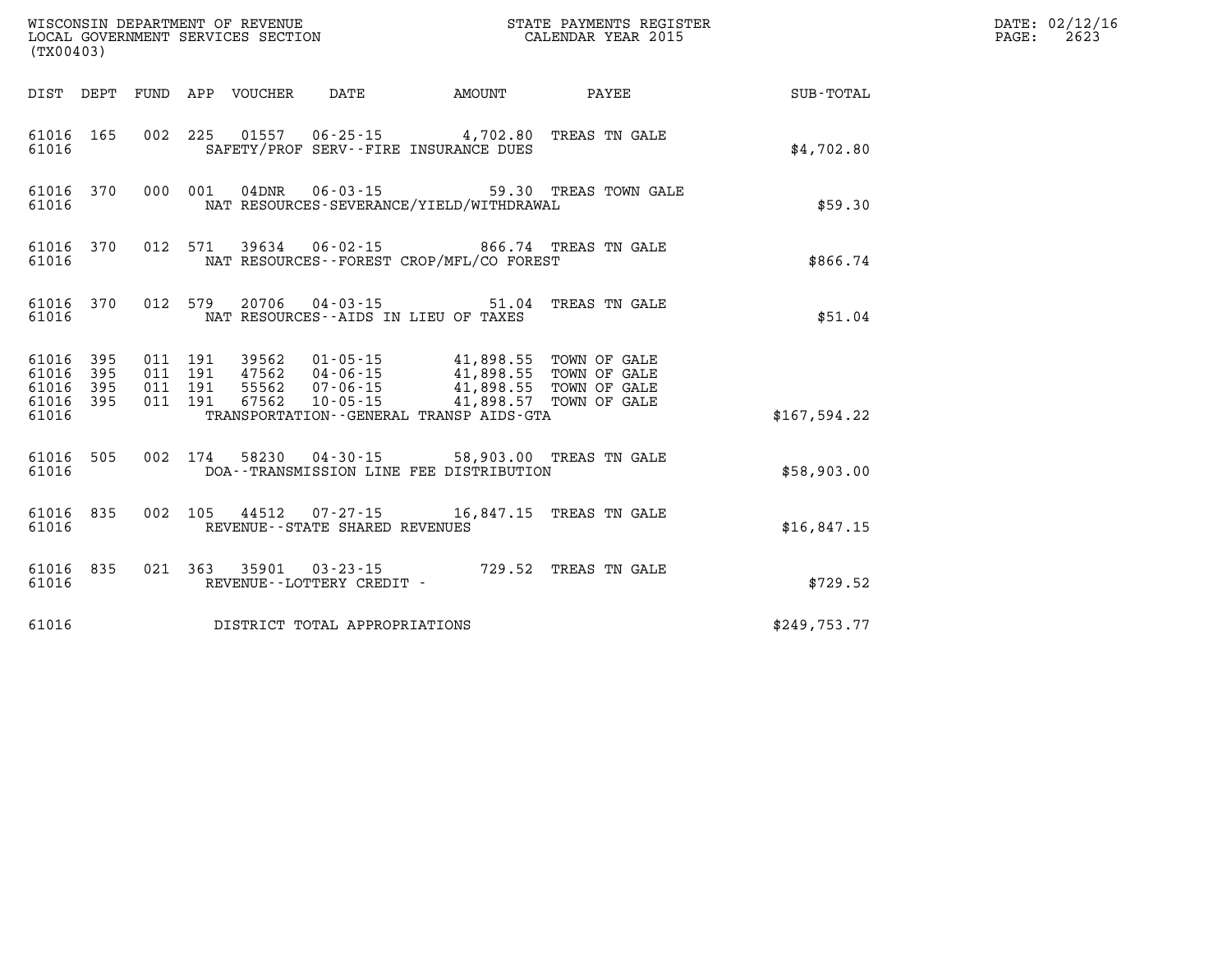| (TX00403)                       |           |  | WISCONSIN DEPARTMENT OF REVENUE<br>LOCAL GOVERNMENT SERVICES SECTION |                                                                                                                                                                                                                                                                                                                                                | STATE PAYMENTS REGISTER<br>CALENDAR YEAR 2015          |               | DATE: 02/12/16<br>$\mathtt{PAGE:}$<br>2623 |
|---------------------------------|-----------|--|----------------------------------------------------------------------|------------------------------------------------------------------------------------------------------------------------------------------------------------------------------------------------------------------------------------------------------------------------------------------------------------------------------------------------|--------------------------------------------------------|---------------|--------------------------------------------|
|                                 |           |  |                                                                      |                                                                                                                                                                                                                                                                                                                                                | DIST DEPT FUND APP VOUCHER DATE AMOUNT PAYEE           | SUB-TOTAL     |                                            |
| 61016                           | 61016 165 |  |                                                                      | 002 225 01557 06-25-15 4,702.80 TREAS TN GALE<br>SAFETY/PROF SERV--FIRE INSURANCE DUES                                                                                                                                                                                                                                                         |                                                        | \$4,702.80    |                                            |
| 61016                           |           |  |                                                                      | NAT RESOURCES-SEVERANCE/YIELD/WITHDRAWAL                                                                                                                                                                                                                                                                                                       | 61016 370 000 001 04DNR 06-03-15 59.30 TREAS TOWN GALE | \$59.30       |                                            |
| 61016                           | 61016 370 |  |                                                                      | 012 571 39634 06-02-15 866.74 TREAS TN GALE<br>NAT RESOURCES - - FOREST CROP/MFL/CO FOREST                                                                                                                                                                                                                                                     |                                                        | \$866.74      |                                            |
| 61016                           | 61016 370 |  |                                                                      | 012 579 20706 04-03-15 51.04 TREAS TN GALE<br>NAT RESOURCES--AIDS IN LIEU OF TAXES                                                                                                                                                                                                                                                             |                                                        | \$51.04       |                                            |
| 61016 395<br>61016 395          |           |  |                                                                      | $\begin{array}{cccc} 011 & 191 & 39562 & 01\cdot 05\cdot 15 & 41,898.55 & \text{TOWN OF GALE} \\ 011 & 191 & 47562 & 04\cdot 06\cdot 15 & 41,898.55 & \text{TOWN OF GALE} \\ 011 & 191 & 55562 & 07\cdot 06\cdot 15 & 41,898.55 & \text{TOWN OF GALE} \\ 011 & 191 & 67562 & 10\cdot 05\cdot 15 & 41,898.57 & \text{TOWN OF GALE} \end{array}$ |                                                        |               |                                            |
| 61016 395<br>61016 395<br>61016 |           |  |                                                                      | TRANSPORTATION - - GENERAL TRANSP AIDS - GTA                                                                                                                                                                                                                                                                                                   |                                                        | \$167, 594.22 |                                            |
| 61016                           | 61016 505 |  |                                                                      | 002 174 58230 04-30-15 58,903.00 TREAS TN GALE<br>DOA--TRANSMISSION LINE FEE DISTRIBUTION                                                                                                                                                                                                                                                      |                                                        | \$58,903.00   |                                            |
| 61016                           | 61016 835 |  | REVENUE - - STATE SHARED REVENUES                                    | 002 105 44512 07-27-15 16,847.15 TREAS TN GALE                                                                                                                                                                                                                                                                                                 |                                                        | \$16.847.15   |                                            |
| 61016                           | 61016 835 |  | REVENUE - - LOTTERY CREDIT -                                         | 021 363 35901 03-23-15 729.52 TREAS TN GALE                                                                                                                                                                                                                                                                                                    |                                                        | \$729.52      |                                            |
| 61016                           |           |  | DISTRICT TOTAL APPROPRIATIONS                                        |                                                                                                                                                                                                                                                                                                                                                |                                                        | \$249,753.77  |                                            |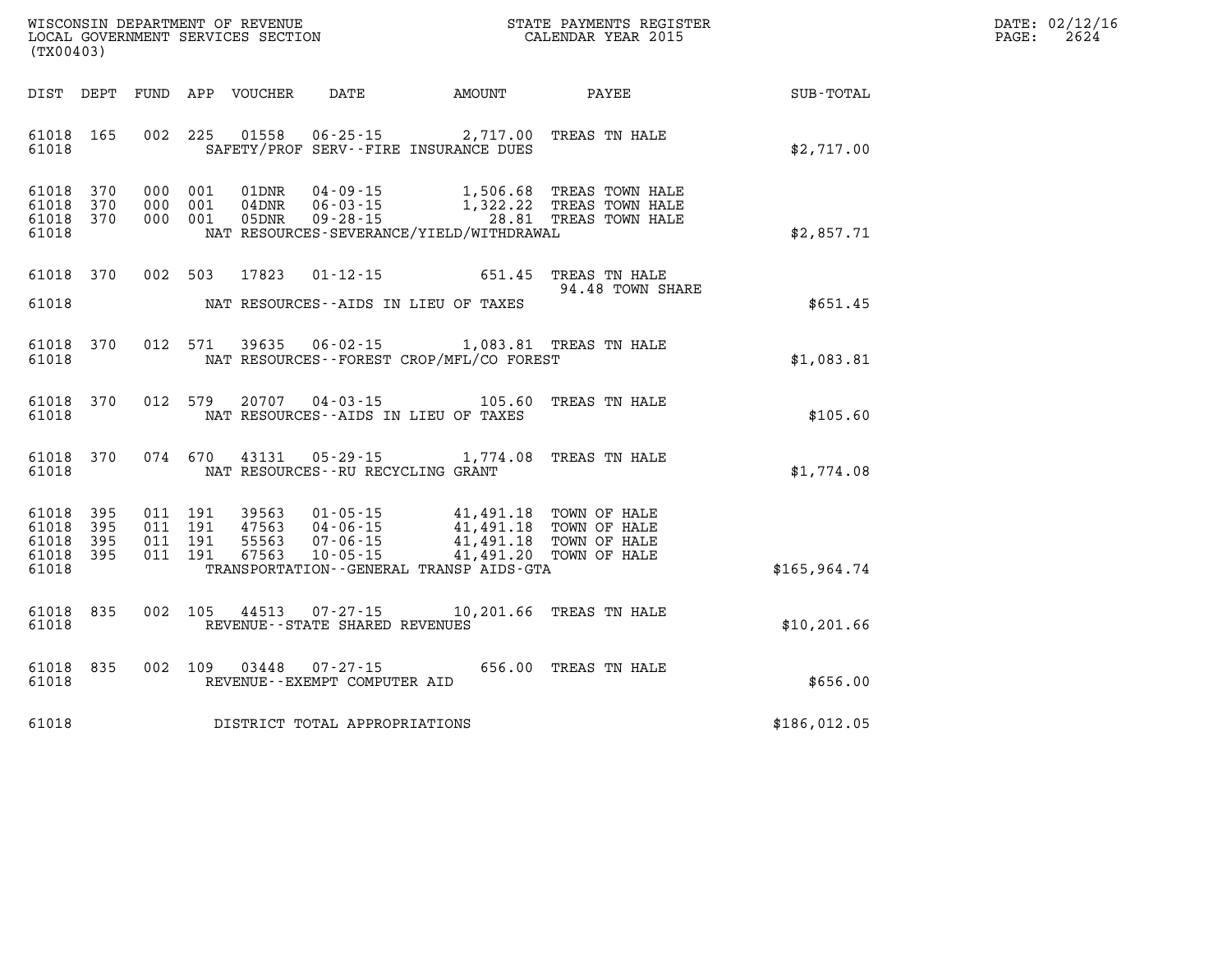| WISCONSIN DEPARTMENT OF REVENUE   | STATE PAYMENTS REGISTER | DATE: 02/12/16 |
|-----------------------------------|-------------------------|----------------|
| LOCAL GOVERNMENT SERVICES SECTION | CALENDAR YEAR 2015      | 2624<br>PAGE:  |

|                                               | LOCAL GOVERNMENT SERVICES SECTION<br>(TX00403) |  |                                          |                            |                                                     |                                                                                  | CALENDAR YEAR 2015                                                                              |              | PAGE: | 2624 |
|-----------------------------------------------|------------------------------------------------|--|------------------------------------------|----------------------------|-----------------------------------------------------|----------------------------------------------------------------------------------|-------------------------------------------------------------------------------------------------|--------------|-------|------|
| DIST DEPT                                     |                                                |  |                                          |                            |                                                     |                                                                                  |                                                                                                 |              |       |      |
| 61018 165<br>61018                            |                                                |  | 002 225                                  |                            |                                                     | 01558  06-25-15  2,717.00 TREAS TN HALE<br>SAFETY/PROF SERV--FIRE INSURANCE DUES |                                                                                                 | \$2,717.00   |       |      |
| 61018 370<br>61018<br>61018<br>61018          | 370<br>370                                     |  | 000 001<br>000 001<br>000 001            | 01DNR<br>$04$ DNR<br>05DNR | $09 - 28 - 15$                                      | NAT RESOURCES-SEVERANCE/YIELD/WITHDRAWAL                                         | 04-09-15 1,506.68 TREAS TOWN HALE<br>06-03-15 1,322.22 TREAS TOWN HALE<br>28.81 TREAS TOWN HALE | \$2,857.71   |       |      |
| 61018 370                                     |                                                |  | 002 503                                  | 17823                      |                                                     | 01-12-15 651.45 TREAS TN HALE                                                    | 94.48 TOWN SHARE                                                                                |              |       |      |
| 61018                                         |                                                |  |                                          |                            |                                                     | NAT RESOURCES--AIDS IN LIEU OF TAXES                                             |                                                                                                 | \$651.45     |       |      |
| 61018<br>61018                                | 370                                            |  | 012 571                                  | 39635                      |                                                     | 06-02-15 1,083.81 TREAS TN HALE<br>NAT RESOURCES--FOREST CROP/MFL/CO FOREST      |                                                                                                 | \$1,083.81   |       |      |
| 61018 370<br>61018                            |                                                |  | 012 579                                  | 20707                      |                                                     | 04-03-15 105.60 TREAS TN HALE<br>NAT RESOURCES -- AIDS IN LIEU OF TAXES          |                                                                                                 | \$105.60     |       |      |
| 61018 370<br>61018                            |                                                |  | 074 670                                  | 43131                      |                                                     | 05-29-15 1,774.08 TREAS TN HALE<br>NAT RESOURCES -- RU RECYCLING GRANT           |                                                                                                 | \$1,774.08   |       |      |
| 61018 395<br>61018<br>61018<br>61018<br>61018 | 395<br>395<br>- 395                            |  | 011 191<br>011 191<br>011 191<br>011 191 |                            |                                                     | TRANSPORTATION - - GENERAL TRANSP AIDS - GTA                                     |                                                                                                 | \$165,964.74 |       |      |
| 61018<br>61018                                | 835                                            |  |                                          | 002 105 44513              | $07 - 27 - 15$<br>REVENUE - - STATE SHARED REVENUES |                                                                                  | 10,201.66 TREAS TN HALE                                                                         | \$10, 201.66 |       |      |
| 61018<br>61018                                | 835                                            |  |                                          | 002 109 03448              | $07 - 27 - 15$<br>REVENUE--EXEMPT COMPUTER AID      |                                                                                  | 656.00 TREAS TN HALE                                                                            | \$656.00     |       |      |
| 61018                                         |                                                |  |                                          |                            | DISTRICT TOTAL APPROPRIATIONS                       |                                                                                  |                                                                                                 | \$186,012.05 |       |      |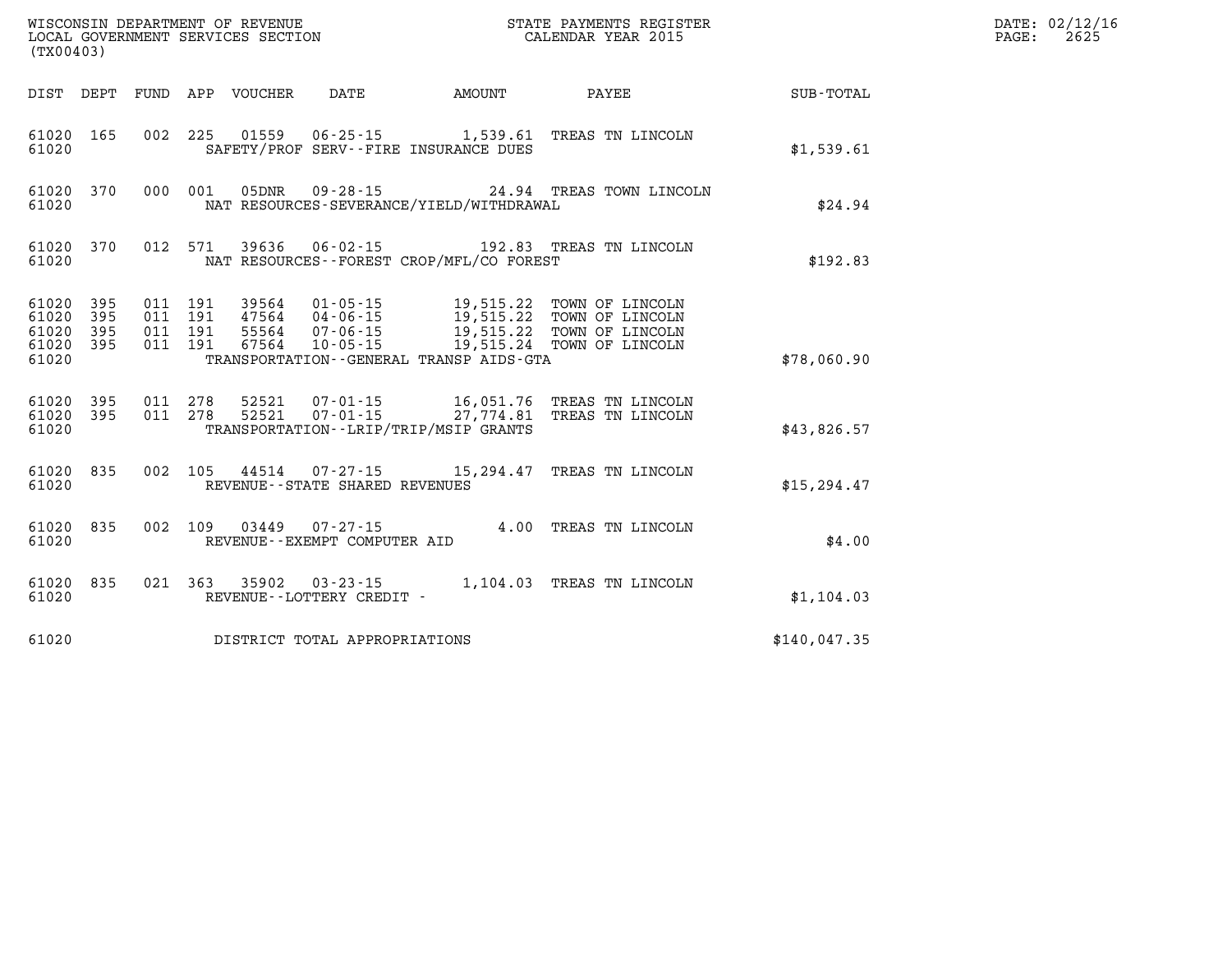| (TX00403)                   |                               |                                          |                                 | WISCONSIN DEPARTMENT OF REVENUE<br>LOCAL GOVERNMENT SERVICES SECTION | STATE PAYMENTS REGISTER<br>CALENDAR YEAR 2015 |                                                                                                                                                                                       | DATE: 02/12/16<br>2625<br>PAGE: |  |
|-----------------------------|-------------------------------|------------------------------------------|---------------------------------|----------------------------------------------------------------------|-----------------------------------------------|---------------------------------------------------------------------------------------------------------------------------------------------------------------------------------------|---------------------------------|--|
|                             |                               |                                          | DIST DEPT FUND APP VOUCHER DATE |                                                                      | <b>AMOUNT</b>                                 | <b>PAYEE</b>                                                                                                                                                                          | SUB-TOTAL                       |  |
| 61020                       | 61020 165                     |                                          |                                 |                                                                      | SAFETY/PROF SERV--FIRE INSURANCE DUES         | 002 225 01559 06-25-15 1,539.61 TREAS TN LINCOLN                                                                                                                                      | \$1,539.61                      |  |
| 61020                       | 61020 370                     | 000 001                                  |                                 |                                                                      | NAT RESOURCES-SEVERANCE/YIELD/WITHDRAWAL      | 05DNR 09-28-15 24.94 TREAS TOWN LINCOLN                                                                                                                                               | \$24.94                         |  |
| 61020                       | 61020 370                     | 012 571                                  |                                 |                                                                      | NAT RESOURCES - - FOREST CROP/MFL/CO FOREST   | 39636 06-02-15 192.83 TREAS TN LINCOLN                                                                                                                                                | \$192.83                        |  |
| 61020 395<br>61020<br>61020 | 61020 395<br>395<br>61020 395 | 011 191<br>011 191<br>011 191<br>011 191 |                                 |                                                                      | TRANSPORTATION--GENERAL TRANSP AIDS-GTA       | 39564  01-05-15  19,515.22  TOWN OF LINCOLN<br>47564 04-06-15 19,515.22 TOWN OF LINCOLN<br>55564  07-06-15  19,515.22  TOWN OF LINCOLN<br>67564  10-05-15  19,515.24  TOWN OF LINCOLN | \$78,060.90                     |  |
| 61020                       | 61020 395<br>61020 395        | 011 278<br>011 278                       |                                 |                                                                      | TRANSPORTATION - - LRIP/TRIP/MSIP GRANTS      | 52521  07-01-15   16,051.76   TREAS TN LINCOLN<br>52521  07-01-15  27,774.81  TREAS TN LINCOLN                                                                                        | \$43,826.57                     |  |
| 61020                       | 61020 835                     |                                          |                                 | REVENUE - - STATE SHARED REVENUES                                    |                                               | 002 105 44514 07-27-15 15,294.47 TREAS TN LINCOLN                                                                                                                                     | \$15, 294.47                    |  |
| 61020                       | 61020 835                     |                                          |                                 | 002 109 03449 07-27-15<br>REVENUE--EXEMPT COMPUTER AID               |                                               | 4.00 TREAS TN LINCOLN                                                                                                                                                                 | \$4.00                          |  |
| 61020                       | 61020 835                     |                                          |                                 | REVENUE--LOTTERY CREDIT -                                            |                                               | 021 363 35902 03-23-15 1,104.03 TREAS TN LINCOLN                                                                                                                                      | \$1,104.03                      |  |
| 61020                       |                               |                                          |                                 | DISTRICT TOTAL APPROPRIATIONS                                        |                                               |                                                                                                                                                                                       | \$140,047.35                    |  |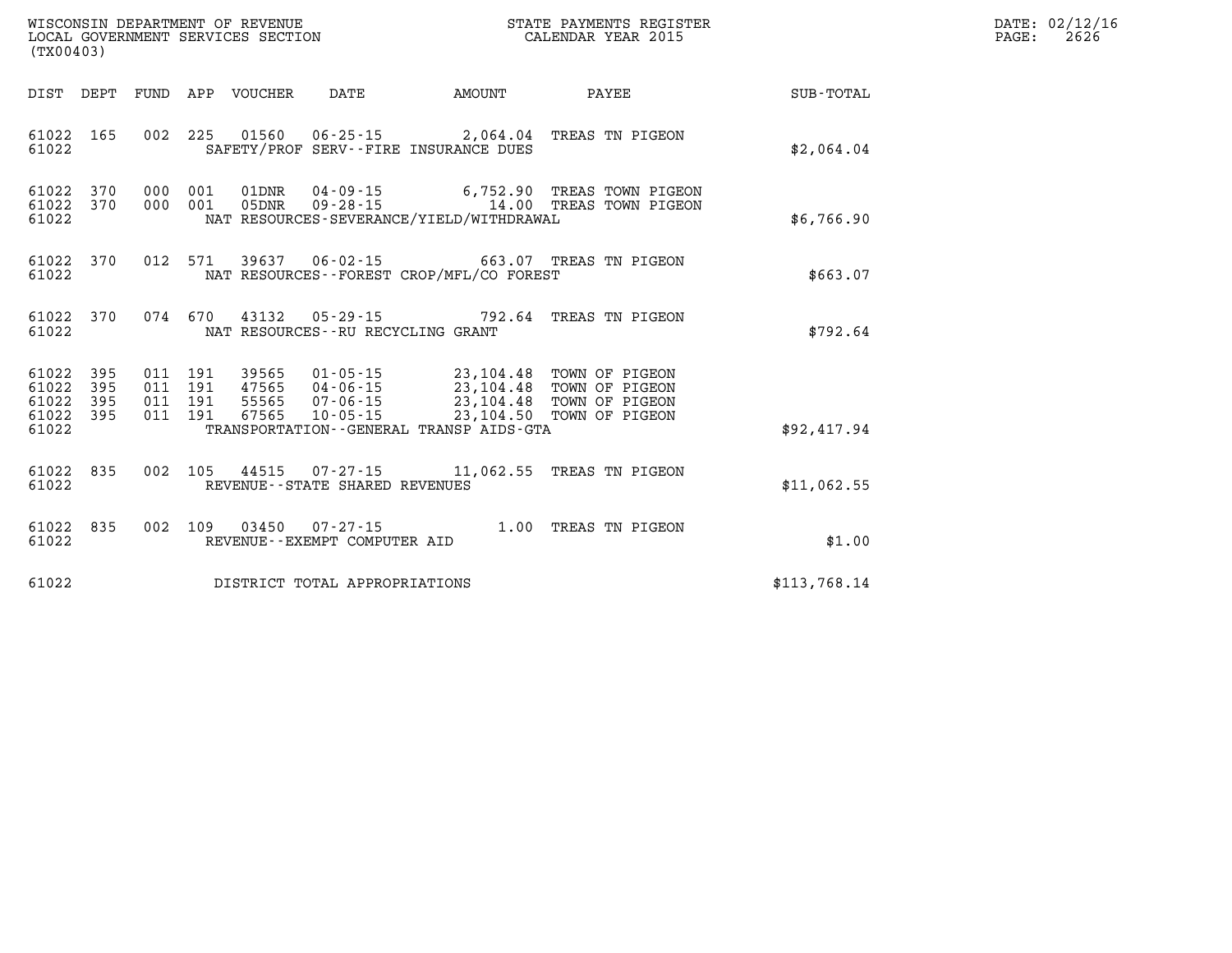| WISCONSIN DEPARTMENT OF REVENUE   | STATE PAYMENTS REGISTER | DATE: 02/12/16 |
|-----------------------------------|-------------------------|----------------|
| LOCAL GOVERNMENT SERVICES SECTION | CALENDAR YEAR 2015      | 2626<br>PAGE:  |
| .                                 |                         |                |

|                                                           | LOCAL GOVERNMENT SERVICES SECTION<br>(TX00403) |  |  |  |                                |                                          | CALENDAR YEAR 2015                                                                                                                                                                                       |              | PAGE: | 2626 |
|-----------------------------------------------------------|------------------------------------------------|--|--|--|--------------------------------|------------------------------------------|----------------------------------------------------------------------------------------------------------------------------------------------------------------------------------------------------------|--------------|-------|------|
|                                                           |                                                |  |  |  |                                |                                          |                                                                                                                                                                                                          |              |       |      |
| 61022 165<br>61022                                        |                                                |  |  |  |                                | SAFETY/PROF SERV--FIRE INSURANCE DUES    | 002 225 01560 06-25-15 2,064.04 TREAS TN PIGEON                                                                                                                                                          | \$2,064.04   |       |      |
| 61022 370<br>61022 370<br>61022                           |                                                |  |  |  |                                | NAT RESOURCES-SEVERANCE/YIELD/WITHDRAWAL | 000 001 01DNR 04-09-15 6,752.90 TREAS TOWN PIGEON<br>000 001 05DNR 09-28-15 14.00 TREAS TOWN PIGEON                                                                                                      | \$6,766.90   |       |      |
| 61022 370<br>61022                                        |                                                |  |  |  |                                | NAT RESOURCES--FOREST CROP/MFL/CO FOREST | 012 571 39637 06-02-15 663.07 TREAS TN PIGEON                                                                                                                                                            | \$663.07     |       |      |
| 61022                                                     |                                                |  |  |  |                                | NAT RESOURCES--RU RECYCLING GRANT        | 61022 370 074 670 43132 05-29-15 792.64 TREAS TN PIGEON                                                                                                                                                  | \$792.64     |       |      |
| 61022 395<br>61022 395<br>61022 395<br>61022 395<br>61022 |                                                |  |  |  |                                | TRANSPORTATION--GENERAL TRANSP AIDS-GTA  | 011 191 39565 01-05-15 23,104.48 TOWN OF PIGEON<br>011 191 47565 04-06-15 23,104.48 TOWN OF PIGEON<br>011 191 55565 07-06-15 23,104.48 TOWN OF PIGEON<br>011 191 67565 10-05-15 23,104.50 TOWN OF PIGEON | \$92,417.94  |       |      |
| 61022                                                     |                                                |  |  |  | REVENUE--STATE SHARED REVENUES |                                          | 61022 835 002 105 44515 07-27-15 11,062.55 TREAS TN PIGEON                                                                                                                                               | \$11,062.55  |       |      |
| 61022 835<br>61022                                        |                                                |  |  |  |                                |                                          | 002 109 03450 07-27-15 1.00 TREAS TN PIGEON REVENUE--EXEMPT COMPUTER AID                                                                                                                                 | \$1.00       |       |      |
| 61022                                                     |                                                |  |  |  | DISTRICT TOTAL APPROPRIATIONS  |                                          |                                                                                                                                                                                                          | \$113,768.14 |       |      |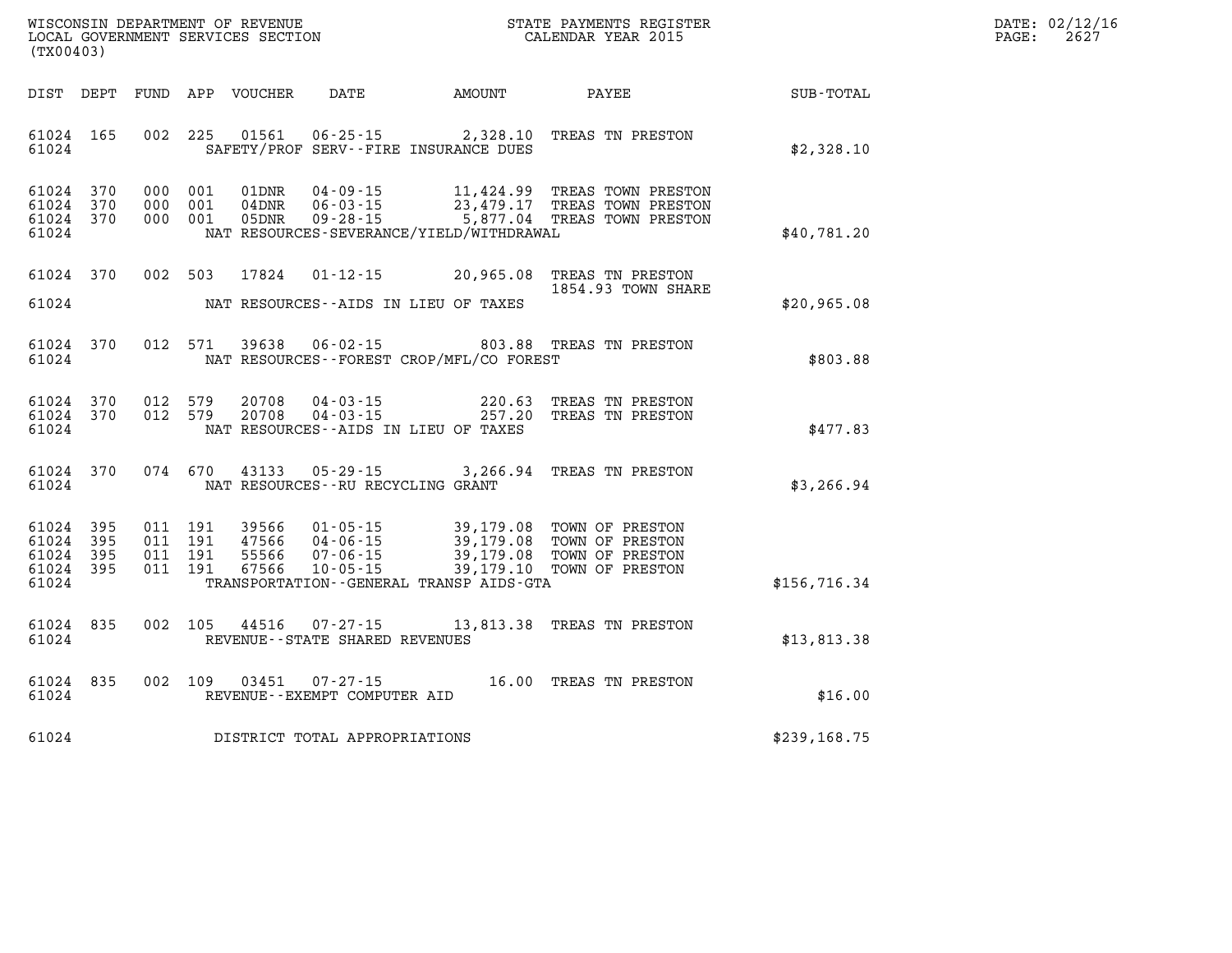| $\mathtt{DATE}$ : | 02/12/16 |
|-------------------|----------|
| PAGE:             | 2627     |

|                                           | WISCONSIN DEPARTMENT OF REVENUE<br>STATE PAYMENTS REGISTER<br>LOCAL GOVERNMENT SERVICES SECTION<br>CALENDAR YEAR 2015<br>(TX00403) |                          |                          |                                  |                                                                                                                 |                                                  |                                                                          |              |
|-------------------------------------------|------------------------------------------------------------------------------------------------------------------------------------|--------------------------|--------------------------|----------------------------------|-----------------------------------------------------------------------------------------------------------------|--------------------------------------------------|--------------------------------------------------------------------------|--------------|
| DIST                                      | DEPT                                                                                                                               | FUND                     | APP                      | VOUCHER                          | DATE                                                                                                            | AMOUNT                                           | PAYEE                                                                    | SUB-TOTAL    |
| 61024<br>61024                            | 165                                                                                                                                | 002                      | 225                      | 01561                            | $06 - 25 - 15$ 2,328.10<br>SAFETY/PROF SERV--FIRE INSURANCE DUES                                                |                                                  | TREAS TN PRESTON                                                         | \$2,328.10   |
| 61024<br>61024<br>61024<br>61024          | 370<br>370<br>370                                                                                                                  | 000<br>000<br>000        | 001<br>001<br>001        | 01DNR<br>04DNR<br>05DNR          | $04 - 09 - 15$<br>$06 - 03 - 15$<br>$09 - 28 - 15$<br>NAT RESOURCES-SEVERANCE/YIELD/WITHDRAWAL                  | 11,424.99<br>23,479.17<br>5,877.04               | TREAS TOWN PRESTON<br>TREAS TOWN PRESTON<br>TREAS TOWN PRESTON           | \$40,781.20  |
| 61024                                     | 370                                                                                                                                | 002                      | 503                      | 17824                            | $01 - 12 - 15$ 20,965.08                                                                                        |                                                  | TREAS TN PRESTON<br>1854.93 TOWN SHARE                                   |              |
| 61024                                     |                                                                                                                                    |                          |                          |                                  | NAT RESOURCES -- AIDS IN LIEU OF TAXES                                                                          |                                                  |                                                                          | \$20,965.08  |
| 61024<br>61024                            | 370                                                                                                                                | 012                      | 571                      | 39638                            | $06 - 02 - 15$<br>NAT RESOURCES--FOREST CROP/MFL/CO FOREST                                                      |                                                  | 803.88 TREAS TN PRESTON                                                  | \$803.88     |
| 61024<br>61024<br>61024                   | 370<br>370                                                                                                                         | 012<br>012               | 579<br>579               | 20708<br>20708                   | $04 - 03 - 15$<br>$04 - 03 - 15$<br>NAT RESOURCES - AIDS IN LIEU OF TAXES                                       | 220.63<br>257.20                                 | TREAS TN PRESTON<br>TREAS TN PRESTON                                     | \$477.83     |
| 61024<br>61024                            | 370                                                                                                                                | 074                      | 670                      | 43133                            | $05 - 29 - 15$ 3, 266.94<br>NAT RESOURCES -- RU RECYCLING GRANT                                                 |                                                  | TREAS TN PRESTON                                                         | \$3,266.94   |
| 61024<br>61024<br>61024<br>61024<br>61024 | 395<br>395<br>395<br>395                                                                                                           | 011<br>011<br>011<br>011 | 191<br>191<br>191<br>191 | 39566<br>47566<br>55566<br>67566 | $01 - 05 - 15$<br>$04 - 06 - 15$<br>$07 - 06 - 15$<br>$10 - 05 - 15$<br>TRANSPORTATION--GENERAL TRANSP AIDS-GTA | 39,179.08<br>39,179.08<br>39,179.08<br>39,179.10 | TOWN OF PRESTON<br>TOWN OF PRESTON<br>TOWN OF PRESTON<br>TOWN OF PRESTON | \$156,716.34 |
| 61024<br>61024                            | 835                                                                                                                                | 002                      | 105                      | 44516                            | $07 - 27 - 15$<br>REVENUE - - STATE SHARED REVENUES                                                             | 13,813.38                                        | TREAS TN PRESTON                                                         | \$13,813.38  |
| 61024<br>61024                            | 835                                                                                                                                | 002                      | 109                      | 03451                            | $07 - 27 - 15$<br>REVENUE--EXEMPT COMPUTER AID                                                                  | 16.00                                            | TREAS TN PRESTON                                                         | \$16.00      |
| 61024                                     |                                                                                                                                    |                          |                          |                                  | DISTRICT TOTAL APPROPRIATIONS                                                                                   |                                                  |                                                                          | \$239,168.75 |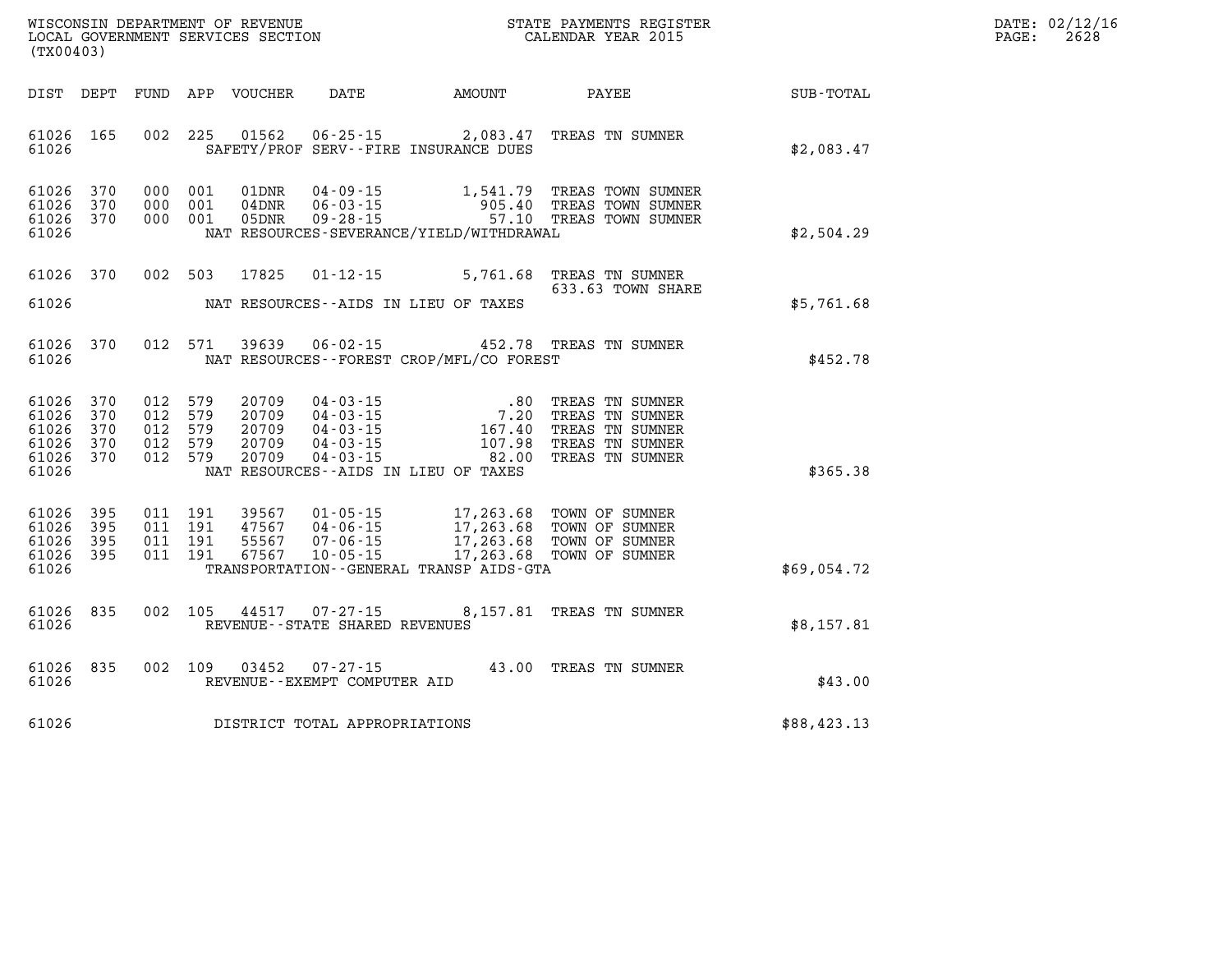| WISCONSIN DEPARTMENT OF REVENUE   | STATE PAYMENTS REGISTER | DATE: 02/12/16 |
|-----------------------------------|-------------------------|----------------|
| LOCAL GOVERNMENT SERVICES SECTION | CALENDAR YEAR 2015      | 2628<br>PAGE:  |

| (TX00403)                                                              |            |     |                                                     | LOCAL GOVERNMENT SERVICES SECTION         |                                                |                                                                                                                                                                                                                                 | CALENDAR YEAR 2015                                                                                                                                                                                                                                                                                               |                             | PAGE: | 2628 |
|------------------------------------------------------------------------|------------|-----|-----------------------------------------------------|-------------------------------------------|------------------------------------------------|---------------------------------------------------------------------------------------------------------------------------------------------------------------------------------------------------------------------------------|------------------------------------------------------------------------------------------------------------------------------------------------------------------------------------------------------------------------------------------------------------------------------------------------------------------|-----------------------------|-------|------|
|                                                                        |            |     |                                                     | DIST DEPT FUND APP VOUCHER                |                                                |                                                                                                                                                                                                                                 |                                                                                                                                                                                                                                                                                                                  | DATE AMOUNT PAYEE SUB-TOTAL |       |      |
| 61026 165<br>61026                                                     |            |     | 002 225                                             |                                           |                                                | SAFETY/PROF SERV--FIRE INSURANCE DUES                                                                                                                                                                                           | 01562  06-25-15  2,083.47  TREAS TN SUMNER                                                                                                                                                                                                                                                                       | \$2,083.47                  |       |      |
| 61026 370<br>61026<br>61026 370<br>61026                               | 370        | 000 | 000 001<br>001<br>000 001                           | 01DNR<br>$04\rm{DNR}$<br>05DNR            |                                                | NAT RESOURCES-SEVERANCE/YIELD/WITHDRAWAL                                                                                                                                                                                        | 04-09-15 1,541.79 TREAS TOWN SUMNER<br>06-03-15 905.40 TREAS TOWN SUMNER<br>09-28-15 57.10 TREAS TOWN SUMNER                                                                                                                                                                                                     | \$2,504.29                  |       |      |
| 61026 370                                                              |            |     | 002 503                                             | 17825                                     |                                                |                                                                                                                                                                                                                                 | 01-12-15 5,761.68 TREAS TN SUMNER<br>633.63 TOWN SHARE                                                                                                                                                                                                                                                           |                             |       |      |
| 61026                                                                  |            |     |                                                     |                                           |                                                | NAT RESOURCES--AIDS IN LIEU OF TAXES                                                                                                                                                                                            |                                                                                                                                                                                                                                                                                                                  | \$5,761.68                  |       |      |
| 61026 370<br>61026                                                     |            |     | 012 571                                             | 39639                                     |                                                | NAT RESOURCES--FOREST CROP/MFL/CO FOREST                                                                                                                                                                                        | 06-02-15 452.78 TREAS TN SUMNER                                                                                                                                                                                                                                                                                  | \$452.78                    |       |      |
| 61026 370<br>61026 370<br>61026 370<br>61026 370<br>61026 370<br>61026 |            |     | 012 579<br>012 579<br>012 579<br>012 579<br>012 579 | 20709<br>20709<br>20709<br>20709<br>20709 |                                                | NAT RESOURCES--AIDS IN LIEU OF TAXES                                                                                                                                                                                            | $\begin{array}{cccc} 04\cdot 03\cdot 15 & .80 & \text{TREAS TN SUMNER} \\ 04\cdot 03\cdot 15 & 7.20 & \text{TREAS TN SUMNER} \\ 04\cdot 03\cdot 15 & 167.40 & \text{TREAS TN SUMNER} \\ 04\cdot 03\cdot 15 & 107.98 & \text{TREAS TN SUMNER} \\ 04\cdot 03\cdot 15 & 82.00 & \text{TREAS TN SUMNER} \end{array}$ | \$365.38                    |       |      |
| 61026 395<br>61026<br>61026<br>61026 395<br>61026                      | 395<br>395 |     | 011 191<br>011 191<br>011 191<br>011 191            |                                           |                                                | 39567  01-05-15  17,263.68  TOWN OF SUMNER<br>47567  04-06-15  17,263.68  TOWN OF SUMNER<br>55567  07-06-15  17,263.68  TOWN OF SUMNER<br>67567  10-05-15  17,263.68  TOWN OF SUMNER<br>TRANSPORTATION--GENERAL TRANSP AIDS-GTA |                                                                                                                                                                                                                                                                                                                  | \$69,054.72                 |       |      |
| 61026<br>61026                                                         | 835        |     | 002 105                                             | 44517                                     | REVENUE - - STATE SHARED REVENUES              |                                                                                                                                                                                                                                 | 07-27-15 8,157.81 TREAS TN SUMNER                                                                                                                                                                                                                                                                                | \$8,157.81                  |       |      |
| 61026 835<br>61026                                                     |            |     | 002 109                                             | 03452                                     | $07 - 27 - 15$<br>REVENUE--EXEMPT COMPUTER AID |                                                                                                                                                                                                                                 | 43.00 TREAS TN SUMNER                                                                                                                                                                                                                                                                                            | \$43.00                     |       |      |
| 61026                                                                  |            |     |                                                     |                                           | DISTRICT TOTAL APPROPRIATIONS                  |                                                                                                                                                                                                                                 |                                                                                                                                                                                                                                                                                                                  | \$88,423.13                 |       |      |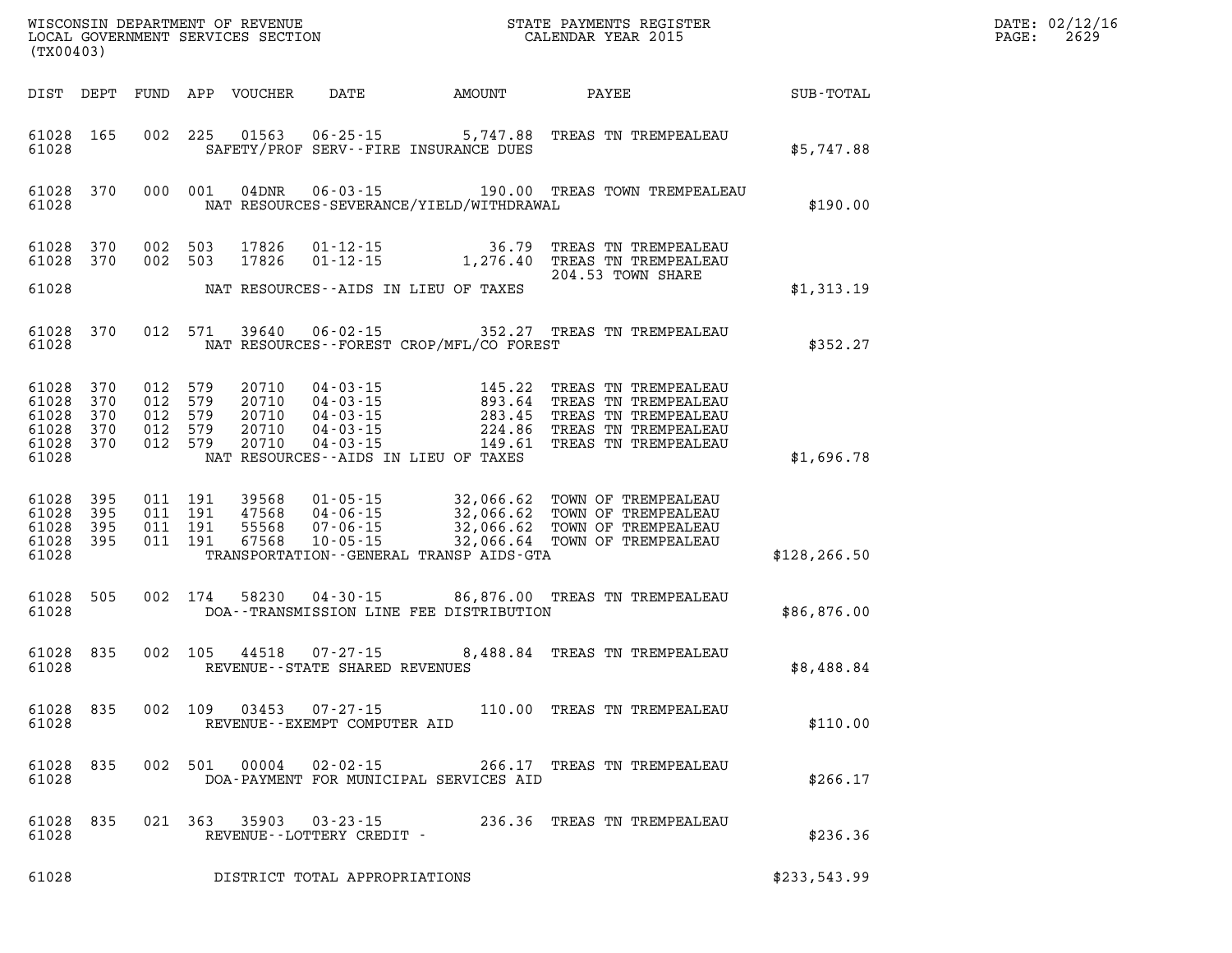| (TX00403)                                             |                        |         |               |                                             |                                              | %WISCONSIN DEPARTMENT OF REVENUE $$\tt STATE~PAYMEMTS~REGISTER~LOCAL~GOVERNMENT~SERVICES~SECTION~CALENDAR~YEAR~2015$                                                                                                                                                                                                                                   |               | DATE: 02/12/1<br>2629<br>PAGE: |
|-------------------------------------------------------|------------------------|---------|---------------|---------------------------------------------|----------------------------------------------|--------------------------------------------------------------------------------------------------------------------------------------------------------------------------------------------------------------------------------------------------------------------------------------------------------------------------------------------------------|---------------|--------------------------------|
|                                                       |                        |         |               |                                             |                                              | DIST DEPT FUND APP VOUCHER DATE AMOUNT PAYEE TO SUB-TOTAL                                                                                                                                                                                                                                                                                              |               |                                |
| 61028                                                 | 61028 165              |         |               |                                             | SAFETY/PROF SERV--FIRE INSURANCE DUES        | 002 225 01563 06-25-15 5,747.88 TREAS TN TREMPEALEAU                                                                                                                                                                                                                                                                                                   | \$5,747.88    |                                |
| 61028                                                 | 61028 370              | 000 001 |               |                                             | NAT RESOURCES-SEVERANCE/YIELD/WITHDRAWAL     | 04DNR  06-03-15  190.00 TREAS TOWN TREMPEALEAU                                                                                                                                                                                                                                                                                                         | \$190.00      |                                |
|                                                       | 61028 370<br>61028 370 |         |               |                                             |                                              | 002 503 17826 01-12-15 36.79 TREAS TN TREMPEALEAU<br>002 503 17826 01-12-15 1,276.40 TREAS TN TREMPEALEAU<br>204.53 TOWN SHARE                                                                                                                                                                                                                         |               |                                |
| 61028                                                 |                        |         |               |                                             | NAT RESOURCES--AIDS IN LIEU OF TAXES         |                                                                                                                                                                                                                                                                                                                                                        | \$1,313.19    |                                |
| 61028                                                 | 61028 370              |         |               |                                             | NAT RESOURCES -- FOREST CROP/MFL/CO FOREST   | 012 571 39640 06-02-15 352.27 TREAS TN TREMPEALEAU                                                                                                                                                                                                                                                                                                     | \$352.27      |                                |
| 61028<br>61028 370<br>61028 370<br>61028 370<br>61028 | 61028 370<br>370       |         |               |                                             | NAT RESOURCES--AIDS IN LIEU OF TAXES         | $\begin{array}{cccc} 012 & 579 & 20710 & 04\cdot 03\cdot 15 & 145.22 & \text{TREAS TN TREMPEALEAU} \\ 012 & 579 & 20710 & 04\cdot 03\cdot 15 & 893.64 & \text{TREAS TN TREMPEALEAU} \\ 012 & 579 & 20710 & 04\cdot 03\cdot 15 & 283.45 & \text{TREAS TN TREMPEALEAU} \\ 012 & 579 & 20710 & 04\cdot 03\cdot 15 & 224.86 & \text{TREAS TN TREMPEALEAU}$ | \$1,696.78    |                                |
| 61028<br>61028 395<br>61028 395<br>61028              | 61028 395<br>395       |         |               |                                             | TRANSPORTATION - - GENERAL TRANSP AIDS - GTA | 011 191 39568 01-05-15 32,066.62 TOWN OF TREMPEALEAU<br>011 191 47568 04-06-15 32,066.62 TOWN OF TREMPEALEAU<br>011 191 55568 07-06-15 32,066.62 TOWN OF TREMPEALEAU<br>011 191 67568 10-05-15 2,066.64 TOWN OF TREMPEALEAU                                                                                                                            | \$128, 266.50 |                                |
| 61028 505<br>61028                                    |                        | 002 174 |               |                                             | DOA--TRANSMISSION LINE FEE DISTRIBUTION      | 58230  04-30-15  86,876.00  TREAS TN TREMPEALEAU                                                                                                                                                                                                                                                                                                       | \$86,876.00   |                                |
| 61028 835<br>61028                                    |                        |         |               | REVENUE--STATE SHARED REVENUES              |                                              | 002 105 44518 07-27-15 8,488.84 TREAS TN TREMPEALEAU                                                                                                                                                                                                                                                                                                   | \$8,488.84    |                                |
| 61028                                                 |                        |         |               | REVENUE--EXEMPT COMPUTER AID                |                                              | 61028 835 002 109 03453 07-27-15 110.00 TREAS TN TREMPEALEAU                                                                                                                                                                                                                                                                                           | \$110.00      |                                |
| 61028 835<br>61028                                    |                        | 002 501 | 00004         | $02 - 02 - 15$                              | DOA-PAYMENT FOR MUNICIPAL SERVICES AID       | 266.17 TREAS TN TREMPEALEAU                                                                                                                                                                                                                                                                                                                            | \$266.17      |                                |
| 61028                                                 | 61028 835              |         | 021 363 35903 | $03 - 23 - 15$<br>REVENUE--LOTTERY CREDIT - |                                              | 236.36 TREAS TN TREMPEALEAU                                                                                                                                                                                                                                                                                                                            | \$236.36      |                                |
| 61028                                                 |                        |         |               | DISTRICT TOTAL APPROPRIATIONS               |                                              |                                                                                                                                                                                                                                                                                                                                                        | \$233,543.99  |                                |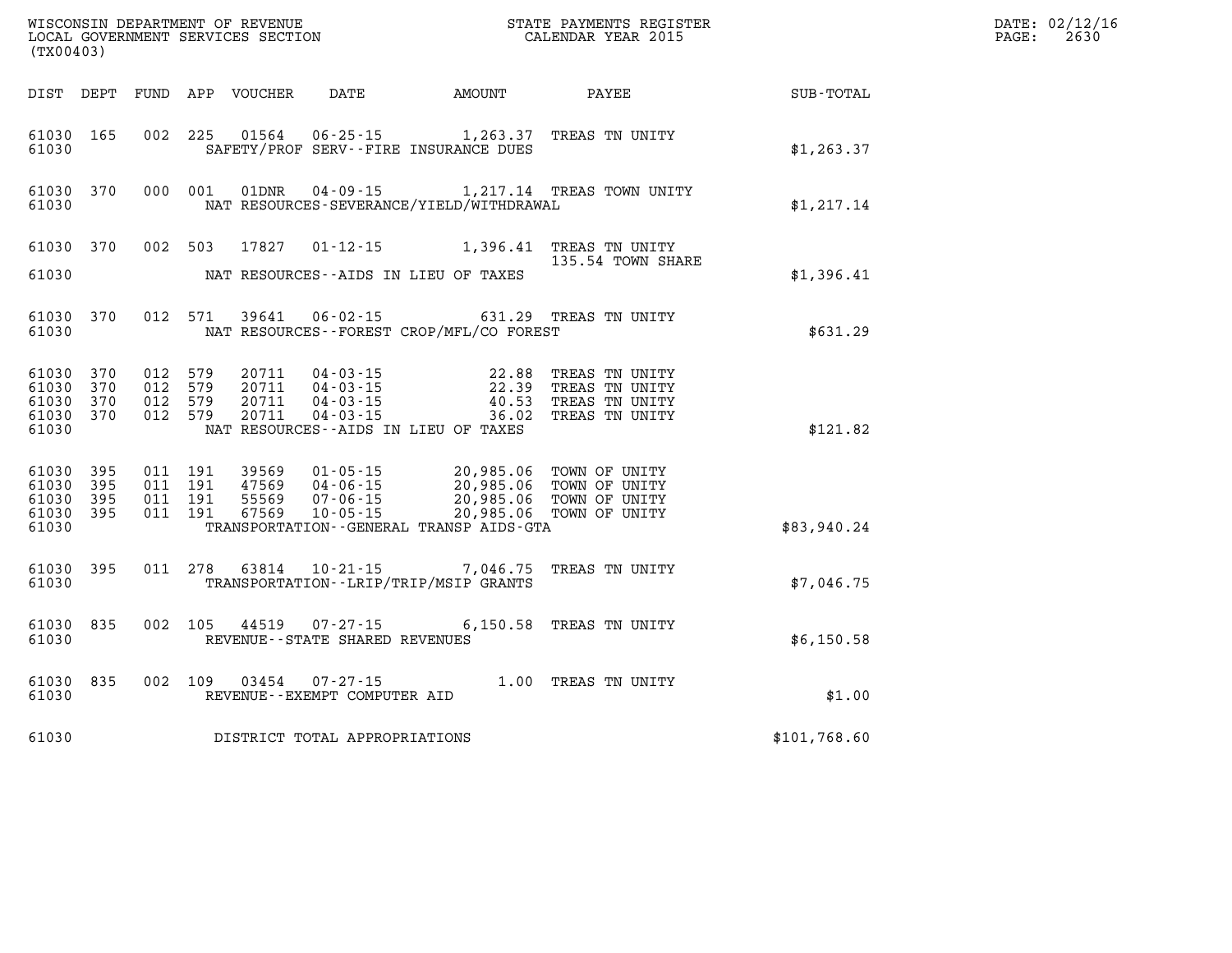| (TX00403)                                     |                   |                                          |         | WISCONSIN DEPARTMENT OF REVENUE<br>LOCAL GOVERNMENT SERVICES SECTION |                                                  |                                                                                                                                                                                                                                  | STATE PAYMENTS REGISTER<br>CALENDAR YEAR 2015                        |              | DATE: 02/12/16<br>2630<br>PAGE: |
|-----------------------------------------------|-------------------|------------------------------------------|---------|----------------------------------------------------------------------|--------------------------------------------------|----------------------------------------------------------------------------------------------------------------------------------------------------------------------------------------------------------------------------------|----------------------------------------------------------------------|--------------|---------------------------------|
|                                               |                   |                                          |         | DIST DEPT FUND APP VOUCHER                                           | DATE                                             | AMOUNT                                                                                                                                                                                                                           | <b>PAYEE</b>                                                         | SUB-TOTAL    |                                 |
| 61030 165<br>61030                            |                   |                                          |         |                                                                      |                                                  | SAFETY/PROF SERV--FIRE INSURANCE DUES                                                                                                                                                                                            | 002 225 01564 06-25-15 1,263.37 TREAS TN UNITY                       | \$1, 263.37  |                                 |
| 61030                                         | 61030 370         |                                          | 000 001 | 01DNR                                                                | $04 - 09 - 15$                                   | NAT RESOURCES-SEVERANCE/YIELD/WITHDRAWAL                                                                                                                                                                                         | 1,217.14 TREAS TOWN UNITY                                            | \$1,217.14   |                                 |
| 61030                                         | 61030 370         |                                          |         | 002 503 17827                                                        |                                                  | NAT RESOURCES--AIDS IN LIEU OF TAXES                                                                                                                                                                                             | 01-12-15 1,396.41 TREAS TN UNITY<br>135.54 TOWN SHARE                | \$1,396.41   |                                 |
| 61030                                         | 61030 370         |                                          | 012 571 | 39641                                                                |                                                  | NAT RESOURCES - - FOREST CROP/MFL/CO FOREST                                                                                                                                                                                      | 06-02-15 631.29 TREAS TN UNITY                                       | \$631.29     |                                 |
| 61030<br>61030<br>61030<br>61030 370<br>61030 | 370<br>370<br>370 | 012 579<br>012 579<br>012 579<br>012 579 |         | 20711<br>20711<br>20711<br>20711                                     |                                                  | $\begin{array}{llll} 04\cdot 03\cdot 15 & 22\cdot 88 \\ 04\cdot 03\cdot 15 & 22\cdot 39 \\ 04\cdot 03\cdot 15 & 40\cdot 53 \\ 04\cdot 03\cdot 15 & 36\cdot 02 \end{array}$<br>36.02<br>NAT RESOURCES--AIDS IN LIEU OF TAXES      | TREAS TN UNITY<br>TREAS TN UNITY<br>TREAS TN UNITY<br>TREAS TN UNITY | \$121.82     |                                 |
| 61030<br>61030<br>61030<br>61030 395<br>61030 | 395<br>395<br>395 | 011 191<br>011 191<br>011 191<br>011 191 |         |                                                                      |                                                  | 39569  01-05-15  20,985.06  TOWN OF UNITY<br>47569  04-06-15  20,985.06  TOWN OF UNITY<br>55569  07-06-15  20,985.06  TOWN OF UNITY<br>67569  10-05-15  20,985.06  TOWN OF UNITY<br>TRANSPORTATION - - GENERAL TRANSP AIDS - GTA |                                                                      | \$83,940.24  |                                 |
| 61030 395<br>61030                            |                   |                                          | 011 278 |                                                                      |                                                  | TRANSPORTATION - - LRIP/TRIP/MSIP GRANTS                                                                                                                                                                                         | 63814  10-21-15  7,046.75  TREAS TN UNITY                            | \$7,046.75   |                                 |
| 61030 835<br>61030                            |                   |                                          | 002 105 |                                                                      | 44519 07-27-15<br>REVENUE--STATE SHARED REVENUES |                                                                                                                                                                                                                                  | 6,150.58 TREAS TN UNITY                                              | \$6,150.58   |                                 |
| 61030                                         | 61030 835         |                                          |         | 002 109 03454                                                        | 07-27-15<br>REVENUE--EXEMPT COMPUTER AID         |                                                                                                                                                                                                                                  | 1.00 TREAS TN UNITY                                                  | \$1.00       |                                 |
| 61030                                         |                   |                                          |         |                                                                      | DISTRICT TOTAL APPROPRIATIONS                    |                                                                                                                                                                                                                                  |                                                                      | \$101,768.60 |                                 |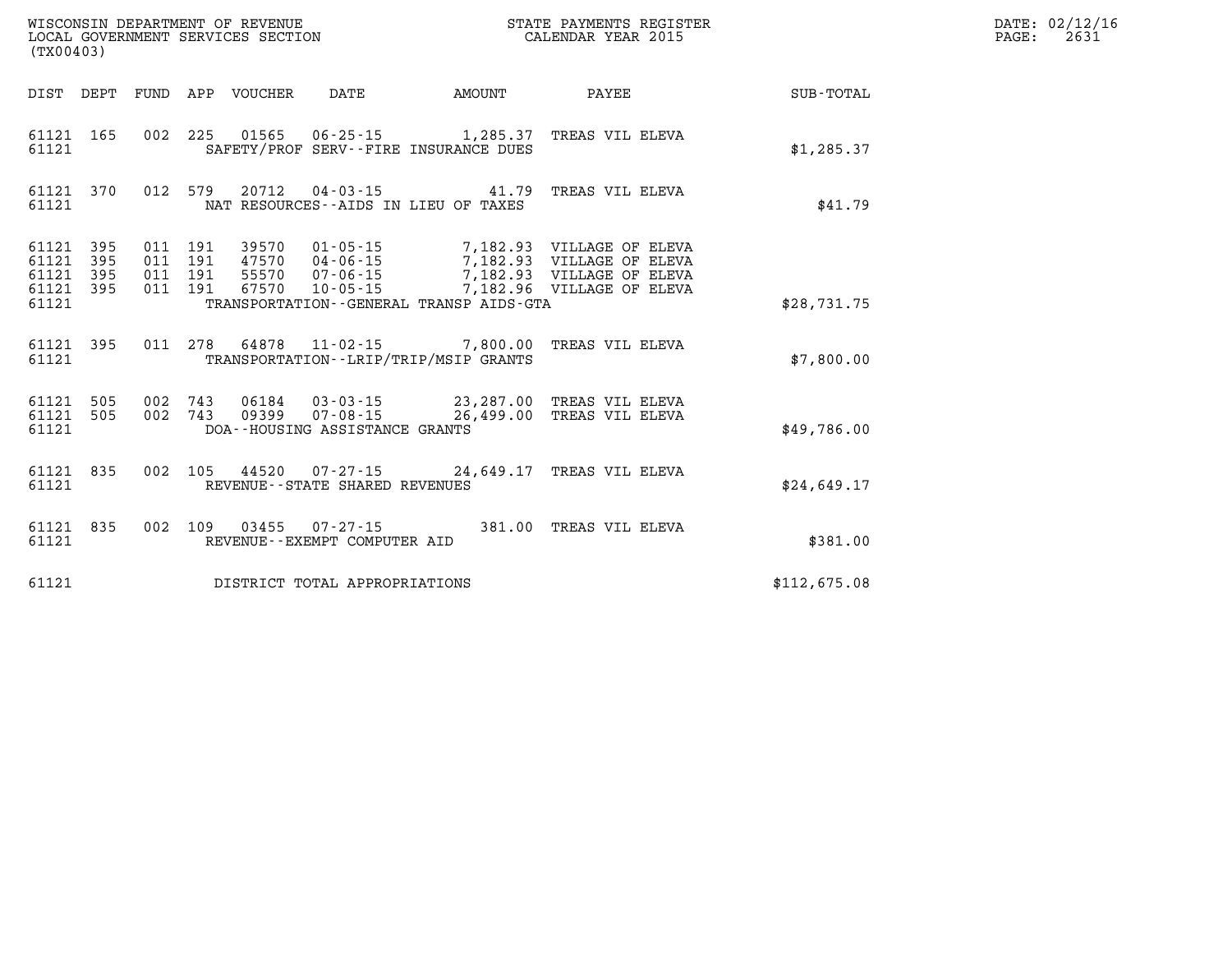| (TX00403)                                     |                   |                          | WISCONSIN DEPARTMENT OF REVENUE<br>LOCAL GOVERNMENT SERVICES SECTION |                                                      | STATE PAYMENTS REGISTER<br>CALENDAR YEAR 2015                           |                                                                                                                                                                                          |              |  |
|-----------------------------------------------|-------------------|--------------------------|----------------------------------------------------------------------|------------------------------------------------------|-------------------------------------------------------------------------|------------------------------------------------------------------------------------------------------------------------------------------------------------------------------------------|--------------|--|
| DIST                                          | DEPT              |                          | FUND APP VOUCHER DATE                                                |                                                      | <b>EXAMPLE THE PROPERTY OF AMOUNT</b>                                   | PAYEE                                                                                                                                                                                    | SUB-TOTAL    |  |
| 61121<br>61121                                | 165               |                          |                                                                      |                                                      | SAFETY/PROF SERV--FIRE INSURANCE DUES                                   | 002 225 01565 06-25-15 1,285.37 TREAS VIL ELEVA                                                                                                                                          | \$1,285.37   |  |
| 61121<br>61121                                | 370               | 012                      | 579                                                                  |                                                      | 20712  04-03-15  41.79<br>NAT RESOURCES - - AIDS IN LIEU OF TAXES       | TREAS VIL ELEVA                                                                                                                                                                          | \$41.79      |  |
| 61121<br>61121<br>61121 395<br>61121<br>61121 | 395<br>395<br>395 | 011<br>011<br>011<br>011 | 191<br>191<br>191<br>191                                             |                                                      | TRANSPORTATION - - GENERAL TRANSP AIDS - GTA                            | 39570  01-05-15  7,182.93  VILLAGE OF ELEVA<br>47570  04-06-15  7,182.93  VILLAGE OF ELEVA<br>55570  07-06-15  7,182.93  VILLAGE OF ELEVA<br>67570  10-05-15  7,182.96  VILLAGE OF ELEVA | \$28.731.75  |  |
| 61121<br>61121                                | 395               | 011                      |                                                                      |                                                      | 278 64878 11-02-15 7,800.00<br>TRANSPORTATION - - LRIP/TRIP/MSIP GRANTS | TREAS VIL ELEVA                                                                                                                                                                          | \$7,800.00   |  |
| 61121 505<br>61121<br>61121                   | 505               | 002<br>002               |                                                                      | DOA--HOUSING ASSISTANCE GRANTS                       |                                                                         |                                                                                                                                                                                          | \$49.786.00  |  |
| 61121<br>61121                                | 835               | 002                      | 105                                                                  | REVENUE - - STATE SHARED REVENUES                    |                                                                         | 44520  07-27-15  24,649.17  TREAS VIL ELEVA                                                                                                                                              | \$24,649.17  |  |
| 61121<br>61121                                | 835               | 002                      |                                                                      | 109  03455  07-27-15<br>REVENUE--EXEMPT COMPUTER AID | 381.00                                                                  | TREAS VIL ELEVA                                                                                                                                                                          | \$381.00     |  |
| 61121                                         |                   |                          |                                                                      | DISTRICT TOTAL APPROPRIATIONS                        |                                                                         |                                                                                                                                                                                          | \$112,675.08 |  |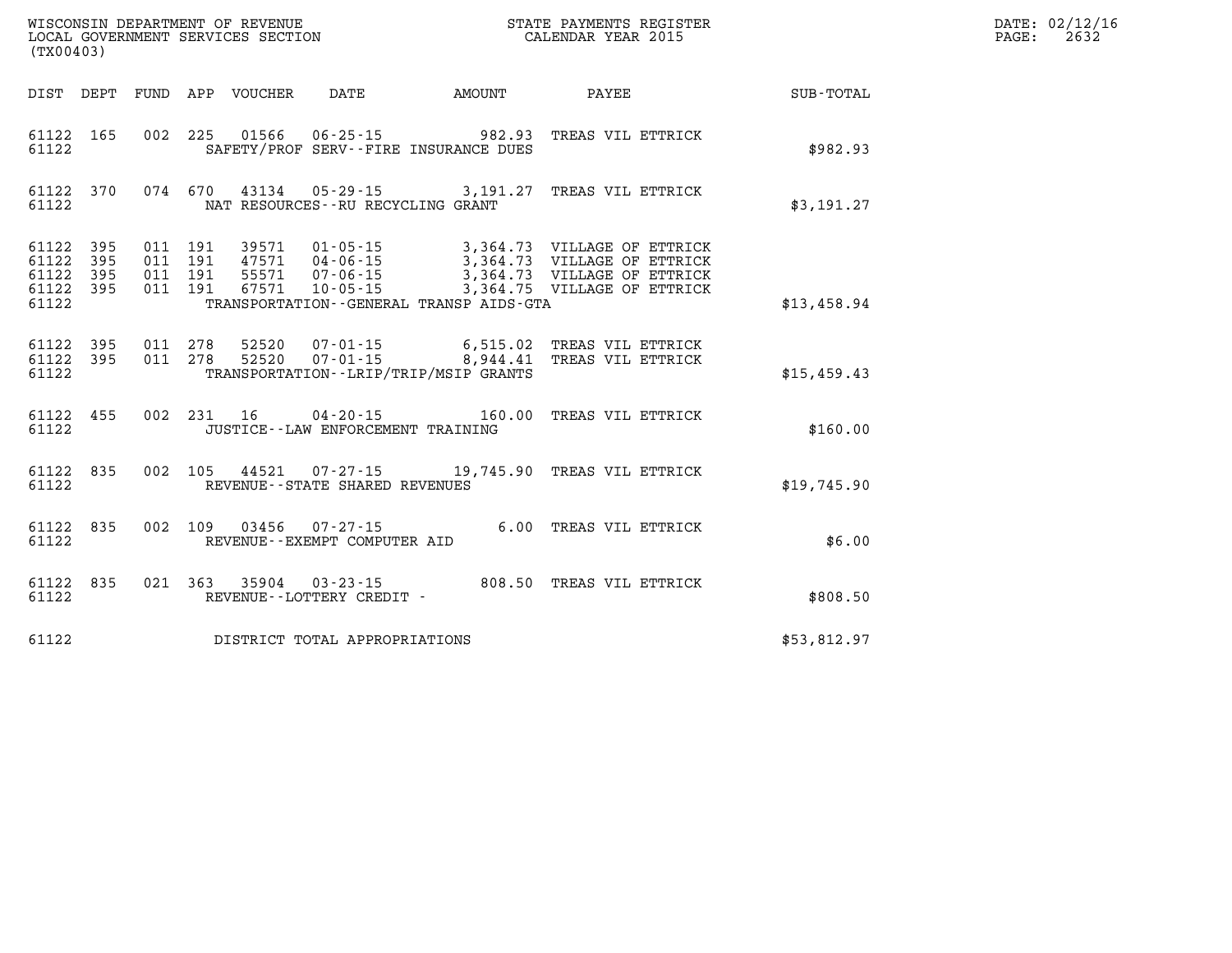| DATE: | 02/12/16 |
|-------|----------|
| PAGE: | 2632     |

| (TX00403)                                 |                          |                          | WISCONSIN DEPARTMENT OF REVENUE<br>LOCAL GOVERNMENT SERVICES SECTION |                                                                                                                 |                          | STATE PAYMENTS REGISTER<br>CALENDAR YEAR 2015                                                          |             |  |  |
|-------------------------------------------|--------------------------|--------------------------|----------------------------------------------------------------------|-----------------------------------------------------------------------------------------------------------------|--------------------------|--------------------------------------------------------------------------------------------------------|-------------|--|--|
| DIST                                      | DEPT                     | FUND                     | APP<br>VOUCHER                                                       | DATE                                                                                                            | <b>AMOUNT</b>            | <b>PAYEE</b>                                                                                           | SUB-TOTAL   |  |  |
| 61122<br>61122                            | 165                      | 002                      | 225<br>01566                                                         | $06 - 25 - 15$<br>SAFETY/PROF SERV--FIRE INSURANCE DUES                                                         | 982.93                   | TREAS VIL ETTRICK                                                                                      | \$982.93    |  |  |
| 61122<br>61122                            | 370                      | 074                      | 670<br>43134                                                         | NAT RESOURCES - - RU RECYCLING GRANT                                                                            | $05 - 29 - 15$ 3, 191.27 | TREAS VIL ETTRICK                                                                                      | \$3,191.27  |  |  |
| 61122<br>61122<br>61122<br>61122<br>61122 | 395<br>395<br>395<br>395 | 011<br>011<br>011<br>011 | 191<br>39571<br>191<br>55571<br>191<br>191<br>67571                  | $01 - 05 - 15$<br>47571 04-06-15<br>$07 - 06 - 15$<br>$10 - 05 - 15$<br>TRANSPORTATION--GENERAL TRANSP AIDS-GTA | 3,364.73<br>3,364.75     | 3,364.73 VILLAGE OF ETTRICK<br>3,364.73 VILLAGE OF ETTRICK<br>VILLAGE OF ETTRICK<br>VILLAGE OF ETTRICK | \$13,458.94 |  |  |
| 61122<br>61122<br>61122                   | 395<br>395               | 011<br>011               | 278<br>52520<br>278<br>52520                                         | $07 - 01 - 15$<br>$07 - 01 - 15$ 8,944.41<br>TRANSPORTATION - - LRIP/TRIP/MSIP GRANTS                           | 6,515.02                 | TREAS VIL ETTRICK<br>TREAS VIL ETTRICK                                                                 | \$15,459.43 |  |  |
| 61122<br>61122                            | 455                      | 002                      | 231<br>16                                                            | $04 - 20 - 15$<br>JUSTICE - - LAW ENFORCEMENT TRAINING                                                          | 160.00                   | TREAS VIL ETTRICK                                                                                      | \$160.00    |  |  |
| 61122<br>61122                            | 835                      | 002                      | 105<br>44521                                                         | $07 - 27 - 15$<br>REVENUE - - STATE SHARED REVENUES                                                             |                          | 19,745.90 TREAS VIL ETTRICK                                                                            | \$19,745.90 |  |  |
| 61122<br>61122                            | 835                      | 002                      | 109<br>03456                                                         | $07 - 27 - 15$<br>REVENUE - - EXEMPT COMPUTER AID                                                               | 6.00                     | TREAS VIL ETTRICK                                                                                      | \$6.00      |  |  |
| 61122<br>61122                            | 835                      | 021                      | 363                                                                  | 35904 03-23-15<br>REVENUE - - LOTTERY CREDIT -                                                                  | 808.50                   | TREAS VIL ETTRICK                                                                                      | \$808.50    |  |  |
| 61122                                     |                          |                          |                                                                      | DISTRICT TOTAL APPROPRIATIONS                                                                                   |                          |                                                                                                        | \$53,812.97 |  |  |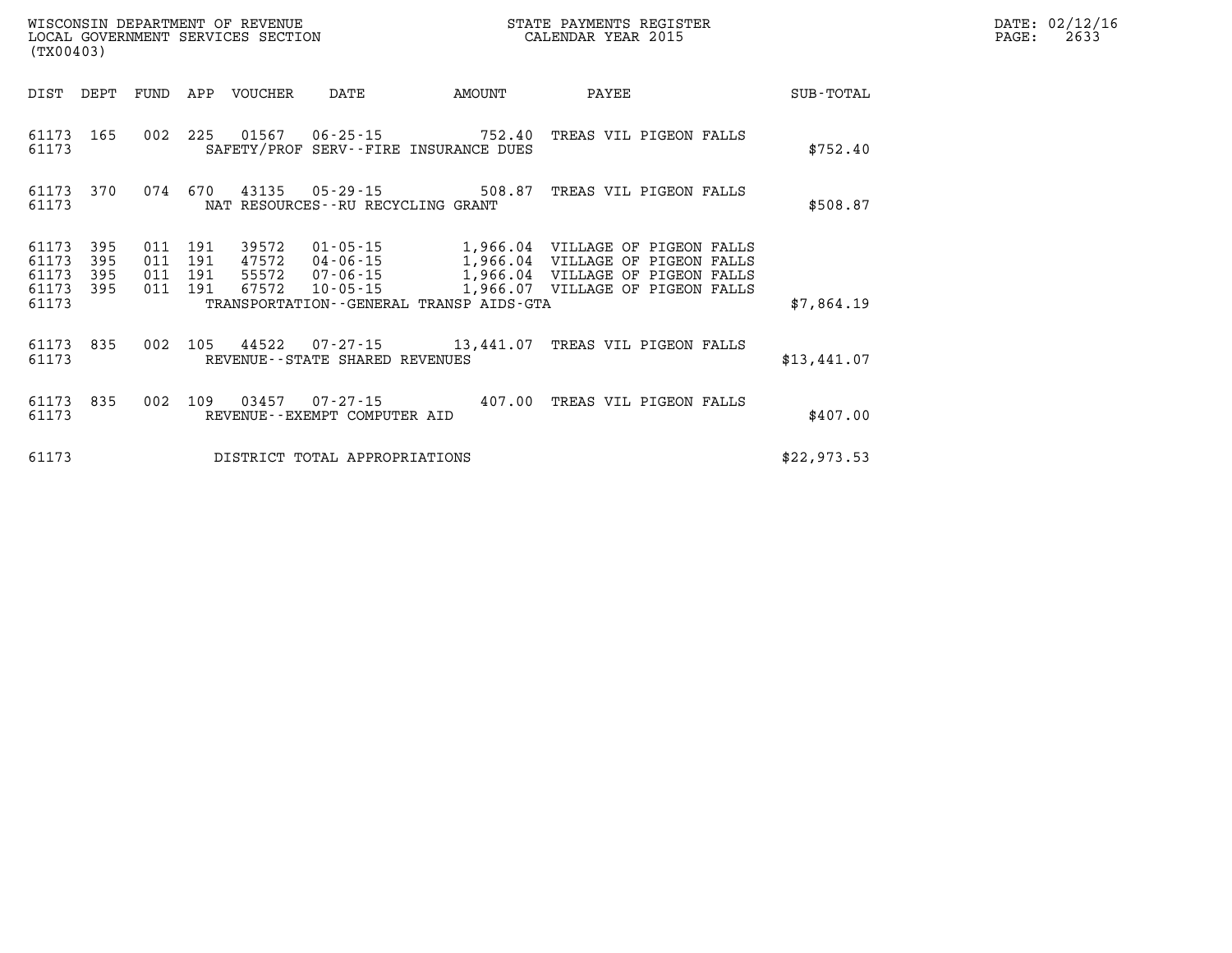| DATE: | 02/12/16 |
|-------|----------|
| PAGE: | 2633     |

| (TX00403)                                 |                          |                          |                          | WISCONSIN DEPARTMENT OF REVENUE<br>LOCAL GOVERNMENT SERVICES SECTION |                                                  |                                                                    | STATE PAYMENTS REGISTER<br>CALENDAR YEAR 2015                                                                                                                 |             |
|-------------------------------------------|--------------------------|--------------------------|--------------------------|----------------------------------------------------------------------|--------------------------------------------------|--------------------------------------------------------------------|---------------------------------------------------------------------------------------------------------------------------------------------------------------|-------------|
| DIST                                      | DEPT                     | FUND                     | APP                      | VOUCHER                                                              | DATE                                             | <b>EXAMPLE THE PROPERTY OF AMOUNT</b>                              | PAYEE                                                                                                                                                         | SUB-TOTAL   |
| 61173<br>61173                            | 165                      | 002                      | 225                      |                                                                      |                                                  | 01567   06-25-15   752.40<br>SAFETY/PROF SERV--FIRE INSURANCE DUES | TREAS VIL PIGEON FALLS                                                                                                                                        | \$752.40    |
| 61173<br>61173                            | 370                      | 074                      | 670                      |                                                                      | NAT RESOURCES--RU RECYCLING GRANT                | 43135 05-29-15 508.87                                              | TREAS VIL PIGEON FALLS                                                                                                                                        | \$508.87    |
| 61173<br>61173<br>61173<br>61173<br>61173 | 395<br>395<br>395<br>395 | 011<br>011<br>011<br>011 | 191<br>191<br>191<br>191 | 39572<br>47572<br>55572<br>67572                                     | $04 - 06 - 15$<br>07 - 06 - 15<br>$10 - 05 - 15$ | TRANSPORTATION--GENERAL TRANSP AIDS-GTA                            | $01 - 05 - 15$ $1,966.04$ VILLAGE OF PIGEON FALLS<br>1,966.04 VILLAGE OF PIGEON FALLS<br>1,966.04 VILLAGE OF PIGEON FALLS<br>1,966.07 VILLAGE OF PIGEON FALLS | \$7,864.19  |
| 61173<br>61173                            | 835                      | 002                      | 105                      |                                                                      | REVENUE - - STATE SHARED REVENUES                |                                                                    | 44522  07-27-15   13,441.07   TREAS VIL PIGEON FALLS                                                                                                          | \$13,441.07 |
| 61173<br>61173                            | 835                      | 002                      | 109                      | 03457                                                                | REVENUE--EXEMPT COMPUTER AID                     | $07 - 27 - 15$ 407.00                                              | TREAS VIL PIGEON FALLS                                                                                                                                        | \$407.00    |
| 61173                                     |                          |                          |                          |                                                                      | DISTRICT TOTAL APPROPRIATIONS                    |                                                                    |                                                                                                                                                               | \$22,973.53 |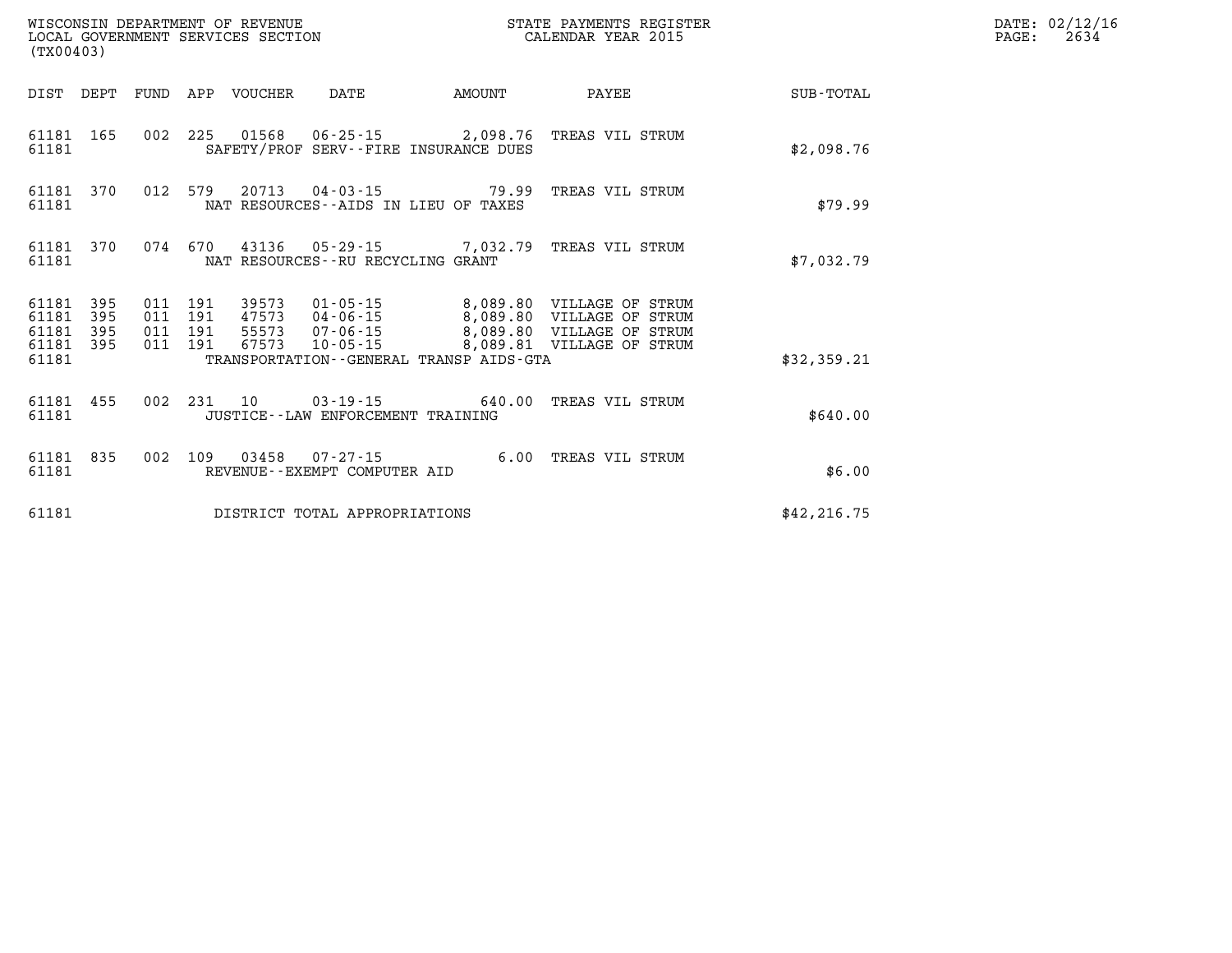| WISCONSIN DEPARTMENT OF REVENUE<br>LOCAL GOVERNMENT SERVICES SECTION<br>(TX00403) |                   |                                          |  |                            |                                      |                                              | STATE PAYMENTS REGISTER<br>CALENDAR YEAR 2015                                                                                                  |              | DATE: 02/12/16<br>$\mathtt{PAGE:}$<br>2634 |
|-----------------------------------------------------------------------------------|-------------------|------------------------------------------|--|----------------------------|--------------------------------------|----------------------------------------------|------------------------------------------------------------------------------------------------------------------------------------------------|--------------|--------------------------------------------|
|                                                                                   |                   |                                          |  | DIST DEPT FUND APP VOUCHER | DATE                                 | <b>AMOUNT</b>                                | PAYEE                                                                                                                                          | SUB-TOTAL    |                                            |
| 61181                                                                             | 61181 165         |                                          |  |                            |                                      | SAFETY/PROF SERV--FIRE INSURANCE DUES        | 002 225 01568 06-25-15 2,098.76 TREAS VIL STRUM                                                                                                | \$2,098.76   |                                            |
| 61181 370<br>61181                                                                |                   | 012 579                                  |  |                            |                                      | NAT RESOURCES -- AIDS IN LIEU OF TAXES       | 20713  04-03-15  79.99  TREAS VIL STRUM                                                                                                        | \$79.99      |                                            |
| 61181 370<br>61181                                                                |                   | 074 670                                  |  |                            | NAT RESOURCES--RU RECYCLING GRANT    |                                              | 43136  05-29-15  7,032.79  TREAS VIL STRUM                                                                                                     | \$7,032.79   |                                            |
| 61181<br>61181<br>61181<br>61181 395                                              | 395<br>395<br>395 | 011 191<br>011 191<br>011 191<br>011 191 |  | 67573                      | 55573 07-06-15<br>$10 - 05 - 15$     |                                              | 39573 01-05-15 8,089.80 VILLAGE OF STRUM<br>47573 04-06-15 8,089.80 VILLAGE OF STRUM<br>8,089.80 VILLAGE OF STRUM<br>8,089.81 VILLAGE OF STRUM |              |                                            |
| 61181                                                                             |                   |                                          |  |                            |                                      | TRANSPORTATION - - GENERAL TRANSP AIDS - GTA |                                                                                                                                                | \$32,359.21  |                                            |
| 61181                                                                             | 61181 455         |                                          |  | 002 231 10                 | JUSTICE - - LAW ENFORCEMENT TRAINING |                                              | 03-19-15 640.00 TREAS VIL STRUM                                                                                                                | \$640.00     |                                            |
| 61181                                                                             | 61181 835         | 002 109                                  |  |                            | REVENUE--EXEMPT COMPUTER AID         |                                              | 03458  07-27-15  6.00 TREAS VIL STRUM                                                                                                          | \$6.00       |                                            |
| 61181                                                                             |                   |                                          |  |                            | DISTRICT TOTAL APPROPRIATIONS        |                                              |                                                                                                                                                | \$42, 216.75 |                                            |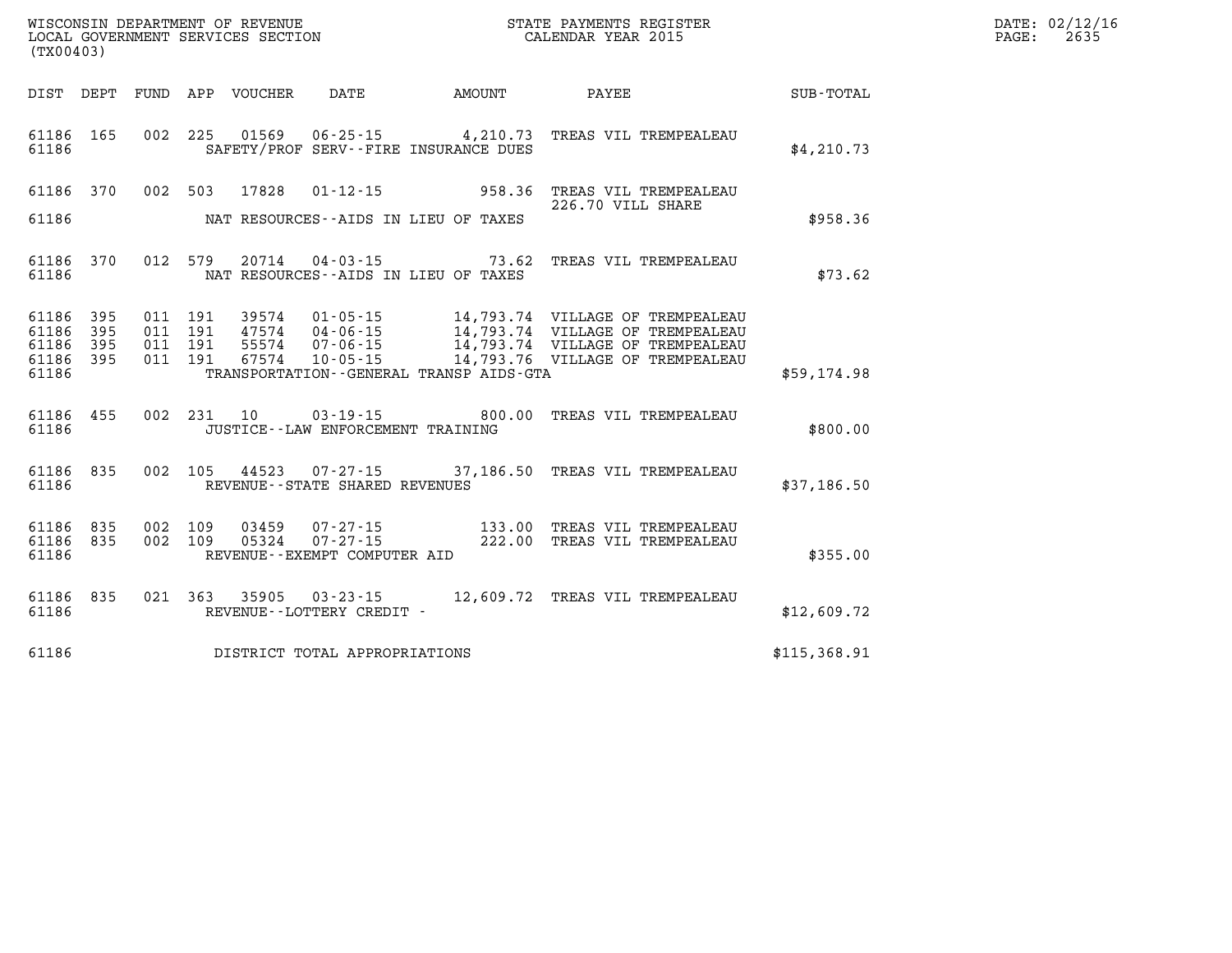| WISCONSIN DEPARTMENT OF REVENUE<br>LOCAL GOVERNMENT SERVICES SECTION<br>CALENDAR YEAR 2015<br>(TX00403) |  |  |  |                         |                                       |                                              |                                                                                                                                                                                                                                         |              | DATE: 02/12/16<br>PAGE: 2635 |
|---------------------------------------------------------------------------------------------------------|--|--|--|-------------------------|---------------------------------------|----------------------------------------------|-----------------------------------------------------------------------------------------------------------------------------------------------------------------------------------------------------------------------------------------|--------------|------------------------------|
|                                                                                                         |  |  |  |                         |                                       |                                              | DIST DEPT FUND APP VOUCHER DATE AMOUNT PAYEE SUB-TOTAL                                                                                                                                                                                  |              |                              |
| 61186                                                                                                   |  |  |  |                         |                                       | SAFETY/PROF SERV--FIRE INSURANCE DUES        | 61186  165  002  225  01569  06-25-15  4,210.73  TREAS VIL TREMPEALEAU                                                                                                                                                                  | \$4,210.73   |                              |
|                                                                                                         |  |  |  | 61186 370 002 503 17828 |                                       |                                              | 01-12-15 958.36 TREAS VIL TREMPEALEAU<br>226.70 VILL SHARE                                                                                                                                                                              |              |                              |
| 61186                                                                                                   |  |  |  |                         |                                       | NAT RESOURCES--AIDS IN LIEU OF TAXES         |                                                                                                                                                                                                                                         | \$958.36     |                              |
| 61186                                                                                                   |  |  |  |                         |                                       | NAT RESOURCES--AIDS IN LIEU OF TAXES         | 61186 370 012 579 20714 04-03-15 73.62 TREAS VIL TREMPEALEAU                                                                                                                                                                            | \$73.62      |                              |
| 61186 395<br>61186 395<br>61186 395<br>61186 395<br>61186                                               |  |  |  |                         |                                       | TRANSPORTATION - - GENERAL TRANSP AIDS - GTA | 011 191 39574 01-05-15 14,793.74 VILLAGE OF TREMPEALEAU<br>011 191 47574 04-06-15 14,793.74 VILLAGE OF TREMPEALEAU<br>011 191 67574 10-05-15 14,793.74 VILLAGE OF TREMPEALEAU<br>011 191 67574 10-05-15 14,793.76 VILLAGE OF TREMPEALEA | \$59,174.98  |                              |
| 61186                                                                                                   |  |  |  |                         | JUSTICE - - LAW ENFORCEMENT TRAINING  |                                              | 61186 455 002 231 10 03-19-15 800.00 TREAS VIL TREMPEALEAU                                                                                                                                                                              | \$800.00     |                              |
|                                                                                                         |  |  |  |                         | 61186 REVENUE - STATE SHARED REVENUES |                                              | 61186 835 002 105 44523 07-27-15 37,186.50 TREAS VIL TREMPEALEAU                                                                                                                                                                        | \$37,186.50  |                              |
| 61186 835<br>61186 835<br>61186                                                                         |  |  |  |                         | REVENUE--EXEMPT COMPUTER AID          |                                              | 002 109 03459 07-27-15 133.00 TREAS VIL TREMPEALEAU<br>002 109 05324 07-27-15 222.00 TREAS VIL TREMPEALEAU                                                                                                                              | \$355.00     |                              |
|                                                                                                         |  |  |  |                         |                                       |                                              | $61186$ $835$ $021$ $363$ $35905$ $03\,\text{-}23\,\text{-}15$ $12,609\,\text{-}72$ TREAS VIL TREMPEALEAU $61186$ REVENUE--LOTTERY CREDIT -                                                                                             | \$12,609.72  |                              |
| 61186                                                                                                   |  |  |  |                         | DISTRICT TOTAL APPROPRIATIONS         |                                              |                                                                                                                                                                                                                                         | \$115,368.91 |                              |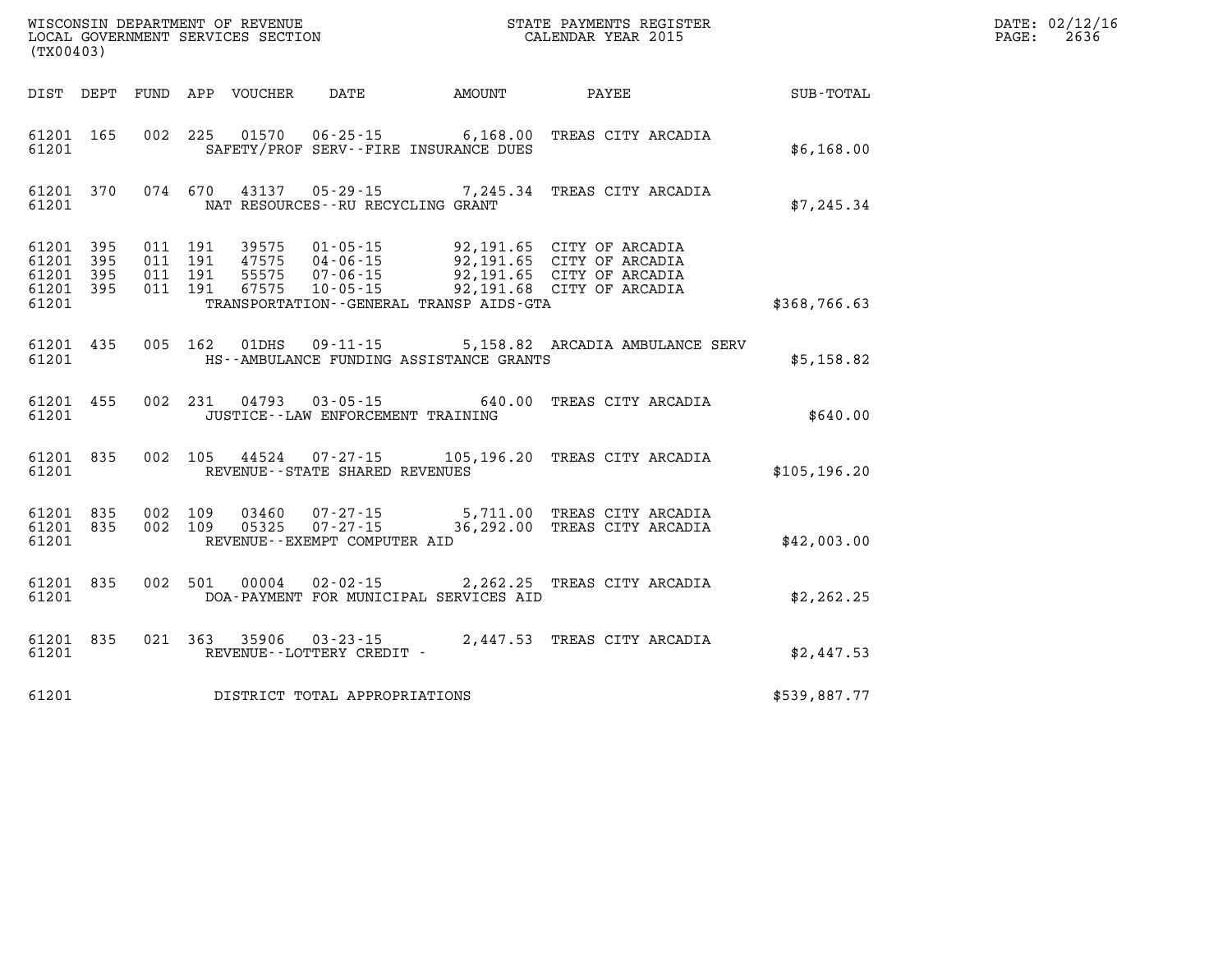| (TX00403) |                                                           |  |                                                                   | WISCONSIN DEPARTMENT OF REVENUE<br>LOCAL GOVERNMENT SERVICES SECTION<br>(TYO0403)                                                                                                                            |               | DATE: 02/12/16<br>$\mathtt{PAGE:}$<br>2636 |
|-----------|-----------------------------------------------------------|--|-------------------------------------------------------------------|--------------------------------------------------------------------------------------------------------------------------------------------------------------------------------------------------------------|---------------|--------------------------------------------|
|           |                                                           |  |                                                                   | DIST DEPT FUND APP VOUCHER DATE AMOUNT PAYEE PAYEE SUB-TOTAL                                                                                                                                                 |               |                                            |
|           | 61201 165<br>61201                                        |  | SAFETY/PROF SERV--FIRE INSURANCE DUES                             | 002 225 01570 06-25-15 6,168.00 TREAS CITY ARCADIA                                                                                                                                                           | \$6,168.00    |                                            |
| 61201     |                                                           |  | NAT RESOURCES--RU RECYCLING GRANT                                 | 61201 370 074 670 43137 05-29-15 7,245.34 TREAS CITY ARCADIA                                                                                                                                                 | \$7,245.34    |                                            |
|           | 61201 395<br>61201 395<br>61201 395<br>61201 395<br>61201 |  | TRANSPORTATION - GENERAL TRANSP AIDS - GTA                        | 011 191 39575 01-05-15 92,191.65 CITY OF ARCADIA<br>011 191 47575 04-06-15 92,191.65 CITY OF ARCADIA<br>011 191 55575 07-06-15 92,191.65 CITY OF ARCADIA<br>011 191 67575 10-05-15 92,191.68 CITY OF ARCADIA | \$368,766.63  |                                            |
|           | 61201 435<br>61201                                        |  | 005 162 01DHS 09-11-15<br>HS--AMBULANCE FUNDING ASSISTANCE GRANTS | 5,158.82 ARCADIA AMBULANCE SERV                                                                                                                                                                              | \$5,158.82    |                                            |
|           | 61201 455<br>61201                                        |  | JUSTICE--LAW ENFORCEMENT TRAINING                                 | 002 231 04793 03-05-15 640.00 TREAS CITY ARCADIA                                                                                                                                                             | \$640.00      |                                            |
|           | 61201 835                                                 |  | 61201 REVENUE - STATE SHARED REVENUES                             | 002 105 44524 07-27-15 105,196.20 TREAS CITY ARCADIA                                                                                                                                                         | \$105, 196.20 |                                            |
| 61201     |                                                           |  | REVENUE--EXEMPT COMPUTER AID                                      | 61201 835 002 109 03460 07-27-15 5,711.00 TREAS CITY ARCADIA<br>61201 835 002 109 05325 07-27-15 36,292.00 TREAS CITY ARCADIA                                                                                | \$42,003.00   |                                            |
| 61201     | 61201 835                                                 |  | DOA-PAYMENT FOR MUNICIPAL SERVICES AID                            | 002 501 00004 02-02-15 2,262.25 TREAS CITY ARCADIA                                                                                                                                                           | \$2,262.25    |                                            |
|           |                                                           |  |                                                                   | $\begin{tabular}{lllllll} 61201 & 835 & 021 & 363 & 35906 & 03-23-15 & & 2,447.53 & \texttt{TREAS CITY ARCHA} \\ 61201 & & \texttt{REVENUE--LOTTERY CREDIT} & \texttt{-} & & & & \\ \end{tabular}$           | \$2,447.53    |                                            |
|           |                                                           |  | 61201 DISTRICT TOTAL APPROPRIATIONS                               |                                                                                                                                                                                                              | \$539,887.77  |                                            |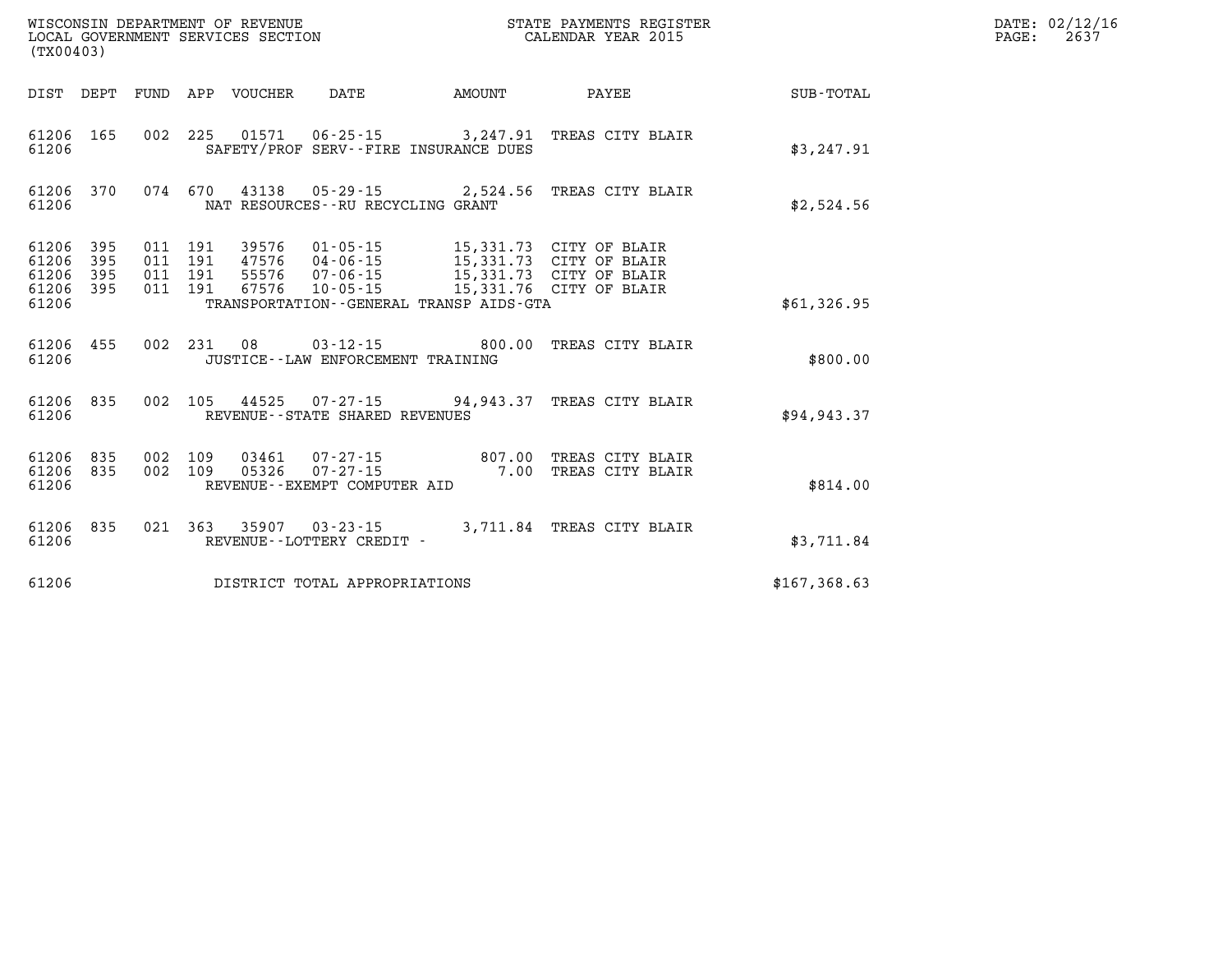| (TX00403)                                 |                          |                          |                          | WISCONSIN DEPARTMENT OF REVENUE<br>LOCAL GOVERNMENT SERVICES SECTION |                                                                         |                                         | STATE PAYMENTS REGISTER<br>CALENDAR YEAR 2015                                                            |              |
|-------------------------------------------|--------------------------|--------------------------|--------------------------|----------------------------------------------------------------------|-------------------------------------------------------------------------|-----------------------------------------|----------------------------------------------------------------------------------------------------------|--------------|
| DIST                                      | DEPT                     | FUND                     | APP                      | VOUCHER                                                              | DATE                                                                    | AMOUNT                                  | PAYEE                                                                                                    | SUB-TOTAL    |
| 61206<br>61206                            | 165                      | 002                      | 225                      | 01571                                                                | 06-25-15<br>SAFETY/PROF SERV--FIRE INSURANCE DUES                       | 3,247.91                                | TREAS CITY BLAIR                                                                                         | \$3,247.91   |
| 61206<br>61206                            | 370                      | 074                      | 670                      |                                                                      | NAT RESOURCES - - RU RECYCLING GRANT                                    |                                         | 43138 05-29-15 2,524.56 TREAS CITY BLAIR                                                                 | \$2,524.56   |
| 61206<br>61206<br>61206<br>61206<br>61206 | 395<br>395<br>395<br>395 | 011<br>011<br>011<br>011 | 191<br>191<br>191<br>191 | 39576<br>47576<br>55576<br>67576                                     | $01 - 05 - 15$<br>04 - 06 - 15<br>07 - 06 - 15<br>$10 - 05 - 15$        | TRANSPORTATION--GENERAL TRANSP AIDS-GTA | 15,331.73 CITY OF BLAIR<br>15,331.73 CITY OF BLAIR<br>15,331.73 CITY OF BLAIR<br>15,331.76 CITY OF BLAIR | \$61,326.95  |
| 61206<br>61206                            | 455                      | 002                      | 231                      | 08                                                                   | $03 - 12 - 15$ 800.00<br>JUSTICE - - LAW ENFORCEMENT TRAINING           |                                         | TREAS CITY BLAIR                                                                                         | \$800.00     |
| 61206<br>61206                            | 835                      | 002                      | 105                      |                                                                      | REVENUE - - STATE SHARED REVENUES                                       | 44525 07-27-15 94,943.37                | TREAS CITY BLAIR                                                                                         | \$94, 943.37 |
| 61206<br>61206<br>61206                   | 835<br>835               | 002<br>002               | 109<br>109               | 03461<br>05326                                                       | $07 - 27 - 15$ 807.00<br>$07 - 27 - 15$<br>REVENUE--EXEMPT COMPUTER AID | 7.00                                    | TREAS CITY BLAIR<br>TREAS CITY BLAIR                                                                     | \$814.00     |
| 61206<br>61206                            | 835                      | 021                      | 363                      | 35907                                                                | $03 - 23 - 15$<br>REVENUE - - LOTTERY CREDIT -                          | 3,711.84                                | TREAS CITY BLAIR                                                                                         | \$3,711.84   |
| 61206                                     |                          |                          |                          |                                                                      | DISTRICT TOTAL APPROPRIATIONS                                           |                                         |                                                                                                          | \$167,368.63 |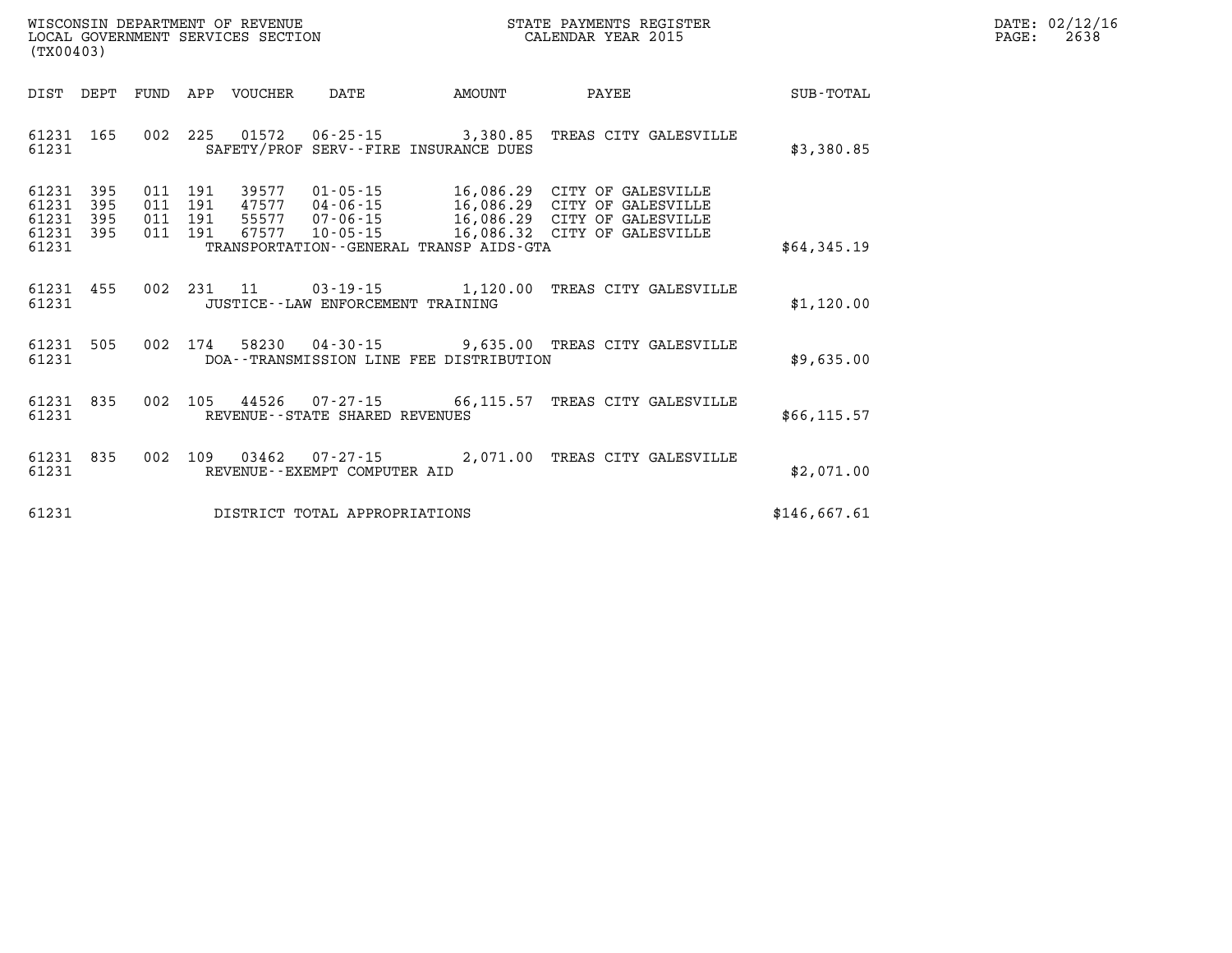| WISCONSIN DEPARTMENT OF REVENUE   | R PAYMENTS REGISTER<br>STATE | DATE: | 02/12/16 |
|-----------------------------------|------------------------------|-------|----------|
| LOCAL GOVERNMENT SERVICES SECTION | CALENDAR YEAR 2015           | PAGE  | 2638     |

| (TX00403)                                                                                         |                                                                                                                                                                                                                        |                                                                                                               |
|---------------------------------------------------------------------------------------------------|------------------------------------------------------------------------------------------------------------------------------------------------------------------------------------------------------------------------|---------------------------------------------------------------------------------------------------------------|
| DIST<br>DEPT<br>FUND                                                                              | APP<br><b>VOUCHER</b><br>DATE<br>AMOUNT                                                                                                                                                                                | PAYEE<br>SUB-TOTAL                                                                                            |
| 002<br>61231<br>165<br>61231                                                                      | 225<br>01572<br>$06 - 25 - 15$<br>3,380.85<br>SAFETY/PROF<br>SERV--FIRE INSURANCE DUES                                                                                                                                 | TREAS CITY GALESVILLE<br>\$3,380.85                                                                           |
| 61231<br>395<br>011<br>395<br>61231<br>011<br>61231<br>395<br>011<br>61231<br>395<br>011<br>61231 | 191<br>39577<br>$01 - 05 - 15$<br>16,086.29<br>191<br>47577<br>$04 - 06 - 15$<br>191<br>$07 - 06 - 15$<br>16,086.29<br>55577<br>191<br>67577<br>$10 - 05 - 15$<br>16,086.32<br>TRANSPORTATION--GENERAL TRANSP AIDS-GTA | CITY OF GALESVILLE<br>16,086.29 CITY OF GALESVILLE<br>CITY OF GALESVILLE<br>CITY OF GALESVILLE<br>\$64,345.19 |
| 002<br>61231<br>455<br>61231                                                                      | 231<br>11<br>$03 - 19 - 15$<br>1,120.00<br>JUSTICE -- LAW ENFORCEMENT TRAINING                                                                                                                                         | TREAS CITY GALESVILLE<br>\$1,120.00                                                                           |
| 61231<br>505<br>002<br>61231                                                                      | 174<br>58230<br>$04 - 30 - 15$<br>9,635.00<br>DOA--TRANSMISSION LINE FEE DISTRIBUTION                                                                                                                                  | TREAS CITY GALESVILLE<br>\$9,635.00                                                                           |
| 835<br>002<br>61231<br>61231                                                                      | 105<br>44526<br>07-27-15<br>66,115.57<br>REVENUE--STATE SHARED REVENUES                                                                                                                                                | TREAS CITY GALESVILLE<br>\$66, 115.57                                                                         |
| 002<br>61231<br>835<br>61231                                                                      | 109<br>03462<br>2,071.00<br>$07 - 27 - 15$<br>REVENUE--EXEMPT COMPUTER AID                                                                                                                                             | TREAS CITY GALESVILLE<br>\$2,071.00                                                                           |
| 61231                                                                                             | DISTRICT TOTAL APPROPRIATIONS                                                                                                                                                                                          | \$146,667.61                                                                                                  |

WISCONSIN DEPARTMENT OF REVENUE **STATE PAYMENTS REGISTER**<br>LOCAL GOVERNMENT SERVICES SECTION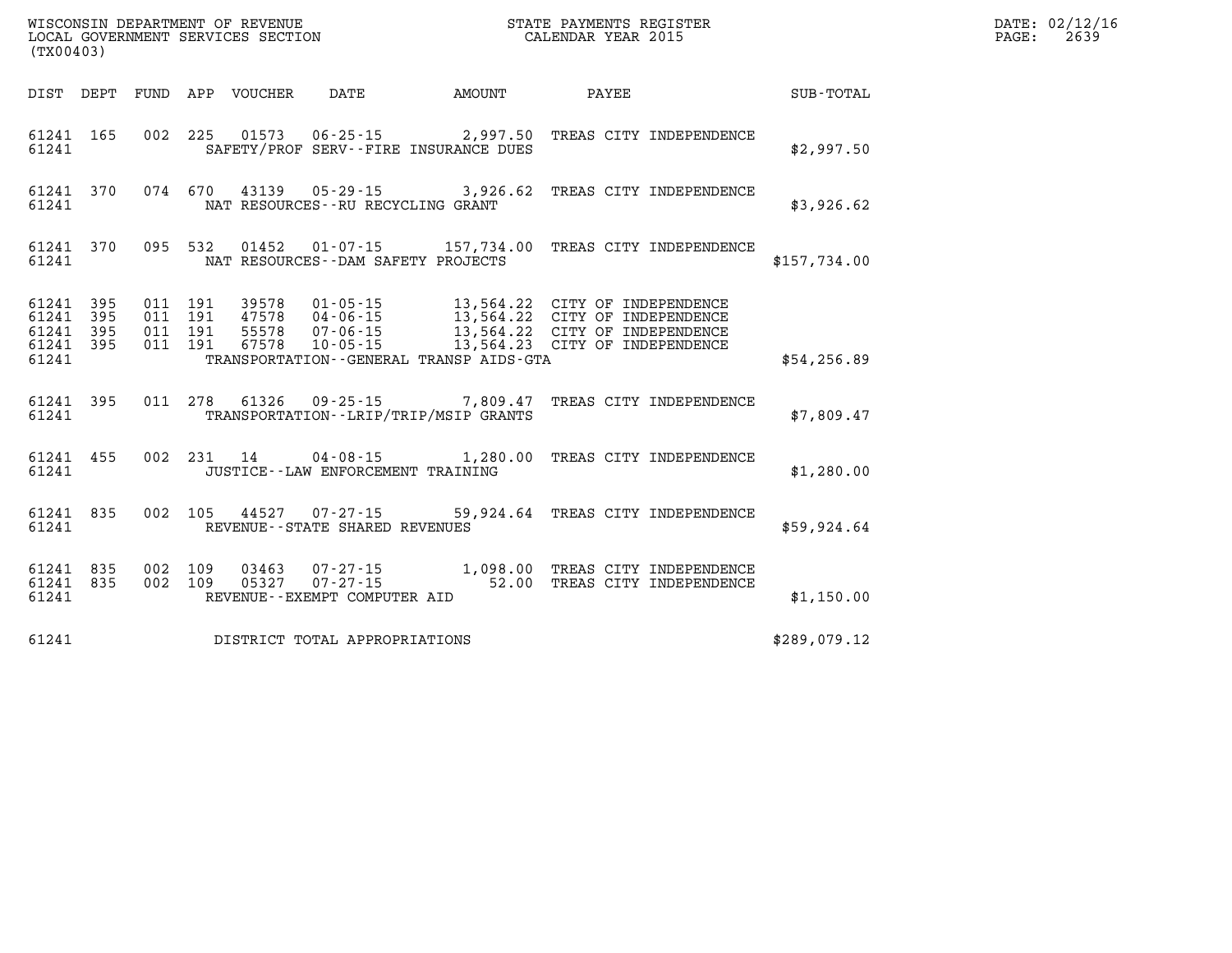| %WISCONSIN DEPARTMENT OF REVENUE $$\tt STATE~PAYMEMTS~REGISTER~LOCAL~GOVERNMENT~SERVICES~SECTION~CALENDAR~YEAR~2015$<br>(TX00403) |                                                  |         |  |  |                                     |                                              |                                                                                                                                                                                                                                  |              | DATE: 02/12/16<br>PAGE: 2639 |
|-----------------------------------------------------------------------------------------------------------------------------------|--------------------------------------------------|---------|--|--|-------------------------------------|----------------------------------------------|----------------------------------------------------------------------------------------------------------------------------------------------------------------------------------------------------------------------------------|--------------|------------------------------|
|                                                                                                                                   |                                                  |         |  |  |                                     | DIST DEPT FUND APP VOUCHER DATE AMOUNT PAYEE |                                                                                                                                                                                                                                  | SUB-TOTAL    |                              |
|                                                                                                                                   | 61241                                            |         |  |  |                                     | SAFETY/PROF SERV--FIRE INSURANCE DUES        | 61241 165 002 225 01573 06-25-15 2,997.50 TREAS CITY INDEPENDENCE                                                                                                                                                                | \$2,997.50   |                              |
| 61241                                                                                                                             |                                                  |         |  |  | NAT RESOURCES -- RU RECYCLING GRANT |                                              | 61241 370 074 670 43139 05-29-15 3,926.62 TREAS CITY INDEPENDENCE                                                                                                                                                                | \$3,926.62   |                              |
| 61241                                                                                                                             |                                                  |         |  |  | NAT RESOURCES--DAM SAFETY PROJECTS  |                                              | 61241 370 095 532 01452 01-07-15 157,734.00 TREAS CITY INDEPENDENCE                                                                                                                                                              | \$157,734.00 |                              |
| 61241                                                                                                                             | 61241 395<br>61241 395<br>61241 395<br>61241 395 |         |  |  |                                     | TRANSPORTATION--GENERAL TRANSP AIDS-GTA      | 011 191 39578 01-05-15 13,564.22 CITY OF INDEPENDENCE<br>011 191 47578 04-06-15 13,564.22 CITY OF INDEPENDENCE<br>011 191 55578 07-06-15 13,564.22 CITY OF INDEPENDENCE<br>011 191 67578 10-05-15 13,564.23 CITY OF INDEPENDENCE | \$54,256.89  |                              |
| 61241                                                                                                                             |                                                  |         |  |  |                                     | TRANSPORTATION - - LRIP/TRIP/MSIP GRANTS     | 61241 395 011 278 61326 09-25-15 7,809.47 TREAS CITY INDEPENDENCE                                                                                                                                                                | \$7,809.47   |                              |
|                                                                                                                                   |                                                  |         |  |  |                                     |                                              | 61241 455 002 231 14 04-08-15 1,280.00 TREAS CITY INDEPENDENCE                                                                                                                                                                   | \$1,280.00   |                              |
| 61241                                                                                                                             |                                                  |         |  |  | REVENUE--STATE SHARED REVENUES      |                                              | 61241 835 002 105 44527 07-27-15 59,924.64 TREAS CITY INDEPENDENCE                                                                                                                                                               | \$59,924.64  |                              |
| 61241                                                                                                                             | 61241 835                                        | 002 109 |  |  | REVENUE--EXEMPT COMPUTER AID        |                                              | 61241 835 002 109 03463 07-27-15 1,098.00 TREAS CITY INDEPENDENCE<br>05327  07-27-15  52.00 TREAS CITY INDEPENDENCE                                                                                                              | \$1,150.00   |                              |
| 61241                                                                                                                             |                                                  |         |  |  | DISTRICT TOTAL APPROPRIATIONS       |                                              |                                                                                                                                                                                                                                  | \$289,079.12 |                              |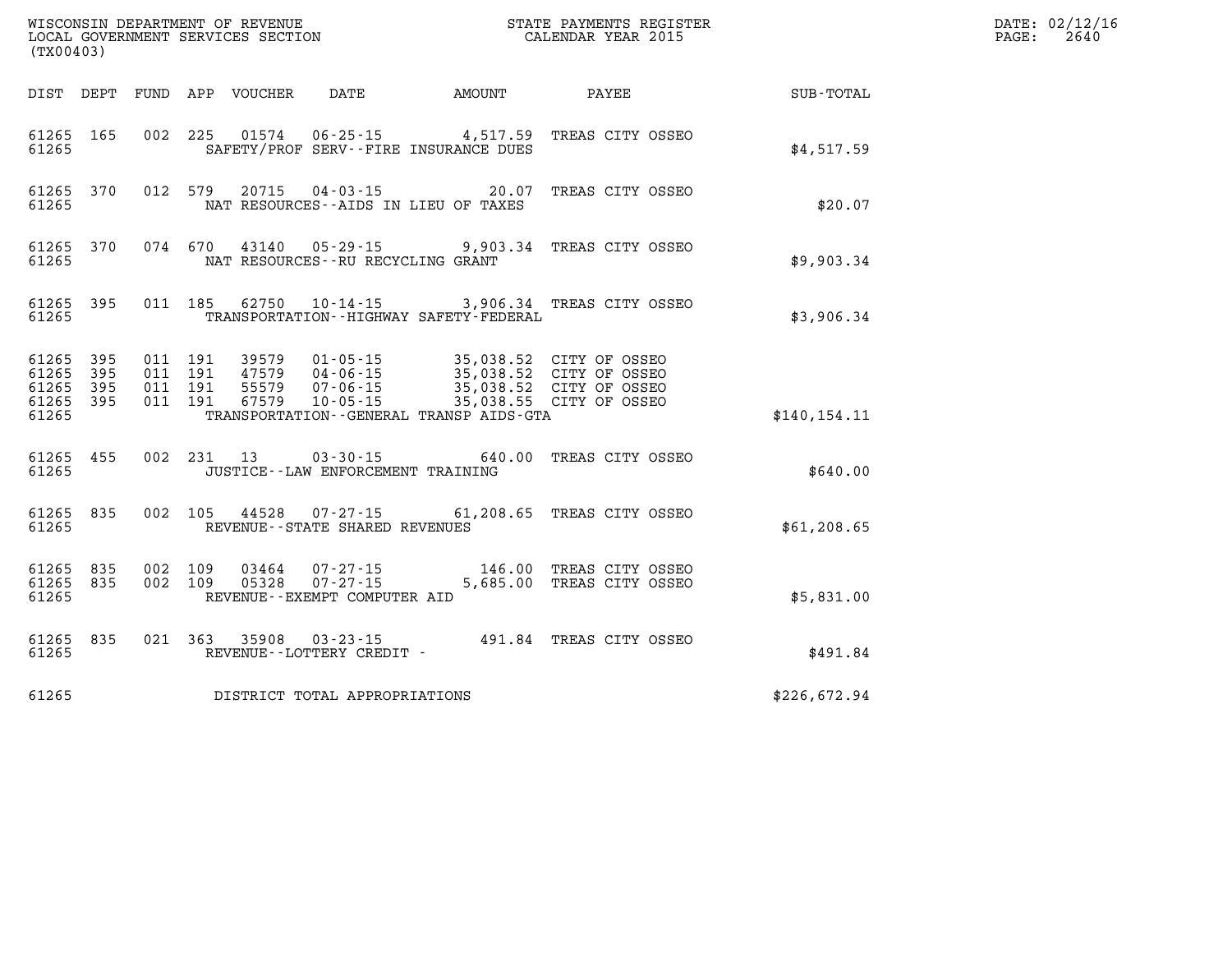| (TX00403)                                             |           |                                          |            |                            |                                                   |                                                                                           |                                                               |              | DATE: 02/12/16<br>PAGE:<br>2640 |
|-------------------------------------------------------|-----------|------------------------------------------|------------|----------------------------|---------------------------------------------------|-------------------------------------------------------------------------------------------|---------------------------------------------------------------|--------------|---------------------------------|
|                                                       |           |                                          |            | DIST DEPT FUND APP VOUCHER | DATE                                              | AMOUNT                                                                                    | PAYEE                                                         | SUB-TOTAL    |                                 |
| 61265 165<br>61265                                    |           |                                          |            | 002 225 01574              | SAFETY/PROF SERV--FIRE INSURANCE DUES             | $06 - 25 - 15$ 4, 517.59                                                                  | TREAS CITY OSSEO                                              | \$4,517.59   |                                 |
| 61265 370<br>61265                                    |           |                                          | 012 579    |                            | NAT RESOURCES--AIDS IN LIEU OF TAXES              |                                                                                           | 20715  04-03-15  20.07  TREAS CITY OSSEO                      | \$20.07      |                                 |
| 61265                                                 | 61265 370 |                                          | 074 670    |                            | NAT RESOURCES - - RU RECYCLING GRANT              |                                                                                           | 43140  05-29-15  9,903.34  TREAS CITY OSSEO                   | \$9,903.34   |                                 |
| 61265                                                 | 61265 395 |                                          | 011 185    |                            |                                                   | TRANSPORTATION - - HIGHWAY SAFETY - FEDERAL                                               | 62750 10-14-15 3,906.34 TREAS CITY OSSEO                      | \$3,906.34   |                                 |
| 61265 395<br>61265<br>61265 395<br>61265 395<br>61265 | 395       | 011 191<br>011 191<br>011 191<br>011 191 |            | 67579                      | $10 - 05 - 15$                                    | 39579  01-05-15  35,038.52  CITY OF OSSEO<br>TRANSPORTATION - - GENERAL TRANSP AIDS - GTA | 35,038.55 CITY OF OSSEO                                       | \$140.154.11 |                                 |
| 61265 455<br>61265                                    |           |                                          | 002 231 13 |                            | JUSTICE - - LAW ENFORCEMENT TRAINING              |                                                                                           | 03-30-15 640.00 TREAS CITY OSSEO                              | \$640.00     |                                 |
| 61265 835<br>61265                                    |           | 002 105                                  |            |                            | 44528 07-27-15<br>REVENUE--STATE SHARED REVENUES  |                                                                                           | 61,208.65 TREAS CITY OSSEO                                    | \$61, 208.65 |                                 |
| 61265 835<br>61265 835<br>61265                       |           | 002 109<br>002 109                       |            | 03464<br>05328             | $07 - 27 - 15$<br>REVENUE - - EXEMPT COMPUTER AID |                                                                                           | 07-27-15 146.00 TREAS CITY OSSEO<br>5,685.00 TREAS CITY OSSEO | \$5,831.00   |                                 |
| 61265                                                 | 61265 835 |                                          | 021 363    | 35908                      | $03 - 23 - 15$<br>REVENUE--LOTTERY CREDIT -       |                                                                                           | 491.84 TREAS CITY OSSEO                                       | \$491.84     |                                 |
| 61265                                                 |           |                                          |            |                            | DISTRICT TOTAL APPROPRIATIONS                     |                                                                                           |                                                               | \$226,672.94 |                                 |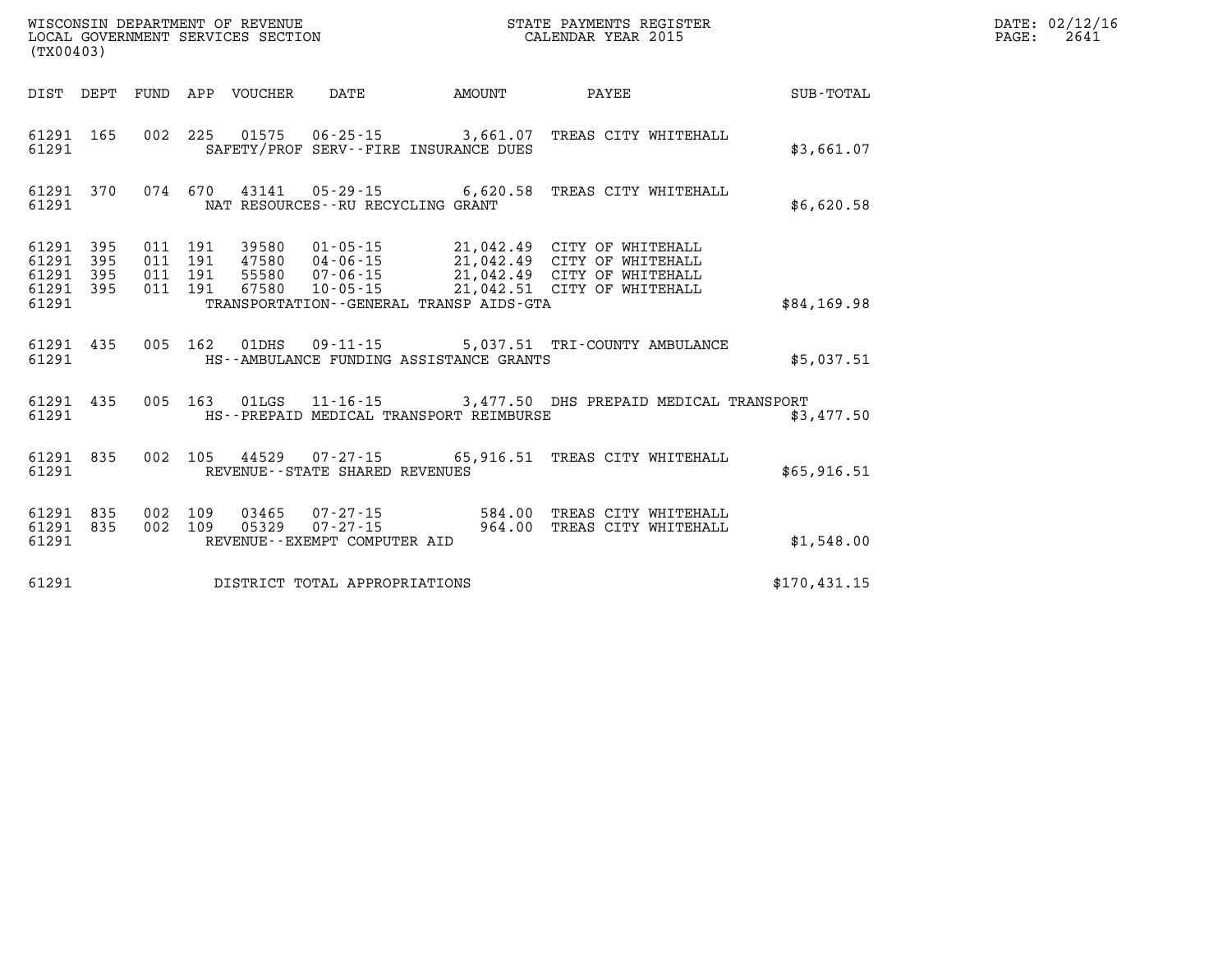| (TX00403)                                 |                          |                          |                          | WISCONSIN DEPARTMENT OF REVENUE<br>LOCAL GOVERNMENT SERVICES SECTION |                                                                                                                 |                  | STATE PAYMENTS REGISTER<br>CALENDAR YEAR 2015                                                                            |              |
|-------------------------------------------|--------------------------|--------------------------|--------------------------|----------------------------------------------------------------------|-----------------------------------------------------------------------------------------------------------------|------------------|--------------------------------------------------------------------------------------------------------------------------|--------------|
| DIST                                      | DEPT                     | FUND                     | APP                      | <b>VOUCHER</b>                                                       | <b>DATE</b>                                                                                                     | AMOUNT           | PAYEE                                                                                                                    | SUB-TOTAL    |
| 61291<br>61291                            | 165                      | 002                      | 225                      | 01575                                                                | $06 - 25 - 15$<br>SAFETY/PROF SERV--FIRE INSURANCE DUES                                                         | 3,661.07         | TREAS CITY WHITEHALL                                                                                                     | \$3,661.07   |
| 61291<br>61291                            | 370                      | 074                      | 670                      | 43141                                                                | $05 - 29 - 15$ 6,620.58<br>NAT RESOURCES - - RU RECYCLING GRANT                                                 |                  | TREAS CITY WHITEHALL                                                                                                     | \$6,620.58   |
| 61291<br>61291<br>61291<br>61291<br>61291 | 395<br>395<br>395<br>395 | 011<br>011<br>011<br>011 | 191<br>191<br>191<br>191 | 39580<br>47580<br>55580<br>67580                                     | $01 - 05 - 15$<br>$04 - 06 - 15$<br>$07 - 06 - 15$<br>$10 - 05 - 15$<br>TRANSPORTATION--GENERAL TRANSP AIDS-GTA |                  | 21,042.49 CITY OF WHITEHALL<br>21,042.49 CITY OF WHITEHALL<br>21,042.49 CITY OF WHITEHALL<br>21,042.51 CITY OF WHITEHALL | \$84,169.98  |
| 61291<br>61291                            | 435                      | 005                      | 162                      | 01DHS                                                                | $09 - 11 - 15$<br>HS--AMBULANCE FUNDING ASSISTANCE GRANTS                                                       |                  | 5,037.51 TRI-COUNTY AMBULANCE                                                                                            | \$5,037.51   |
| 61291<br>61291                            | 435                      | 005                      | 163                      | 01LGS                                                                | HS--PREPAID MEDICAL TRANSPORT REIMBURSE                                                                         |                  | 11-16-15 3,477.50 DHS PREPAID MEDICAL TRANSPORT                                                                          | \$3,477.50   |
| 61291<br>61291                            | 835                      | 002                      | 105                      | 44529                                                                | $07 - 27 - 15$<br>REVENUE - - STATE SHARED REVENUES                                                             | 65,916.51        | TREAS CITY WHITEHALL                                                                                                     | \$65,916.51  |
| 61291<br>61291<br>61291                   | 835<br>835               | 002<br>002               | 109<br>109               | 03465<br>05329                                                       | $07 - 27 - 15$<br>$07 - 27 - 15$<br>REVENUE--EXEMPT COMPUTER AID                                                | 584.00<br>964.00 | TREAS CITY WHITEHALL<br>TREAS CITY WHITEHALL                                                                             | \$1,548.00   |
| 61291                                     |                          |                          |                          |                                                                      | DISTRICT TOTAL APPROPRIATIONS                                                                                   |                  |                                                                                                                          | \$170.431.15 |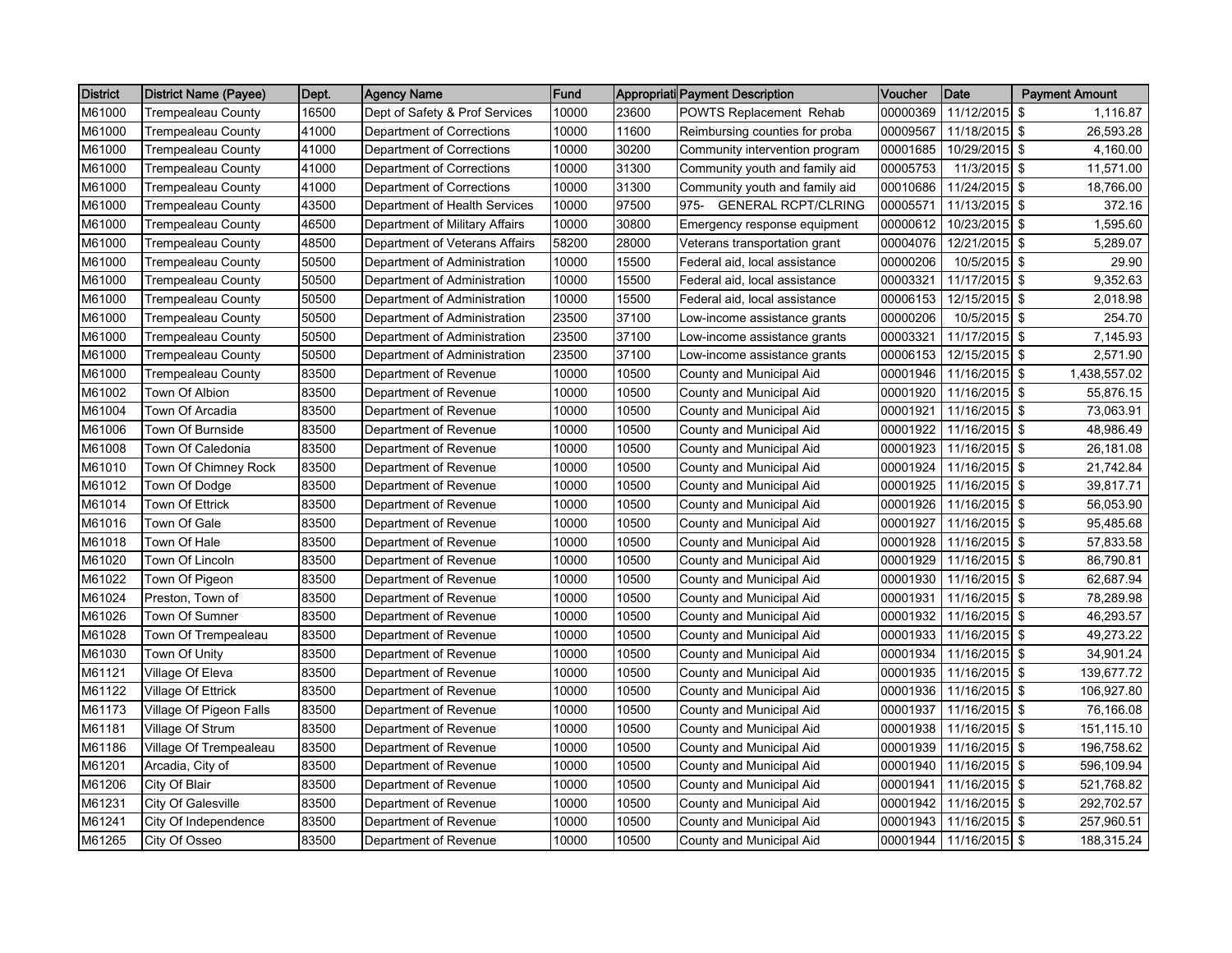| <b>District</b> | <b>District Name (Payee)</b> | Dept. | <b>Agency Name</b>             | Fund  |       | Appropriati Payment Description       | Voucher  | <b>Date</b>   | <b>Payment Amount</b>  |
|-----------------|------------------------------|-------|--------------------------------|-------|-------|---------------------------------------|----------|---------------|------------------------|
| M61000          | <b>Trempealeau County</b>    | 16500 | Dept of Safety & Prof Services | 10000 | 23600 | POWTS Replacement Rehab               | 00000369 | 11/12/2015    | 1,116.87<br>\$         |
| M61000          | <b>Trempealeau County</b>    | 41000 | Department of Corrections      | 10000 | 11600 | Reimbursing counties for proba        | 00009567 | 11/18/2015 \$ | 26,593.28              |
| M61000          | <b>Trempealeau County</b>    | 41000 | Department of Corrections      | 10000 | 30200 | Community intervention program        | 00001685 | 10/29/2015 \$ | 4.160.00               |
| M61000          | Trempealeau County           | 41000 | Department of Corrections      | 10000 | 31300 | Community youth and family aid        | 00005753 | 11/3/2015 \$  | 11,571.00              |
| M61000          | Trempealeau County           | 41000 | Department of Corrections      | 10000 | 31300 | Community youth and family aid        | 00010686 | 11/24/2015 \$ | 18,766.00              |
| M61000          | <b>Trempealeau County</b>    | 43500 | Department of Health Services  | 10000 | 97500 | <b>GENERAL RCPT/CLRING</b><br>$975 -$ | 00005571 | 11/13/2015 \$ | 372.16                 |
| M61000          | <b>Trempealeau County</b>    | 46500 | Department of Military Affairs | 10000 | 30800 | Emergency response equipment          | 00000612 | 10/23/2015 \$ | 1,595.60               |
| M61000          | <b>Trempealeau County</b>    | 48500 | Department of Veterans Affairs | 58200 | 28000 | Veterans transportation grant         | 00004076 | 12/21/2015 \$ | 5,289.07               |
| M61000          | Trempealeau County           | 50500 | Department of Administration   | 10000 | 15500 | Federal aid, local assistance         | 00000206 | 10/5/2015     | 29.90<br>-\$           |
| M61000          | <b>Trempealeau County</b>    | 50500 | Department of Administration   | 10000 | 15500 | Federal aid, local assistance         | 00003321 | 11/17/2015 \$ | 9,352.63               |
| M61000          | Trempealeau County           | 50500 | Department of Administration   | 10000 | 15500 | Federal aid, local assistance         | 00006153 | 12/15/2015 \$ | 2,018.98               |
| M61000          | Trempealeau County           | 50500 | Department of Administration   | 23500 | 37100 | Low-income assistance grants          | 00000206 | 10/5/2015     | <b>S</b><br>254.70     |
| M61000          | <b>Trempealeau County</b>    | 50500 | Department of Administration   | 23500 | 37100 | Low-income assistance grants          | 00003321 | 11/17/2015 \$ | 7,145.93               |
| M61000          | Trempealeau County           | 50500 | Department of Administration   | 23500 | 37100 | Low-income assistance grants          | 00006153 | 12/15/2015 \$ | 2,571.90               |
| M61000          | <b>Trempealeau County</b>    | 83500 | Department of Revenue          | 10000 | 10500 | County and Municipal Aid              | 00001946 | 11/16/2015    | \$<br>1,438,557.02     |
| M61002          | Town Of Albion               | 83500 | Department of Revenue          | 10000 | 10500 | County and Municipal Aid              | 00001920 | 11/16/2015 \$ | 55,876.15              |
| M61004          | Town Of Arcadia              | 83500 | Department of Revenue          | 10000 | 10500 | County and Municipal Aid              | 00001921 | 11/16/2015 \$ | 73,063.91              |
| M61006          | Town Of Burnside             | 83500 | Department of Revenue          | 10000 | 10500 | County and Municipal Aid              | 00001922 | 11/16/2015 \$ | 48,986.49              |
| M61008          | Town Of Caledonia            | 83500 | Department of Revenue          | 10000 | 10500 | County and Municipal Aid              | 00001923 | 11/16/2015 \$ | 26,181.08              |
| M61010          | Town Of Chimney Rock         | 83500 | Department of Revenue          | 10000 | 10500 | County and Municipal Aid              | 00001924 | 11/16/2015 \$ | 21,742.84              |
| M61012          | Town Of Dodge                | 83500 | Department of Revenue          | 10000 | 10500 | County and Municipal Aid              | 00001925 | 11/16/2015 \$ | 39,817.71              |
| M61014          | <b>Town Of Ettrick</b>       | 83500 | Department of Revenue          | 10000 | 10500 | County and Municipal Aid              | 00001926 | 11/16/2015 \$ | 56,053.90              |
| M61016          | Town Of Gale                 | 83500 | Department of Revenue          | 10000 | 10500 | County and Municipal Aid              | 00001927 | 11/16/2015    | <b>S</b><br>95,485.68  |
| M61018          | Town Of Hale                 | 83500 | Department of Revenue          | 10000 | 10500 | County and Municipal Aid              | 00001928 | 11/16/2015 \$ | 57,833.58              |
| M61020          | Town Of Lincoln              | 83500 | Department of Revenue          | 10000 | 10500 | County and Municipal Aid              | 00001929 | 11/16/2015 \$ | 86,790.81              |
| M61022          | Town Of Pigeon               | 83500 | Department of Revenue          | 10000 | 10500 | County and Municipal Aid              | 00001930 | 11/16/2015    | <b>S</b><br>62,687.94  |
| M61024          | Preston, Town of             | 83500 | Department of Revenue          | 10000 | 10500 | County and Municipal Aid              | 00001931 | 11/16/2015 \$ | 78,289.98              |
| M61026          | Town Of Sumner               | 83500 | Department of Revenue          | 10000 | 10500 | County and Municipal Aid              | 00001932 | 11/16/2015 \$ | 46,293.57              |
| M61028          | Town Of Trempealeau          | 83500 | Department of Revenue          | 10000 | 10500 | County and Municipal Aid              | 00001933 | 11/16/2015 \$ | 49,273.22              |
| M61030          | Town Of Unity                | 83500 | Department of Revenue          | 10000 | 10500 | County and Municipal Aid              | 00001934 | 11/16/2015 \$ | 34,901.24              |
| M61121          | Village Of Eleva             | 83500 | Department of Revenue          | 10000 | 10500 | County and Municipal Aid              | 00001935 | 11/16/2015 \$ | 139,677.72             |
| M61122          | Village Of Ettrick           | 83500 | Department of Revenue          | 10000 | 10500 | County and Municipal Aid              | 00001936 | 11/16/2015 \$ | 106,927.80             |
| M61173          | Village Of Pigeon Falls      | 83500 | Department of Revenue          | 10000 | 10500 | County and Municipal Aid              | 00001937 | 11/16/2015 \$ | 76,166.08              |
| M61181          | Village Of Strum             | 83500 | Department of Revenue          | 10000 | 10500 | County and Municipal Aid              | 00001938 | 11/16/2015    | <b>S</b><br>151,115.10 |
| M61186          | Village Of Trempealeau       | 83500 | Department of Revenue          | 10000 | 10500 | County and Municipal Aid              | 00001939 | 11/16/2015 \$ | 196,758.62             |
| M61201          | Arcadia, City of             | 83500 | Department of Revenue          | 10000 | 10500 | County and Municipal Aid              | 00001940 | 11/16/2015 \$ | 596,109.94             |
| M61206          | City Of Blair                | 83500 | Department of Revenue          | 10000 | 10500 | County and Municipal Aid              | 00001941 | 11/16/2015    | <b>S</b><br>521,768.82 |
| M61231          | <b>City Of Galesville</b>    | 83500 | Department of Revenue          | 10000 | 10500 | County and Municipal Aid              | 00001942 | 11/16/2015 \$ | 292,702.57             |
| M61241          | City Of Independence         | 83500 | Department of Revenue          | 10000 | 10500 | County and Municipal Aid              | 00001943 | 11/16/2015 \$ | 257,960.51             |
| M61265          | City Of Osseo                | 83500 | Department of Revenue          | 10000 | 10500 | County and Municipal Aid              | 00001944 | 11/16/2015 \$ | 188,315.24             |